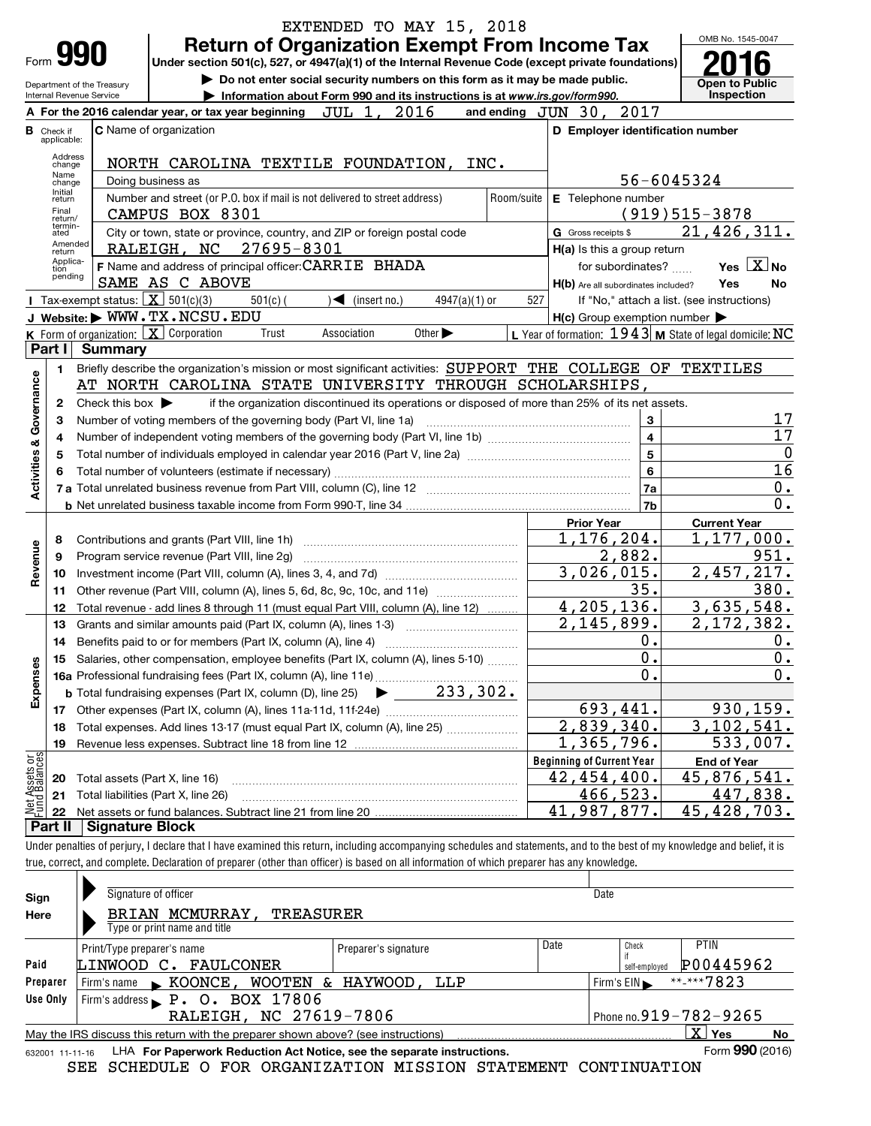|                                |                                  |                                        | EXTENDED TO MAY 15, 2018                                                                                                                                                   |                                  |                                                     |                                                         |
|--------------------------------|----------------------------------|----------------------------------------|----------------------------------------------------------------------------------------------------------------------------------------------------------------------------|----------------------------------|-----------------------------------------------------|---------------------------------------------------------|
|                                | <b>Form 990</b>                  |                                        | <b>Return of Organization Exempt From Income Tax</b><br>Under section 501(c), 527, or 4947(a)(1) of the Internal Revenue Code (except private foundations)                 |                                  |                                                     | OMB No. 1545-0047                                       |
|                                |                                  | Department of the Treasury             | Do not enter social security numbers on this form as it may be made public.                                                                                                |                                  |                                                     | <b>Open to Public</b>                                   |
|                                |                                  | Internal Revenue Service               | Information about Form 990 and its instructions is at www.irs.gov/form990.                                                                                                 |                                  |                                                     | Inspection                                              |
|                                |                                  |                                        | JUL 1, 2016<br>and ending $JUN$ 30,<br>A For the 2016 calendar year, or tax year beginning<br>C Name of organization                                                       |                                  | 2017<br>D Employer identification number            |                                                         |
|                                | <b>B</b> Check if<br>applicable: |                                        |                                                                                                                                                                            |                                  |                                                     |                                                         |
|                                | Address<br>change                |                                        | NORTH CAROLINA TEXTILE FOUNDATION,<br>INC.                                                                                                                                 |                                  |                                                     |                                                         |
|                                | Name<br>change                   |                                        | Doing business as                                                                                                                                                          |                                  | 56-6045324                                          |                                                         |
|                                | Initial<br>return                |                                        | Number and street (or P.O. box if mail is not delivered to street address)<br>Room/suite                                                                                   |                                  | E Telephone number                                  |                                                         |
|                                | Final<br>return/<br>termin-      |                                        | CAMPUS BOX 8301                                                                                                                                                            |                                  |                                                     | $(919)515-3878$                                         |
|                                | ated<br>Amended                  |                                        | City or town, state or province, country, and ZIP or foreign postal code                                                                                                   | G Gross receipts \$              |                                                     | 21,426,311.                                             |
|                                | return<br>Applica-               |                                        | RALEIGH, NC 27695-8301                                                                                                                                                     |                                  | H(a) Is this a group return                         |                                                         |
|                                | tion<br>pending                  |                                        | F Name and address of principal officer: CARRIE BHADA<br>SAME AS C ABOVE                                                                                                   |                                  | for subordinates?                                   | Yes $X$ No<br>Yes                                       |
|                                |                                  | Tax-exempt status: $X \over 301(c)(3)$ | $\sqrt{\frac{1}{1}}$ (insert no.)<br>$4947(a)(1)$ or<br>$501(c)$ (                                                                                                         | 527                              | H(b) Are all subordinates included?                 | No<br>If "No," attach a list. (see instructions)        |
|                                |                                  |                                        | J Website: WWW.TX.NCSU.EDU                                                                                                                                                 |                                  | $H(c)$ Group exemption number $\blacktriangleright$ |                                                         |
|                                |                                  |                                        | <b>K</b> Form of organization: $X$ Corporation<br>Other $\blacktriangleright$<br>Trust<br>Association                                                                      |                                  |                                                     | L Year of formation: 1943 M State of legal domicile: NC |
|                                | Part I                           | <b>Summary</b>                         |                                                                                                                                                                            |                                  |                                                     |                                                         |
|                                | 1                                |                                        | Briefly describe the organization's mission or most significant activities: SUPPORT THE COLLEGE OF TEXTILES                                                                |                                  |                                                     |                                                         |
|                                |                                  |                                        | AT NORTH CAROLINA STATE UNIVERSITY THROUGH SCHOLARSHIPS,                                                                                                                   |                                  |                                                     |                                                         |
|                                | 2                                | Check this box $\blacktriangleright$   | if the organization discontinued its operations or disposed of more than 25% of its net assets.                                                                            |                                  |                                                     |                                                         |
| Governance                     | З                                |                                        | Number of voting members of the governing body (Part VI, line 1a)                                                                                                          |                                  | 3<br>$\overline{\mathbf{4}}$                        | 17<br>17                                                |
|                                | 4<br>5                           |                                        |                                                                                                                                                                            |                                  | $\overline{5}$                                      | 0                                                       |
| Activities &                   | 6                                |                                        |                                                                                                                                                                            |                                  | $\bf{6}$                                            | 16                                                      |
|                                |                                  |                                        |                                                                                                                                                                            |                                  | <b>7a</b>                                           | 0.                                                      |
|                                |                                  |                                        |                                                                                                                                                                            |                                  | 7 <sub>b</sub>                                      | 0.                                                      |
|                                |                                  |                                        |                                                                                                                                                                            | <b>Prior Year</b>                |                                                     | <b>Current Year</b>                                     |
|                                | 8                                |                                        |                                                                                                                                                                            |                                  | 1,176,204.                                          | 1,177,000.                                              |
| Revenue                        | 9                                |                                        | Program service revenue (Part VIII, line 2g)                                                                                                                               |                                  | 2,882.                                              | 951.                                                    |
|                                | 10                               |                                        |                                                                                                                                                                            |                                  | 3,026,015.                                          | 2,457,217.                                              |
|                                | 11                               |                                        | Other revenue (Part VIII, column (A), lines 5, 6d, 8c, 9c, 10c, and 11e)                                                                                                   |                                  | 35.<br>4,205,136.                                   | 380.<br>3,635,548.                                      |
|                                | 12<br>13                         |                                        | Total revenue - add lines 8 through 11 (must equal Part VIII, column (A), line 12)<br>Grants and similar amounts paid (Part IX, column (A), lines 1-3)                     |                                  | 2,145,899.                                          | 2,172,382.                                              |
|                                | 14                               |                                        |                                                                                                                                                                            |                                  | 0.                                                  | 0.                                                      |
|                                |                                  |                                        | Salaries, other compensation, employee benefits (Part IX, column (A), lines 5-10)                                                                                          |                                  | $\mathbf 0$ .                                       | 0.                                                      |
| Expenses                       |                                  |                                        |                                                                                                                                                                            |                                  | $\mathbf 0$ .                                       | 0.                                                      |
|                                |                                  |                                        | 233, 302.<br><b>b</b> Total fundraising expenses (Part IX, column (D), line 25)                                                                                            |                                  |                                                     |                                                         |
|                                | 17                               |                                        |                                                                                                                                                                            |                                  | 693,441.                                            | 930, 159.                                               |
|                                | 18                               |                                        | Total expenses. Add lines 13-17 (must equal Part IX, column (A), line 25)                                                                                                  |                                  | 2,839,340.                                          | 3,102,541.                                              |
|                                | 19                               |                                        |                                                                                                                                                                            |                                  | 1,365,796.                                          | 533,007.                                                |
| Net Assets or<br>Fund Balances |                                  |                                        |                                                                                                                                                                            | <b>Beginning of Current Year</b> |                                                     | <b>End of Year</b>                                      |
|                                | 20                               |                                        | Total assets (Part X, line 16)                                                                                                                                             |                                  | 42, 454, 400.<br>466,523.                           | 45,876,541.<br>447,838.                                 |
|                                | 21<br>22                         |                                        | Total liabilities (Part X, line 26)                                                                                                                                        |                                  | 41,987,877.                                         | 45,428,703.                                             |
|                                | Part II                          | <b>Signature Block</b>                 |                                                                                                                                                                            |                                  |                                                     |                                                         |
|                                |                                  |                                        | Under penalties of perjury, I declare that I have examined this return, including accompanying schedules and statements, and to the best of my knowledge and belief, it is |                                  |                                                     |                                                         |
|                                |                                  |                                        | true, correct, and complete. Declaration of preparer (other than officer) is based on all information of which preparer has any knowledge.                                 |                                  |                                                     |                                                         |
|                                |                                  |                                        |                                                                                                                                                                            |                                  |                                                     |                                                         |
| Sign                           |                                  |                                        | Signature of officer                                                                                                                                                       |                                  | Date                                                |                                                         |
| Here                           |                                  |                                        | BRIAN MCMURRAY,<br><b>TREASURER</b><br>Type or print name and title                                                                                                        |                                  |                                                     |                                                         |
|                                |                                  |                                        |                                                                                                                                                                            | Date                             | Check                                               | PTIN                                                    |
| Paid                           |                                  | Print/Type preparer's name             | Preparer's signature<br>LINWOOD C. FAULCONER                                                                                                                               |                                  | if                                                  | P00445962                                               |
|                                | Preparer                         | Firm's name                            | $\triangleright$ KOONCE, WOOTEN & HAYWOOD,<br>LLP                                                                                                                          |                                  | self-employed<br>Firm's $EIN$                       | **-***7823                                              |
|                                | Use Only                         |                                        | Firm's address P. O. BOX 17806                                                                                                                                             |                                  |                                                     |                                                         |
|                                |                                  |                                        | RALEIGH, NC 27619-7806                                                                                                                                                     |                                  |                                                     | Phone no.919-782-9265                                   |
|                                |                                  |                                        | May the IRS discuss this return with the preparer shown above? (see instructions)                                                                                          |                                  |                                                     | $\overline{\text{X}}$ Yes<br>No                         |
|                                | 632001 11-11-16                  |                                        | LHA For Paperwork Reduction Act Notice, see the separate instructions.                                                                                                     |                                  |                                                     | Form 990 (2016)                                         |
|                                |                                  |                                        | SEE SCHEDULE O FOR ORGANIZATION MISSION STATEMENT CONTINUATION                                                                                                             |                                  |                                                     |                                                         |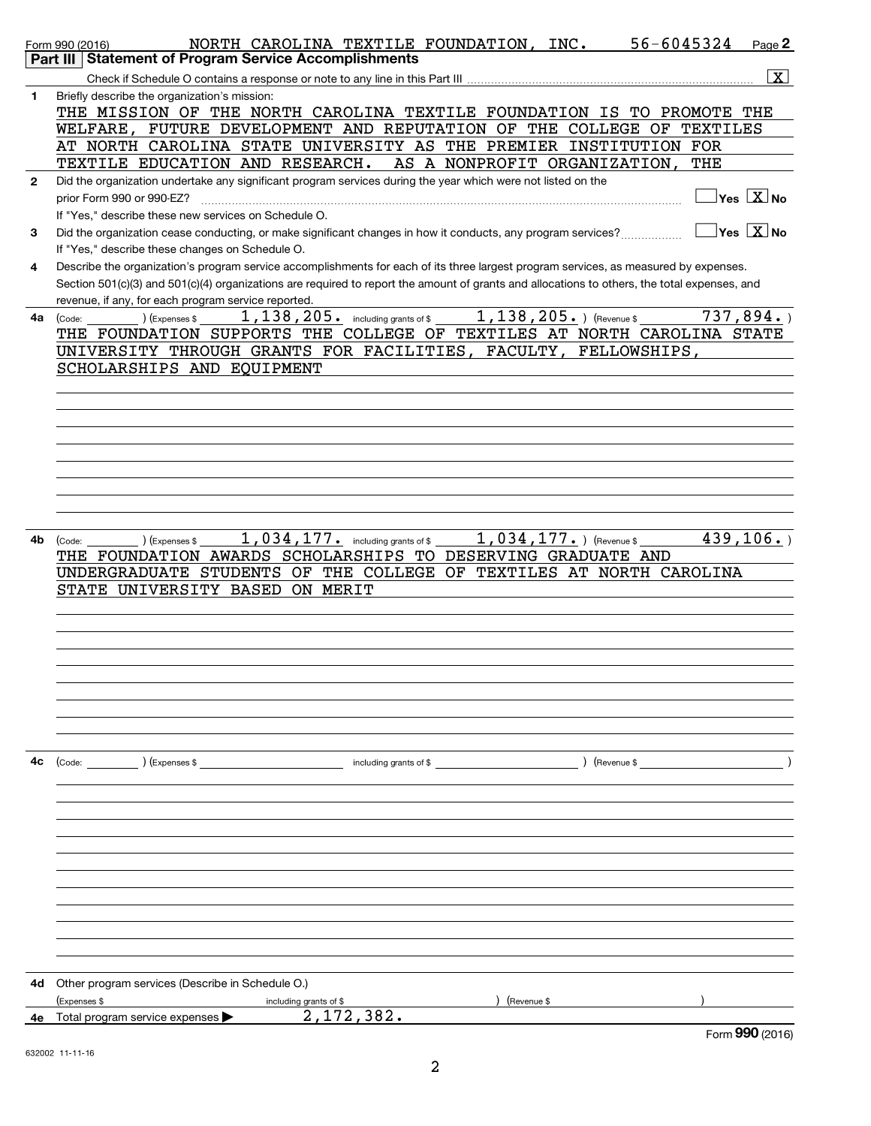|              | $56 - 6045324$<br>NORTH CAROLINA TEXTILE FOUNDATION, INC.<br>Form 990 (2016)<br><b>Statement of Program Service Accomplishments</b><br>Part III | Page 2                                        |  |
|--------------|-------------------------------------------------------------------------------------------------------------------------------------------------|-----------------------------------------------|--|
|              |                                                                                                                                                 |                                               |  |
|              |                                                                                                                                                 | $\mathbf{X}$                                  |  |
| 1            | Briefly describe the organization's mission:<br>THE MISSION OF THE NORTH CAROLINA TEXTILE FOUNDATION IS TO PROMOTE THE                          |                                               |  |
|              | WELFARE, FUTURE DEVELOPMENT AND REPUTATION OF THE COLLEGE<br>ΟF                                                                                 | TEXTILES                                      |  |
|              | AT NORTH CAROLINA STATE UNIVERSITY AS THE PREMIER INSTITUTION FOR                                                                               |                                               |  |
|              | TEXTILE EDUCATION AND RESEARCH.<br>AS A NONPROFIT ORGANIZATION,                                                                                 | THE                                           |  |
| $\mathbf{2}$ | Did the organization undertake any significant program services during the year which were not listed on the                                    |                                               |  |
|              | prior Form 990 or 990-EZ?                                                                                                                       | $\overline{\ }$ Yes $\overline{\rm \bf X}$ No |  |
|              | If "Yes," describe these new services on Schedule O.                                                                                            |                                               |  |
|              |                                                                                                                                                 | $\vert$ Yes $\vert$ $\rm X$ $\vert$ No        |  |
| 3            | Did the organization cease conducting, or make significant changes in how it conducts, any program services?                                    |                                               |  |
|              | If "Yes," describe these changes on Schedule O.                                                                                                 |                                               |  |
| 4            | Describe the organization's program service accomplishments for each of its three largest program services, as measured by expenses.            |                                               |  |
|              | Section 501(c)(3) and 501(c)(4) organizations are required to report the amount of grants and allocations to others, the total expenses, and    |                                               |  |
|              | revenue, if any, for each program service reported.                                                                                             |                                               |  |
| 4a           | 1, 138, 205. ) (Revenue \$<br>1, 138, 205. including grants of \$<br>(Expenses \$<br>Code:                                                      | 737,894.                                      |  |
|              | THE FOUNDATION SUPPORTS THE COLLEGE OF TEXTILES AT NORTH CAROLINA STATE                                                                         |                                               |  |
|              | UNIVERSITY THROUGH GRANTS FOR FACILITIES,<br>FACULTY,<br>FELLOWSHIPS                                                                            |                                               |  |
|              | SCHOLARSHIPS AND EQUIPMENT                                                                                                                      |                                               |  |
|              |                                                                                                                                                 |                                               |  |
|              |                                                                                                                                                 |                                               |  |
|              |                                                                                                                                                 |                                               |  |
|              |                                                                                                                                                 |                                               |  |
|              |                                                                                                                                                 |                                               |  |
|              |                                                                                                                                                 |                                               |  |
|              |                                                                                                                                                 |                                               |  |
|              |                                                                                                                                                 |                                               |  |
|              |                                                                                                                                                 |                                               |  |
|              |                                                                                                                                                 |                                               |  |
| 4b           | 1,034,177. including grants of \$<br>1,034,177. ) (Revenue \$<br>(Expenses \$<br>(Code:                                                         | $\overline{439,106}$ .                        |  |
|              | THE FOUNDATION AWARDS SCHOLARSHIPS TO DESERVING GRADUATE AND                                                                                    |                                               |  |
|              |                                                                                                                                                 |                                               |  |
|              | UNDERGRADUATE STUDENTS OF THE COLLEGE OF TEXTILES AT NORTH CAROLINA                                                                             |                                               |  |
|              | STATE UNIVERSITY BASED<br>ON MERIT                                                                                                              |                                               |  |
|              |                                                                                                                                                 |                                               |  |
|              |                                                                                                                                                 |                                               |  |
|              |                                                                                                                                                 |                                               |  |
|              |                                                                                                                                                 |                                               |  |
|              |                                                                                                                                                 |                                               |  |
|              |                                                                                                                                                 |                                               |  |
|              |                                                                                                                                                 |                                               |  |
|              |                                                                                                                                                 |                                               |  |
|              |                                                                                                                                                 |                                               |  |
|              |                                                                                                                                                 |                                               |  |
| 4c           | $\left(\text{Code:}\right)$ $\left(\text{Expenses $}\right)$<br>including grants of \$                                                          |                                               |  |
|              |                                                                                                                                                 |                                               |  |
|              |                                                                                                                                                 |                                               |  |
|              |                                                                                                                                                 |                                               |  |
|              |                                                                                                                                                 |                                               |  |
|              |                                                                                                                                                 |                                               |  |
|              |                                                                                                                                                 |                                               |  |
|              |                                                                                                                                                 |                                               |  |
|              |                                                                                                                                                 |                                               |  |
|              |                                                                                                                                                 |                                               |  |
|              |                                                                                                                                                 |                                               |  |
|              |                                                                                                                                                 |                                               |  |
|              |                                                                                                                                                 |                                               |  |
|              |                                                                                                                                                 |                                               |  |
| 4d           | Other program services (Describe in Schedule O.)                                                                                                |                                               |  |
|              | (Expenses \$<br>(Revenue \$<br>including grants of \$                                                                                           |                                               |  |
| 4е           | 2, 172, 382.<br>Total program service expenses                                                                                                  |                                               |  |
|              |                                                                                                                                                 | Form 990 (2016)                               |  |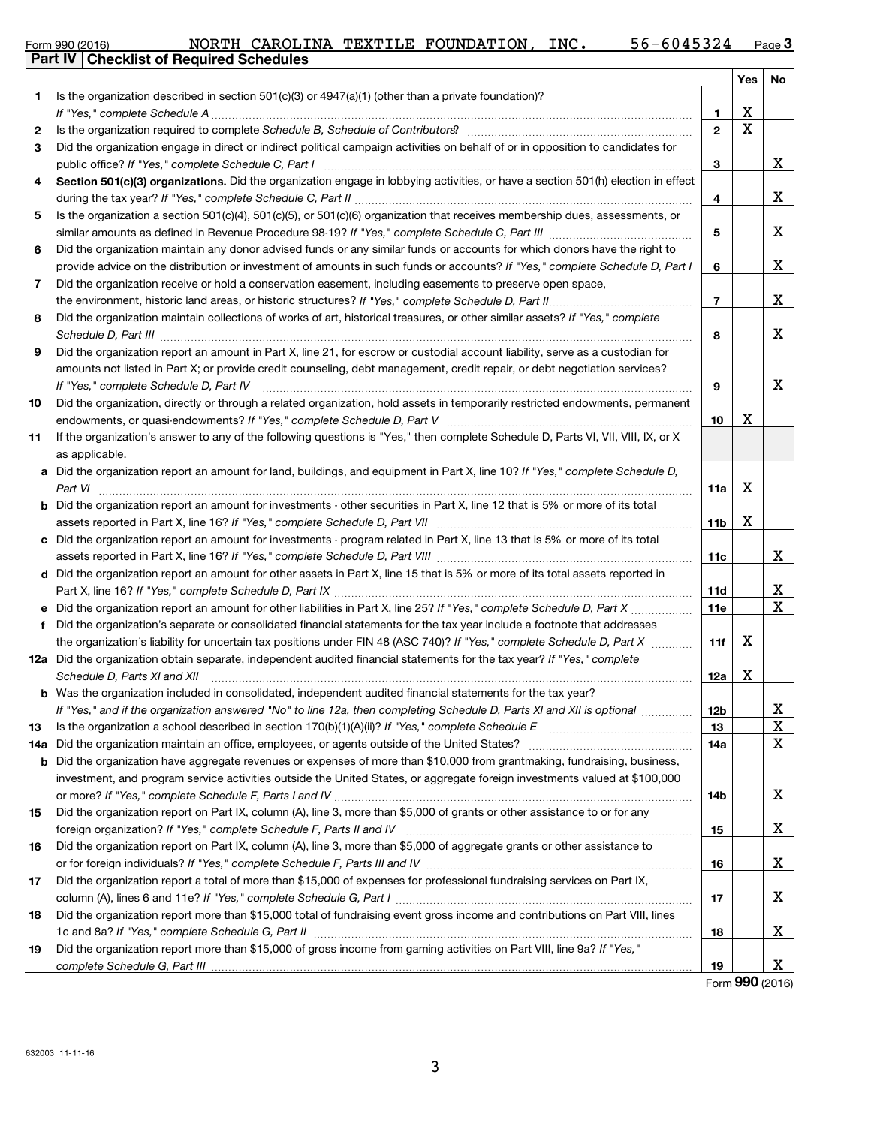| Form 990 (2016) |                                                |  | NORTH CAROLINA TEXTILE FOUNDATION, | INC. | 56-6045324 | Page $3$ |
|-----------------|------------------------------------------------|--|------------------------------------|------|------------|----------|
|                 | <b>Dart IV Checklist of Required Schedules</b> |  |                                    |      |            |          |

|              | Part IV   Checklist of Required Schedules                                                                                            |                 |     |    |
|--------------|--------------------------------------------------------------------------------------------------------------------------------------|-----------------|-----|----|
|              |                                                                                                                                      |                 | Yes | No |
| 1.           | Is the organization described in section $501(c)(3)$ or $4947(a)(1)$ (other than a private foundation)?                              |                 |     |    |
|              |                                                                                                                                      | 1               | х   |    |
| $\mathbf{2}$ |                                                                                                                                      | $\overline{2}$  | X   |    |
| 3            | Did the organization engage in direct or indirect political campaign activities on behalf of or in opposition to candidates for      |                 |     |    |
|              |                                                                                                                                      | 3               |     | X. |
| 4            | Section 501(c)(3) organizations. Did the organization engage in lobbying activities, or have a section 501(h) election in effect     |                 |     |    |
|              |                                                                                                                                      | 4               |     | X. |
| 5            | Is the organization a section $501(c)(4)$ , $501(c)(5)$ , or $501(c)(6)$ organization that receives membership dues, assessments, or |                 |     |    |
|              |                                                                                                                                      | 5               |     | x  |
| 6            | Did the organization maintain any donor advised funds or any similar funds or accounts for which donors have the right to            |                 |     |    |
|              | provide advice on the distribution or investment of amounts in such funds or accounts? If "Yes," complete Schedule D, Part I         | 6               |     | X. |
| 7            | Did the organization receive or hold a conservation easement, including easements to preserve open space,                            |                 |     |    |
|              |                                                                                                                                      | 7               |     | X. |
| 8            | Did the organization maintain collections of works of art, historical treasures, or other similar assets? If "Yes," complete         |                 |     |    |
|              |                                                                                                                                      | 8               |     | X. |
| 9            | Did the organization report an amount in Part X, line 21, for escrow or custodial account liability, serve as a custodian for        |                 |     |    |
|              | amounts not listed in Part X; or provide credit counseling, debt management, credit repair, or debt negotiation services?            |                 |     |    |
|              | If "Yes," complete Schedule D, Part IV                                                                                               | 9               |     | x  |
| 10           | Did the organization, directly or through a related organization, hold assets in temporarily restricted endowments, permanent        |                 |     |    |
|              |                                                                                                                                      | 10              | х   |    |
| 11           | If the organization's answer to any of the following questions is "Yes," then complete Schedule D, Parts VI, VII, VIII, IX, or X     |                 |     |    |
|              | as applicable.                                                                                                                       |                 |     |    |
|              | a Did the organization report an amount for land, buildings, and equipment in Part X, line 10? If "Yes," complete Schedule D,        |                 |     |    |
|              |                                                                                                                                      | 11a             | x   |    |
|              | <b>b</b> Did the organization report an amount for investments - other securities in Part X, line 12 that is 5% or more of its total |                 |     |    |
|              |                                                                                                                                      | 11 <sub>b</sub> | х   |    |
|              | c Did the organization report an amount for investments - program related in Part X, line 13 that is 5% or more of its total         |                 |     |    |
|              |                                                                                                                                      | 11c             |     | X. |
|              | d Did the organization report an amount for other assets in Part X, line 15 that is 5% or more of its total assets reported in       |                 |     |    |
|              |                                                                                                                                      | 11d             |     | X, |
|              | Did the organization report an amount for other liabilities in Part X, line 25? If "Yes," complete Schedule D, Part X                | <b>11e</b>      |     | X  |
| f            | Did the organization's separate or consolidated financial statements for the tax year include a footnote that addresses              |                 |     |    |
|              | the organization's liability for uncertain tax positions under FIN 48 (ASC 740)? If "Yes," complete Schedule D, Part X               | 11f             | x   |    |
|              | 12a Did the organization obtain separate, independent audited financial statements for the tax year? If "Yes," complete              |                 |     |    |
|              | Schedule D, Parts XI and XII                                                                                                         | 12a             | х   |    |
|              | <b>b</b> Was the organization included in consolidated, independent audited financial statements for the tax vear?                   |                 |     |    |
|              | If "Yes," and if the organization answered "No" to line 12a, then completing Schedule D, Parts XI and XII is optional                | 12b             |     | x  |
| 13           |                                                                                                                                      | 13              |     | X  |
| 14a          |                                                                                                                                      | 14a             |     | X  |
|              | <b>b</b> Did the organization have aggregate revenues or expenses of more than \$10,000 from grantmaking, fundraising, business,     |                 |     |    |
|              | investment, and program service activities outside the United States, or aggregate foreign investments valued at \$100,000           |                 |     |    |
|              |                                                                                                                                      | 14b             |     | X, |
| 15           | Did the organization report on Part IX, column (A), line 3, more than \$5,000 of grants or other assistance to or for any            |                 |     |    |
|              |                                                                                                                                      | 15              |     | X, |
| 16           | Did the organization report on Part IX, column (A), line 3, more than \$5,000 of aggregate grants or other assistance to             |                 |     |    |
|              |                                                                                                                                      | 16              |     | X. |
| 17           | Did the organization report a total of more than \$15,000 of expenses for professional fundraising services on Part IX,              |                 |     |    |
|              |                                                                                                                                      | 17              |     | X, |
| 18           | Did the organization report more than \$15,000 total of fundraising event gross income and contributions on Part VIII, lines         |                 |     |    |
|              |                                                                                                                                      | 18              |     | X. |
| 19           | Did the organization report more than \$15,000 of gross income from gaming activities on Part VIII, line 9a? If "Yes,"               |                 |     |    |
|              |                                                                                                                                      | 19              |     | X  |

Form (2016) **990**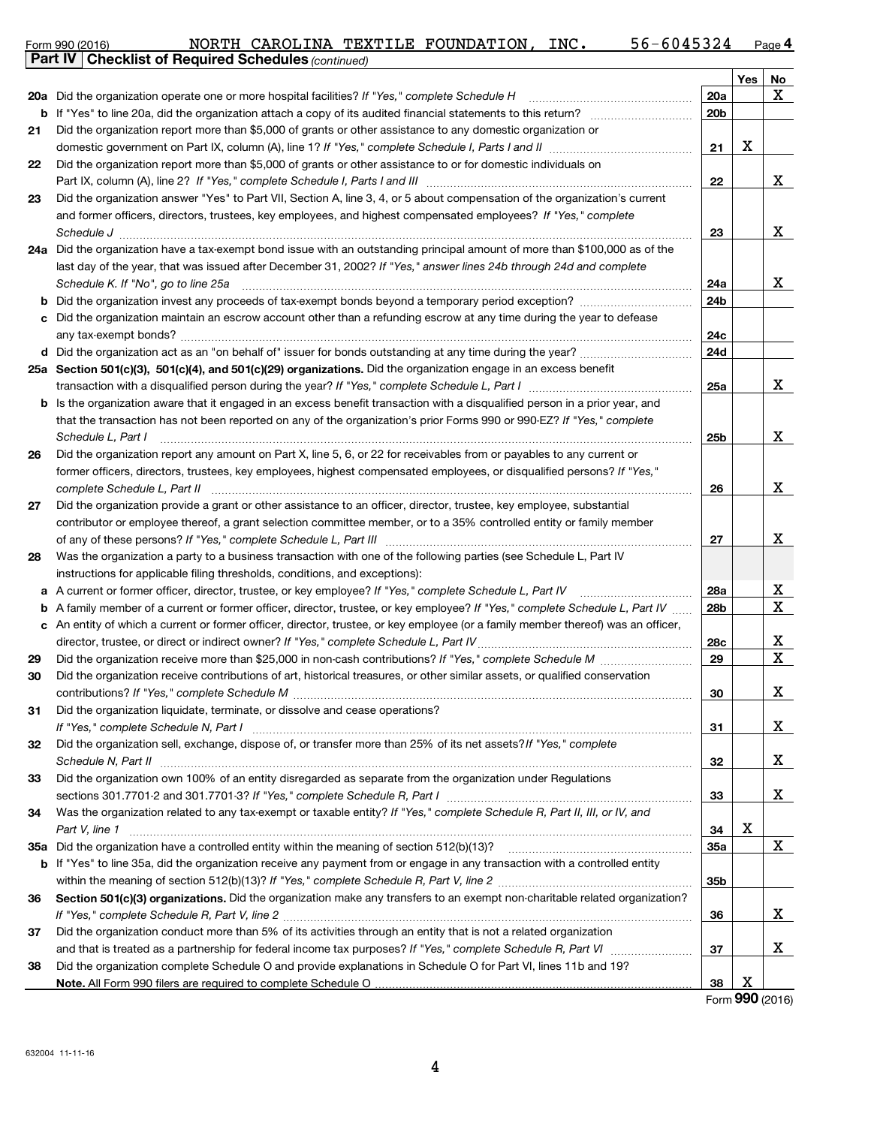| Form 990 (2016) | NORTH | CAROLINA | TEXTILE | : FOUNDATION | INC. | 42در.<br>n 174 | $P$ age |
|-----------------|-------|----------|---------|--------------|------|----------------|---------|
| $\sim$<br>.     |       |          |         |              |      |                |         |

|     | Part IV   Checklist of Required Schedules (continued)                                                                                                                                                                                |                 |     |    |
|-----|--------------------------------------------------------------------------------------------------------------------------------------------------------------------------------------------------------------------------------------|-----------------|-----|----|
|     |                                                                                                                                                                                                                                      |                 | Yes | No |
|     | 20a Did the organization operate one or more hospital facilities? If "Yes," complete Schedule H                                                                                                                                      | 20a             |     | x  |
| b   |                                                                                                                                                                                                                                      | 20 <sub>b</sub> |     |    |
| 21  | Did the organization report more than \$5,000 of grants or other assistance to any domestic organization or                                                                                                                          |                 |     |    |
|     |                                                                                                                                                                                                                                      | 21              | х   |    |
| 22  | Did the organization report more than \$5,000 of grants or other assistance to or for domestic individuals on                                                                                                                        |                 |     |    |
|     |                                                                                                                                                                                                                                      | 22              |     | x  |
| 23  | Did the organization answer "Yes" to Part VII, Section A, line 3, 4, or 5 about compensation of the organization's current                                                                                                           |                 |     |    |
|     | and former officers, directors, trustees, key employees, and highest compensated employees? If "Yes," complete                                                                                                                       |                 |     |    |
|     | Schedule J <b>[19] Constanting Constanting Constanting Constanting Constanting Constanting Constanting Constanting Constanting Constanting Constanting Constanting Constanting Constanting Constanting Constanting Constanting C</b> | 23              |     | x  |
|     | 24a Did the organization have a tax-exempt bond issue with an outstanding principal amount of more than \$100,000 as of the                                                                                                          |                 |     |    |
|     | last day of the year, that was issued after December 31, 2002? If "Yes," answer lines 24b through 24d and complete                                                                                                                   |                 |     |    |
|     | Schedule K. If "No", go to line 25a                                                                                                                                                                                                  | 24a             |     | x  |
|     |                                                                                                                                                                                                                                      | 24b             |     |    |
| с   | Did the organization maintain an escrow account other than a refunding escrow at any time during the year to defease                                                                                                                 |                 |     |    |
|     |                                                                                                                                                                                                                                      | 24c             |     |    |
|     | d Did the organization act as an "on behalf of" issuer for bonds outstanding at any time during the year?                                                                                                                            | 24d             |     |    |
|     | 25a Section 501(c)(3), 501(c)(4), and 501(c)(29) organizations. Did the organization engage in an excess benefit                                                                                                                     |                 |     |    |
|     | transaction with a disqualified person during the year? If "Yes," complete Schedule L, Part I manual content to the disqualitied person during the year? If "Yes," complete Schedule L, Part I                                       | 25a             |     | x  |
| b   | Is the organization aware that it engaged in an excess benefit transaction with a disqualified person in a prior year, and                                                                                                           |                 |     |    |
|     | that the transaction has not been reported on any of the organization's prior Forms 990 or 990-EZ? If "Yes," complete                                                                                                                |                 |     |    |
|     | Schedule L. Part I                                                                                                                                                                                                                   | 25 <sub>b</sub> |     | x  |
| 26  | Did the organization report any amount on Part X, line 5, 6, or 22 for receivables from or payables to any current or                                                                                                                |                 |     |    |
|     | former officers, directors, trustees, key employees, highest compensated employees, or disqualified persons? If "Yes,"                                                                                                               |                 |     |    |
|     | complete Schedule L, Part II                                                                                                                                                                                                         | 26              |     | X  |
| 27  | Did the organization provide a grant or other assistance to an officer, director, trustee, key employee, substantial                                                                                                                 |                 |     |    |
|     | contributor or employee thereof, a grant selection committee member, or to a 35% controlled entity or family member                                                                                                                  |                 |     |    |
|     |                                                                                                                                                                                                                                      | 27              |     | x  |
| 28  | Was the organization a party to a business transaction with one of the following parties (see Schedule L, Part IV                                                                                                                    |                 |     |    |
|     | instructions for applicable filing thresholds, conditions, and exceptions):                                                                                                                                                          |                 |     |    |
| a   | A current or former officer, director, trustee, or key employee? If "Yes," complete Schedule L, Part IV                                                                                                                              | 28a             |     | Χ  |
| b   | A family member of a current or former officer, director, trustee, or key employee? If "Yes," complete Schedule L, Part IV                                                                                                           | 28 <sub>b</sub> |     | X  |
|     | c An entity of which a current or former officer, director, trustee, or key employee (or a family member thereof) was an officer,                                                                                                    |                 |     |    |
|     |                                                                                                                                                                                                                                      | 28c             |     | X  |
| 29  |                                                                                                                                                                                                                                      | 29              |     | X  |
| 30  | Did the organization receive contributions of art, historical treasures, or other similar assets, or qualified conservation                                                                                                          |                 |     |    |
|     |                                                                                                                                                                                                                                      | 30              |     | X  |
| 31  | Did the organization liquidate, terminate, or dissolve and cease operations?                                                                                                                                                         |                 |     |    |
|     | If "Yes," complete Schedule N, Part I manufactured and all content of the set of the set of the set of the set of the set of the set of the set of the set of the set of the set of the set of the set of the set of the set o       | 31              |     | X. |
| 32  | Did the organization sell, exchange, dispose of, or transfer more than 25% of its net assets? If "Yes," complete                                                                                                                     |                 |     |    |
|     |                                                                                                                                                                                                                                      | 32              |     | x  |
| 33  | Did the organization own 100% of an entity disregarded as separate from the organization under Regulations                                                                                                                           |                 |     |    |
|     |                                                                                                                                                                                                                                      | 33              |     | x  |
| 34  | Was the organization related to any tax-exempt or taxable entity? If "Yes," complete Schedule R, Part II, III, or IV, and                                                                                                            |                 |     |    |
|     | Part V, line 1                                                                                                                                                                                                                       | 34              | х   |    |
| 35а |                                                                                                                                                                                                                                      | 35a             |     | X  |
| b   | If "Yes" to line 35a, did the organization receive any payment from or engage in any transaction with a controlled entity                                                                                                            |                 |     |    |
|     |                                                                                                                                                                                                                                      | 35 <sub>b</sub> |     |    |
| 36  | Section 501(c)(3) organizations. Did the organization make any transfers to an exempt non-charitable related organization?                                                                                                           |                 |     |    |
|     |                                                                                                                                                                                                                                      | 36              |     | x  |
| 37  | Did the organization conduct more than 5% of its activities through an entity that is not a related organization                                                                                                                     |                 |     |    |
|     |                                                                                                                                                                                                                                      | 37              |     | x  |
| 38  | Did the organization complete Schedule O and provide explanations in Schedule O for Part VI, lines 11b and 19?                                                                                                                       |                 |     |    |
|     |                                                                                                                                                                                                                                      | 38              | X   |    |

Form (2016) **990**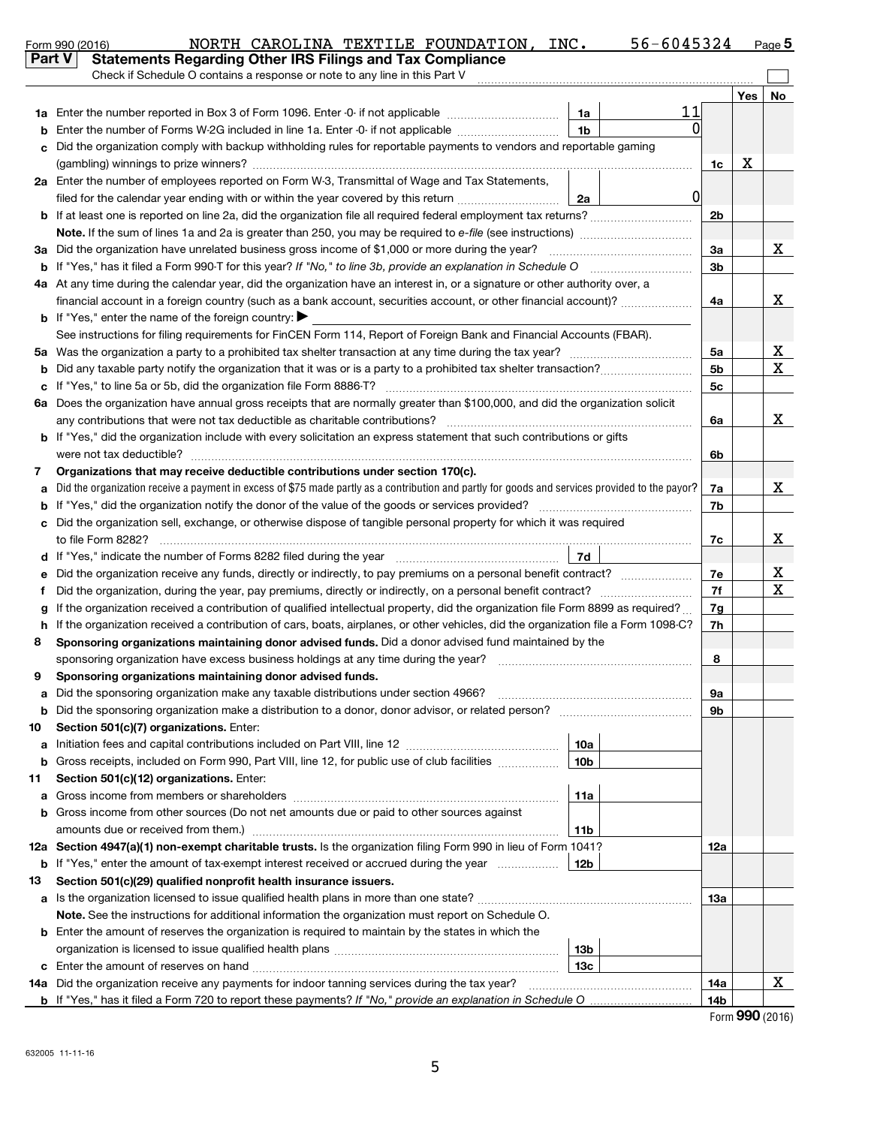| Part V | <b>Statements Regarding Other IRS Filings and Tax Compliance</b>                                                                                                                                                  |  |                |            |    |  |  |  |  |  |
|--------|-------------------------------------------------------------------------------------------------------------------------------------------------------------------------------------------------------------------|--|----------------|------------|----|--|--|--|--|--|
|        | Check if Schedule O contains a response or note to any line in this Part V                                                                                                                                        |  |                |            |    |  |  |  |  |  |
|        |                                                                                                                                                                                                                   |  |                | <b>Yes</b> | No |  |  |  |  |  |
| 1a     | 11<br>Enter the number reported in Box 3 of Form 1096. Enter -0- if not applicable<br>1a                                                                                                                          |  |                |            |    |  |  |  |  |  |
|        | Enter the number of Forms W-2G included in line 1a. Enter -0- if not applicable<br>1 <sub>b</sub>                                                                                                                 |  |                |            |    |  |  |  |  |  |
|        | Did the organization comply with backup withholding rules for reportable payments to vendors and reportable gaming                                                                                                |  |                |            |    |  |  |  |  |  |
|        | 1c                                                                                                                                                                                                                |  |                |            |    |  |  |  |  |  |
|        | 2a Enter the number of employees reported on Form W-3, Transmittal of Wage and Tax Statements,                                                                                                                    |  |                |            |    |  |  |  |  |  |
|        | $\overline{0}$<br>filed for the calendar year ending with or within the year covered by this return<br>2a                                                                                                         |  |                |            |    |  |  |  |  |  |
|        |                                                                                                                                                                                                                   |  | 2 <sub>b</sub> |            |    |  |  |  |  |  |
|        | <b>Note.</b> If the sum of lines 1a and 2a is greater than 250, you may be required to e-file (see instructions)<br>Did the organization have unrelated business gross income of \$1,000 or more during the year? |  | 3a             |            | x  |  |  |  |  |  |
| За     |                                                                                                                                                                                                                   |  | 3 <sub>b</sub> |            |    |  |  |  |  |  |
| b      | At any time during the calendar year, did the organization have an interest in, or a signature or other authority over, a                                                                                         |  |                |            |    |  |  |  |  |  |
| 4a     | financial account in a foreign country (such as a bank account, securities account, or other financial account)?                                                                                                  |  | 4a             |            | x  |  |  |  |  |  |
|        | If "Yes," enter the name of the foreign country: $\blacktriangleright$                                                                                                                                            |  |                |            |    |  |  |  |  |  |
|        | See instructions for filing requirements for FinCEN Form 114, Report of Foreign Bank and Financial Accounts (FBAR).                                                                                               |  |                |            |    |  |  |  |  |  |
| 5a     |                                                                                                                                                                                                                   |  | 5a             |            | X  |  |  |  |  |  |
|        |                                                                                                                                                                                                                   |  | 5 <sub>b</sub> |            | X  |  |  |  |  |  |
| c      |                                                                                                                                                                                                                   |  | 5c             |            |    |  |  |  |  |  |
| 6a     | Does the organization have annual gross receipts that are normally greater than \$100,000, and did the organization solicit                                                                                       |  |                |            |    |  |  |  |  |  |
|        | any contributions that were not tax deductible as charitable contributions?                                                                                                                                       |  | 6a             |            | x  |  |  |  |  |  |
|        | If "Yes," did the organization include with every solicitation an express statement that such contributions or gifts                                                                                              |  |                |            |    |  |  |  |  |  |
|        |                                                                                                                                                                                                                   |  | 6b             |            |    |  |  |  |  |  |
| 7      | Organizations that may receive deductible contributions under section 170(c).                                                                                                                                     |  |                |            |    |  |  |  |  |  |
|        | Did the organization receive a payment in excess of \$75 made partly as a contribution and partly for goods and services provided to the payor?                                                                   |  |                |            |    |  |  |  |  |  |
|        |                                                                                                                                                                                                                   |  |                |            |    |  |  |  |  |  |
|        | Did the organization sell, exchange, or otherwise dispose of tangible personal property for which it was required                                                                                                 |  |                |            |    |  |  |  |  |  |
|        |                                                                                                                                                                                                                   |  |                |            |    |  |  |  |  |  |
|        | 7d                                                                                                                                                                                                                |  |                |            |    |  |  |  |  |  |
|        | Did the organization receive any funds, directly or indirectly, to pay premiums on a personal benefit contract?                                                                                                   |  | 7е             |            | х  |  |  |  |  |  |
|        | Did the organization, during the year, pay premiums, directly or indirectly, on a personal benefit contract?                                                                                                      |  | 7f             |            | X  |  |  |  |  |  |
|        | If the organization received a contribution of qualified intellectual property, did the organization file Form 8899 as required?                                                                                  |  | 7g             |            |    |  |  |  |  |  |
| h      | If the organization received a contribution of cars, boats, airplanes, or other vehicles, did the organization file a Form 1098-C?                                                                                |  | 7h             |            |    |  |  |  |  |  |
| 8      | Sponsoring organizations maintaining donor advised funds. Did a donor advised fund maintained by the                                                                                                              |  |                |            |    |  |  |  |  |  |
|        | sponsoring organization have excess business holdings at any time during the year?<br>Sponsoring organizations maintaining donor advised funds.                                                                   |  | 8              |            |    |  |  |  |  |  |
| 9      |                                                                                                                                                                                                                   |  |                |            |    |  |  |  |  |  |
| а<br>b | Did the sponsoring organization make a distribution to a donor, donor advisor, or related person?                                                                                                                 |  | 9а<br>9b       |            |    |  |  |  |  |  |
| 10     | Section 501(c)(7) organizations. Enter:                                                                                                                                                                           |  |                |            |    |  |  |  |  |  |
| a      | 10a                                                                                                                                                                                                               |  |                |            |    |  |  |  |  |  |
| b      | Gross receipts, included on Form 990, Part VIII, line 12, for public use of club facilities<br>10 <sub>b</sub>                                                                                                    |  |                |            |    |  |  |  |  |  |
| 11     | Section 501(c)(12) organizations. Enter:                                                                                                                                                                          |  |                |            |    |  |  |  |  |  |
| a      | 11a                                                                                                                                                                                                               |  |                |            |    |  |  |  |  |  |
| b      | Gross income from other sources (Do not net amounts due or paid to other sources against                                                                                                                          |  |                |            |    |  |  |  |  |  |
|        | 11b                                                                                                                                                                                                               |  |                |            |    |  |  |  |  |  |
|        | 12a Section 4947(a)(1) non-exempt charitable trusts. Is the organization filing Form 990 in lieu of Form 1041?                                                                                                    |  |                |            |    |  |  |  |  |  |
| b      | If "Yes," enter the amount of tax-exempt interest received or accrued during the year<br>12b                                                                                                                      |  | 12a            |            |    |  |  |  |  |  |
| 13     | Section 501(c)(29) qualified nonprofit health insurance issuers.                                                                                                                                                  |  |                |            |    |  |  |  |  |  |
| a      | Is the organization licensed to issue qualified health plans in more than one state?                                                                                                                              |  |                |            |    |  |  |  |  |  |
|        | Note. See the instructions for additional information the organization must report on Schedule O.                                                                                                                 |  |                |            |    |  |  |  |  |  |
| b      | Enter the amount of reserves the organization is required to maintain by the states in which the                                                                                                                  |  |                |            |    |  |  |  |  |  |
|        | 13 <sub>b</sub>                                                                                                                                                                                                   |  |                |            |    |  |  |  |  |  |
| c      | 13c                                                                                                                                                                                                               |  |                |            |    |  |  |  |  |  |
|        | 14a Did the organization receive any payments for indoor tanning services during the tax year?                                                                                                                    |  | 14a            |            | X  |  |  |  |  |  |
|        | b If "Yes," has it filed a Form 720 to report these payments? If "No," provide an explanation in Schedule O                                                                                                       |  | 14b            |            |    |  |  |  |  |  |

Form 990 (2016) NORTH CAROLINA TEXTILE FOUNDATION,INC. 56-6045324 Page

NORTH CAROLINA TEXTILE FOUNDATION, INC. 56-6045324

Form (2016) **990**

56-6045324 Page 5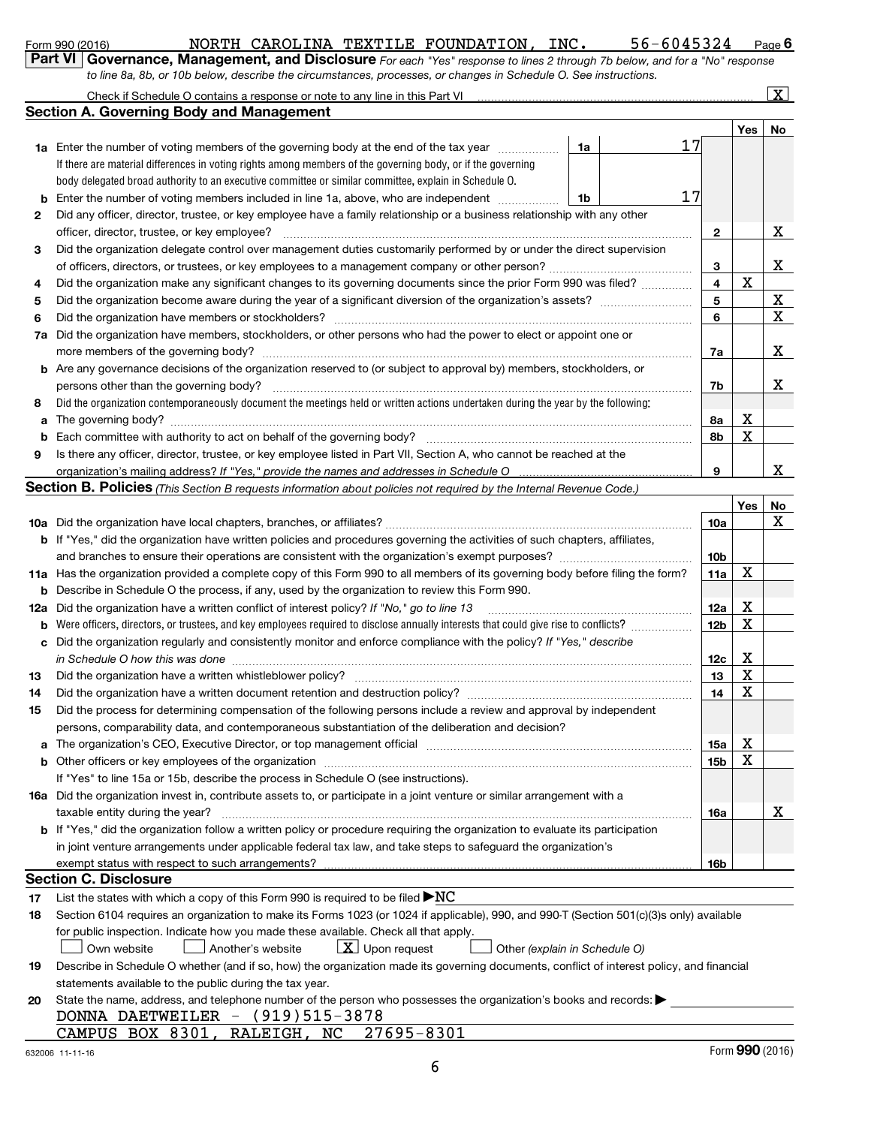|  | Form 990 (2016) |  |
|--|-----------------|--|
|  |                 |  |

### Form 990 (2016) NORTH CAROLINA TEXTILE FOUNDATION, INC. 56-6045324 Page

**6**

| Part VI   Governance, Management, and Disclosure For each "Yes" response to lines 2 through 7b below, and for a "No" response |
|-------------------------------------------------------------------------------------------------------------------------------|
| to line 8a, 8b, or 10b below, describe the circumstances, processes, or changes in Schedule O. See instructions.              |

|                                          | Check if Schedule O contains a response or note to any line in this Part VI |  |
|------------------------------------------|-----------------------------------------------------------------------------|--|
| Section A. Governing Body and Management |                                                                             |  |

 $\lfloor x \rfloor$ 

|     |                                                                                                                                                                                                                                |    |    |                 | Yes         | No          |  |  |  |
|-----|--------------------------------------------------------------------------------------------------------------------------------------------------------------------------------------------------------------------------------|----|----|-----------------|-------------|-------------|--|--|--|
| 1a  | Enter the number of voting members of the governing body at the end of the tax year <i>manumum</i>                                                                                                                             | 1a | 17 |                 |             |             |  |  |  |
|     | If there are material differences in voting rights among members of the governing body, or if the governing                                                                                                                    |    |    |                 |             |             |  |  |  |
|     | body delegated broad authority to an executive committee or similar committee, explain in Schedule O.                                                                                                                          |    |    |                 |             |             |  |  |  |
| b   | 17<br>Enter the number of voting members included in line 1a, above, who are independent<br>1b                                                                                                                                 |    |    |                 |             |             |  |  |  |
| 2   | Did any officer, director, trustee, or key employee have a family relationship or a business relationship with any other                                                                                                       |    |    |                 |             |             |  |  |  |
|     | officer, director, trustee, or key employee?                                                                                                                                                                                   |    | .  | $\mathbf{2}$    |             | X           |  |  |  |
| 3   | Did the organization delegate control over management duties customarily performed by or under the direct supervision                                                                                                          |    |    |                 |             |             |  |  |  |
|     |                                                                                                                                                                                                                                |    |    | 3               |             | x           |  |  |  |
| 4   | Did the organization make any significant changes to its governing documents since the prior Form 990 was filed?                                                                                                               |    |    | 4               | $\mathbf X$ |             |  |  |  |
| 5   | Did the organization become aware during the year of a significant diversion of the organization's assets?                                                                                                                     |    |    | 5               |             | X           |  |  |  |
| 6   |                                                                                                                                                                                                                                |    |    | 6               |             | $\mathbf X$ |  |  |  |
| 7а  | Did the organization have members, stockholders, or other persons who had the power to elect or appoint one or                                                                                                                 |    |    |                 |             |             |  |  |  |
|     |                                                                                                                                                                                                                                |    |    | 7a              |             | x           |  |  |  |
| b   | Are any governance decisions of the organization reserved to (or subject to approval by) members, stockholders, or                                                                                                             |    |    |                 |             |             |  |  |  |
|     | persons other than the governing body?                                                                                                                                                                                         |    |    | 7b              |             | x           |  |  |  |
| 8   | Did the organization contemporaneously document the meetings held or written actions undertaken during the year by the following:                                                                                              |    |    |                 |             |             |  |  |  |
| a   | The governing body? www.communically.com/news/communically-communically-communically-communically-communically-                                                                                                                |    |    | 8а              | Χ           |             |  |  |  |
|     |                                                                                                                                                                                                                                |    |    | 8b              | X           |             |  |  |  |
| 9   | Is there any officer, director, trustee, or key employee listed in Part VII, Section A, who cannot be reached at the                                                                                                           |    |    |                 |             |             |  |  |  |
|     | organization's mailing address? If "Yes," provide the names and addresses in Schedule O                                                                                                                                        |    |    | 9               |             | x           |  |  |  |
|     | Section B. Policies (This Section B requests information about policies not required by the Internal Revenue Code.)                                                                                                            |    |    |                 |             |             |  |  |  |
|     |                                                                                                                                                                                                                                |    |    |                 | Yes         | No          |  |  |  |
| 10a |                                                                                                                                                                                                                                |    |    | 10a             |             | х           |  |  |  |
| b   | If "Yes," did the organization have written policies and procedures governing the activities of such chapters, affiliates,                                                                                                     |    |    |                 |             |             |  |  |  |
|     |                                                                                                                                                                                                                                |    |    | 10 <sub>b</sub> |             |             |  |  |  |
| 11a | Has the organization provided a complete copy of this Form 990 to all members of its governing body before filing the form?                                                                                                    |    |    |                 |             |             |  |  |  |
| b   | Describe in Schedule O the process, if any, used by the organization to review this Form 990.                                                                                                                                  |    |    |                 |             |             |  |  |  |
| 12a | Did the organization have a written conflict of interest policy? If "No," go to line 13                                                                                                                                        |    |    |                 |             |             |  |  |  |
| b   |                                                                                                                                                                                                                                |    |    | 12 <sub>b</sub> | X           |             |  |  |  |
| c   | Did the organization regularly and consistently monitor and enforce compliance with the policy? If "Yes," describe                                                                                                             |    |    |                 |             |             |  |  |  |
|     | in Schedule O how this was done manufactured and an account of the state of the state of the state of the state of the state of the state of the state of the state of the state of the state of the state of the state of the |    |    | 12c             | х           |             |  |  |  |
| 13  | Did the organization have a written whistleblower policy?                                                                                                                                                                      |    |    | 13              | X           |             |  |  |  |
| 14  |                                                                                                                                                                                                                                |    |    | 14              | X           |             |  |  |  |
| 15  | Did the process for determining compensation of the following persons include a review and approval by independent                                                                                                             |    |    |                 |             |             |  |  |  |
|     | persons, comparability data, and contemporaneous substantiation of the deliberation and decision?                                                                                                                              |    |    |                 |             |             |  |  |  |
| a   |                                                                                                                                                                                                                                |    |    | 15a             | х           |             |  |  |  |
|     |                                                                                                                                                                                                                                |    |    | 15b             | X           |             |  |  |  |
|     | If "Yes" to line 15a or 15b, describe the process in Schedule O (see instructions).                                                                                                                                            |    |    |                 |             |             |  |  |  |
|     | 16a Did the organization invest in, contribute assets to, or participate in a joint venture or similar arrangement with a                                                                                                      |    |    |                 |             |             |  |  |  |
|     | taxable entity during the year?                                                                                                                                                                                                |    |    | 16a             |             | x           |  |  |  |
|     | b If "Yes," did the organization follow a written policy or procedure requiring the organization to evaluate its participation                                                                                                 |    |    |                 |             |             |  |  |  |
|     | in joint venture arrangements under applicable federal tax law, and take steps to safeguard the organization's                                                                                                                 |    |    |                 |             |             |  |  |  |
|     | exempt status with respect to such arrangements?                                                                                                                                                                               |    |    | 16b             |             |             |  |  |  |
|     | <b>Section C. Disclosure</b>                                                                                                                                                                                                   |    |    |                 |             |             |  |  |  |
| 17  | List the states with which a copy of this Form 990 is required to be filed $\blacktriangleright NC$                                                                                                                            |    |    |                 |             |             |  |  |  |
| 18  | Section 6104 requires an organization to make its Forms 1023 (or 1024 if applicable), 990, and 990-T (Section 501(c)(3)s only) available                                                                                       |    |    |                 |             |             |  |  |  |
|     | for public inspection. Indicate how you made these available. Check all that apply.                                                                                                                                            |    |    |                 |             |             |  |  |  |
|     | $\lfloor x \rfloor$ Upon request<br>Own website<br>Another's website<br>Other (explain in Schedule O)                                                                                                                          |    |    |                 |             |             |  |  |  |
| 19  | Describe in Schedule O whether (and if so, how) the organization made its governing documents, conflict of interest policy, and financial                                                                                      |    |    |                 |             |             |  |  |  |
|     | statements available to the public during the tax year.                                                                                                                                                                        |    |    |                 |             |             |  |  |  |
| 20  | State the name, address, and telephone number of the person who possesses the organization's books and records:                                                                                                                |    |    |                 |             |             |  |  |  |
|     | DONNA DAETWEILER - (919)515-3878<br>CAMPUS BOX 8301, RALEIGH, NC 27695-8301                                                                                                                                                    |    |    |                 |             |             |  |  |  |
|     |                                                                                                                                                                                                                                |    |    |                 |             |             |  |  |  |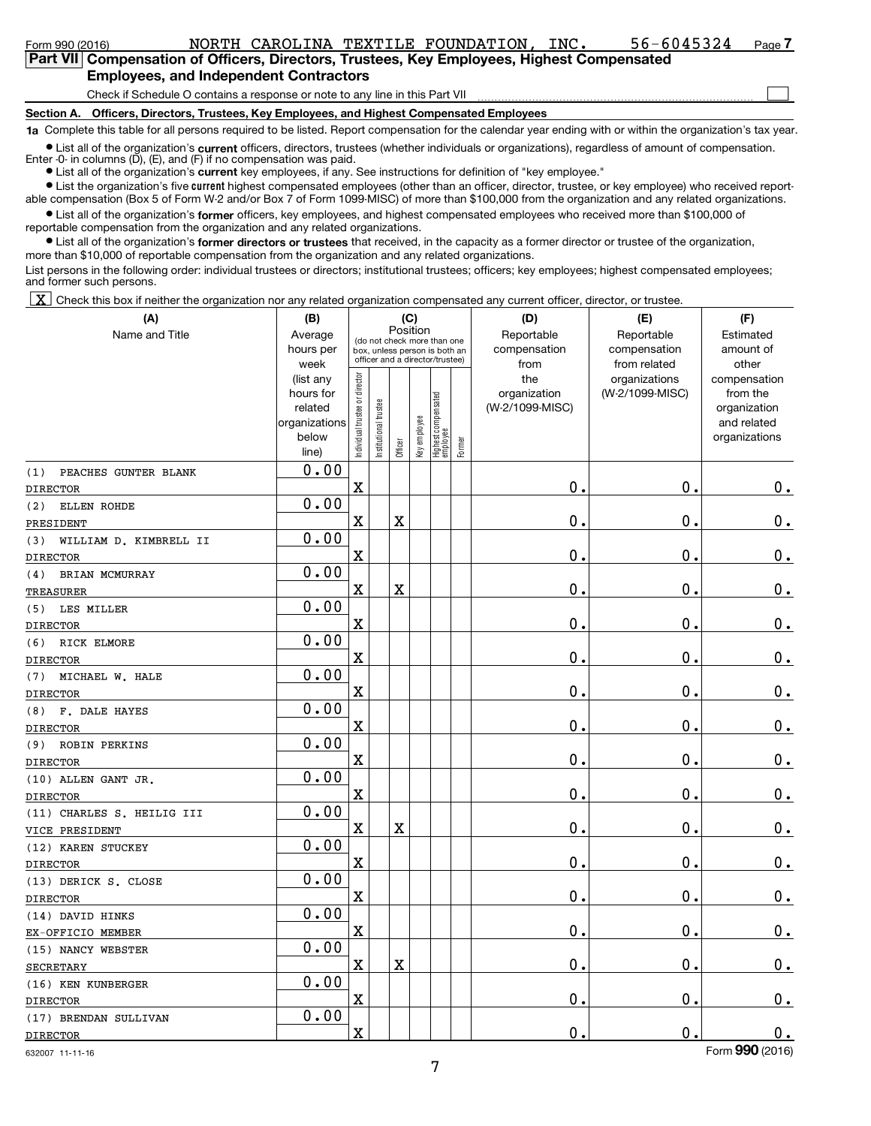Form 990 (2016) NORTH CAROLINA TEXTILE FOUNDATION, INC. 56-6045324 Page

 $\begin{array}{c} \hline \end{array}$ 

# **Part VII Compensation of Officers, Directors, Trustees, Key Employees, Highest Compensated Employees, and Independent Contractors**

Check if Schedule O contains a response or note to any line in this Part VII

#### **Section A. Officers, Directors, Trustees, Key Employees, and Highest Compensated Employees**

**1a**  Complete this table for all persons required to be listed. Report compensation for the calendar year ending with or within the organization's tax year.

● List all of the organization's **current** officers, directors, trustees (whether individuals or organizations), regardless of amount of compensation.<br>Enter -0- in columns (D), (E), and (F) if no compensation was paid.

**•** List all of the organization's current key employees, if any. See instructions for definition of "key employee."

**•** List the organization's five current highest compensated employees (other than an officer, director, trustee, or key employee) who received reportable compensation (Box 5 of Form W-2 and/or Box 7 of Form 1099-MISC) of more than \$100,000 from the organization and any related organizations.

**•** List all of the organization's former officers, key employees, and highest compensated employees who received more than \$100,000 of reportable compensation from the organization and any related organizations.

**•** List all of the organization's former directors or trustees that received, in the capacity as a former director or trustee of the organization, more than \$10,000 of reportable compensation from the organization and any related organizations.

List persons in the following order: individual trustees or directors; institutional trustees; officers; key employees; highest compensated employees; and former such persons.

X Check this box if neither the organization nor any related organization compensated any current officer, director, or trustee.

| (A)                                              | (B)                                                                  |                                |                                                                                                 | (C)      |              |                                 |        | (D)                                    | (E)                                        | (F)                                                                      |
|--------------------------------------------------|----------------------------------------------------------------------|--------------------------------|-------------------------------------------------------------------------------------------------|----------|--------------|---------------------------------|--------|----------------------------------------|--------------------------------------------|--------------------------------------------------------------------------|
| Name and Title                                   | Average<br>hours per<br>week                                         |                                | (do not check more than one<br>box, unless person is both an<br>officer and a director/trustee) | Position |              |                                 |        | Reportable<br>compensation<br>from     | Reportable<br>compensation<br>from related | Estimated<br>amount of<br>other                                          |
|                                                  | (list any<br>hours for<br>related<br>organizations<br>below<br>line) | Individual trustee or director | nstitutional trustee                                                                            | Officer  | Key employee | Highest compensated<br>employee | Former | the<br>organization<br>(W-2/1099-MISC) | organizations<br>(W-2/1099-MISC)           | compensation<br>from the<br>organization<br>and related<br>organizations |
| PEACHES GUNTER BLANK<br>(1)                      | 0.00                                                                 |                                |                                                                                                 |          |              |                                 |        |                                        |                                            |                                                                          |
| <b>DIRECTOR</b>                                  |                                                                      | X                              |                                                                                                 |          |              |                                 |        | $\mathbf 0$ .                          | $\mathbf 0$ .                              | $\mathbf 0$ .                                                            |
| ELLEN ROHDE<br>(2)                               | 0.00                                                                 |                                |                                                                                                 |          |              |                                 |        |                                        |                                            |                                                                          |
| PRESIDENT                                        |                                                                      | X                              |                                                                                                 | X        |              |                                 |        | $\mathbf 0$ .                          | $\mathbf 0$ .                              | $\mathbf 0$ .                                                            |
| WILLIAM D. KIMBRELL II<br>(3)<br><b>DIRECTOR</b> | 0.00                                                                 | X                              |                                                                                                 |          |              |                                 |        | $\mathbf 0$ .                          | $\mathbf 0$ .                              | $0_{.}$                                                                  |
| BRIAN MCMURRAY<br>(4)                            | 0.00                                                                 |                                |                                                                                                 |          |              |                                 |        |                                        |                                            |                                                                          |
| TREASURER                                        |                                                                      | X                              |                                                                                                 | X        |              |                                 |        | $\mathbf 0$ .                          | $\mathbf 0$ .                              | $0$ .                                                                    |
| (5)<br>LES MILLER                                | 0.00                                                                 |                                |                                                                                                 |          |              |                                 |        |                                        |                                            |                                                                          |
| <b>DIRECTOR</b>                                  |                                                                      | $\mathbf X$                    |                                                                                                 |          |              |                                 |        | $\mathbf 0$ .                          | $\mathbf 0$ .                              | $\mathbf 0$ .                                                            |
| RICK ELMORE<br>(6)                               | 0.00                                                                 |                                |                                                                                                 |          |              |                                 |        |                                        |                                            |                                                                          |
| <b>DIRECTOR</b>                                  |                                                                      | X                              |                                                                                                 |          |              |                                 |        | $\mathbf 0$ .                          | $\mathbf 0$ .                              | $\mathbf 0$ .                                                            |
| MICHAEL W. HALE<br>(7)                           | 0.00                                                                 |                                |                                                                                                 |          |              |                                 |        |                                        |                                            |                                                                          |
| <b>DIRECTOR</b>                                  |                                                                      | $\rm X$                        |                                                                                                 |          |              |                                 |        | $\mathbf 0$ .                          | $\mathbf 0$ .                              | $0_{.}$                                                                  |
| F. DALE HAYES<br>(8)                             | 0.00                                                                 |                                |                                                                                                 |          |              |                                 |        |                                        |                                            |                                                                          |
| <b>DIRECTOR</b>                                  |                                                                      | X                              |                                                                                                 |          |              |                                 |        | $\mathbf 0$ .                          | $\mathbf 0$                                | $0_{.}$                                                                  |
| <b>ROBIN PERKINS</b><br>(9)                      | 0.00                                                                 |                                |                                                                                                 |          |              |                                 |        |                                        |                                            |                                                                          |
| <b>DIRECTOR</b>                                  |                                                                      | $\mathbf X$                    |                                                                                                 |          |              |                                 |        | $\mathbf 0$ .                          | $\mathbf 0$ .                              | $0_{\cdot}$                                                              |
| (10) ALLEN GANT JR.                              | 0.00                                                                 |                                |                                                                                                 |          |              |                                 |        |                                        |                                            |                                                                          |
| <b>DIRECTOR</b>                                  |                                                                      | $\mathbf X$                    |                                                                                                 |          |              |                                 |        | $\mathbf 0$ .                          | $\mathbf 0$ .                              | $0_{.}$                                                                  |
| (11) CHARLES S. HEILIG III                       | 0.00                                                                 |                                |                                                                                                 |          |              |                                 |        |                                        |                                            |                                                                          |
| VICE PRESIDENT                                   |                                                                      | $\mathbf X$                    |                                                                                                 | X        |              |                                 |        | $\mathbf 0$ .                          | $\mathbf 0$ .                              | $\mathbf 0$ .                                                            |
| (12) KAREN STUCKEY                               | 0.00                                                                 |                                |                                                                                                 |          |              |                                 |        |                                        |                                            |                                                                          |
| <b>DIRECTOR</b>                                  |                                                                      | X                              |                                                                                                 |          |              |                                 |        | $\mathbf 0$ .                          | $\mathbf 0$ .                              | $\mathbf 0$ .                                                            |
| (13) DERICK S. CLOSE                             | 0.00                                                                 |                                |                                                                                                 |          |              |                                 |        |                                        |                                            |                                                                          |
| <b>DIRECTOR</b>                                  |                                                                      | $\mathbf X$                    |                                                                                                 |          |              |                                 |        | $\mathbf 0$ .                          | $\mathbf 0$ .                              | $\mathbf 0$ .                                                            |
| (14) DAVID HINKS                                 | 0.00                                                                 |                                |                                                                                                 |          |              |                                 |        |                                        |                                            |                                                                          |
| EX-OFFICIO MEMBER                                |                                                                      | $\mathbf X$                    |                                                                                                 |          |              |                                 |        | $\mathbf 0$ .                          | $\mathbf 0$                                | $\mathbf 0$ .                                                            |
| (15) NANCY WEBSTER                               | 0.00                                                                 |                                |                                                                                                 |          |              |                                 |        |                                        |                                            |                                                                          |
| <b>SECRETARY</b>                                 |                                                                      | X                              |                                                                                                 | X        |              |                                 |        | $\mathbf 0$ .                          | $\mathbf 0$                                | $0_{.}$                                                                  |
| (16) KEN KUNBERGER                               | 0.00                                                                 |                                |                                                                                                 |          |              |                                 |        |                                        |                                            |                                                                          |
| <b>DIRECTOR</b>                                  |                                                                      | $\mathbf X$                    |                                                                                                 |          |              |                                 |        | $\mathbf 0$ .                          | $\mathbf 0$                                | $\mathbf 0$ .                                                            |
| (17) BRENDAN SULLIVAN                            | 0.00                                                                 |                                |                                                                                                 |          |              |                                 |        |                                        |                                            |                                                                          |
| <b>DIRECTOR</b>                                  |                                                                      | X                              |                                                                                                 |          |              |                                 |        | $\mathbf 0$                            | $\mathbf 0$ .                              | 0.                                                                       |

632007 11-11-16

Form (2016) **990**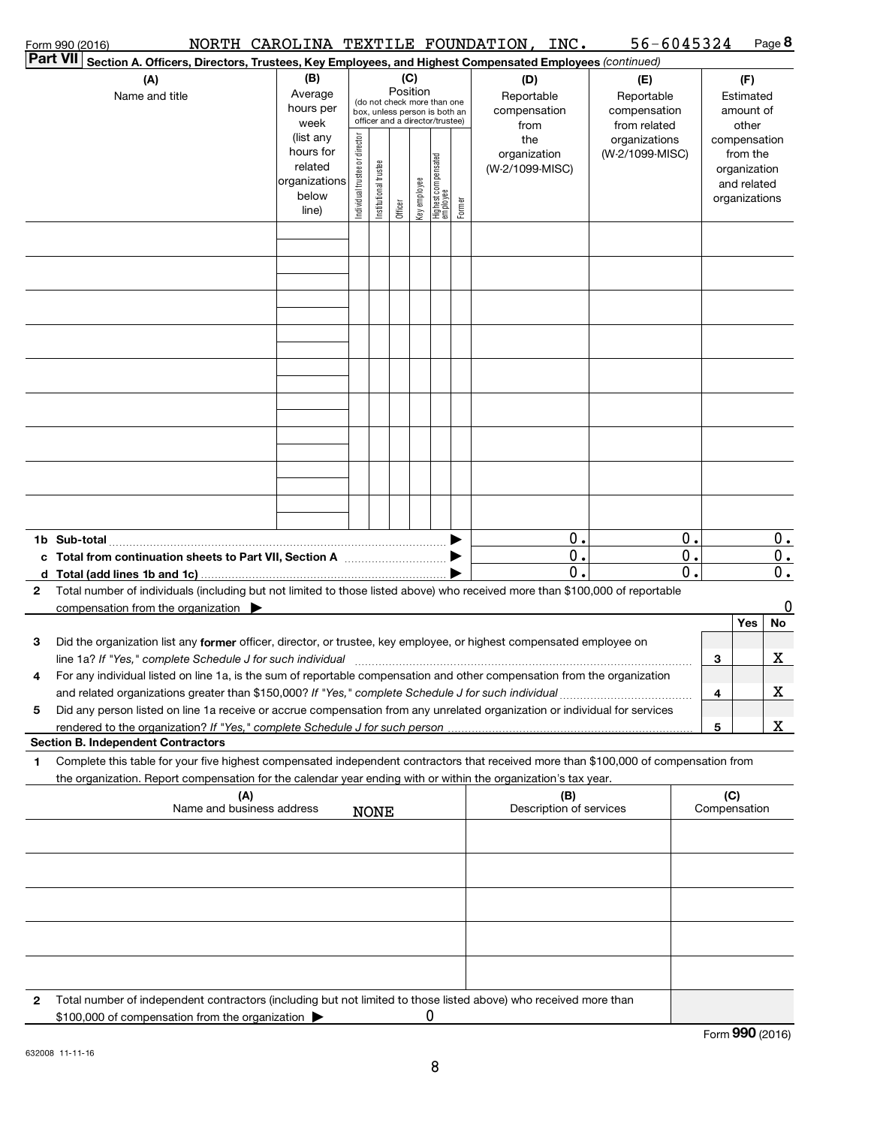|                 | Form 990 (2016)                                                                                                                                                                          |                          |                               |                       |                 |              |                                                              |        | NORTH CAROLINA TEXTILE FOUNDATION, INC. | $56 - 6045324$             |                  |              | Page 8                      |
|-----------------|------------------------------------------------------------------------------------------------------------------------------------------------------------------------------------------|--------------------------|-------------------------------|-----------------------|-----------------|--------------|--------------------------------------------------------------|--------|-----------------------------------------|----------------------------|------------------|--------------|-----------------------------|
| <b>Part VII</b> | Section A. Officers, Directors, Trustees, Key Employees, and Highest Compensated Employees (continued)                                                                                   |                          |                               |                       |                 |              |                                                              |        |                                         |                            |                  |              |                             |
|                 | (A)                                                                                                                                                                                      | (B)<br>Average           |                               |                       | (C)<br>Position |              |                                                              |        | (D)                                     | (E)                        |                  |              | (F)                         |
|                 | Name and title                                                                                                                                                                           | hours per                |                               |                       |                 |              | (do not check more than one<br>box, unless person is both an |        | Reportable<br>compensation              | Reportable<br>compensation |                  |              | Estimated<br>amount of      |
|                 |                                                                                                                                                                                          | week                     |                               |                       |                 |              | officer and a director/trustee)                              |        | from                                    | from related               |                  |              | other                       |
|                 |                                                                                                                                                                                          | (list any                |                               |                       |                 |              |                                                              |        | the                                     | organizations              |                  |              | compensation                |
|                 |                                                                                                                                                                                          | hours for                |                               |                       |                 |              |                                                              |        | organization                            | (W-2/1099-MISC)            |                  |              | from the                    |
|                 |                                                                                                                                                                                          | related<br>organizations |                               |                       |                 |              |                                                              |        | (W-2/1099-MISC)                         |                            |                  |              | organization<br>and related |
|                 |                                                                                                                                                                                          | below                    | ndividual trustee or director | Institutional trustee |                 | Key employee |                                                              |        |                                         |                            |                  |              | organizations               |
|                 |                                                                                                                                                                                          | line)                    |                               |                       | Officer         |              | Highest compensated<br>employee                              | Former |                                         |                            |                  |              |                             |
|                 |                                                                                                                                                                                          |                          |                               |                       |                 |              |                                                              |        |                                         |                            |                  |              |                             |
|                 |                                                                                                                                                                                          |                          |                               |                       |                 |              |                                                              |        |                                         |                            |                  |              |                             |
|                 |                                                                                                                                                                                          |                          |                               |                       |                 |              |                                                              |        |                                         |                            |                  |              |                             |
|                 |                                                                                                                                                                                          |                          |                               |                       |                 |              |                                                              |        |                                         |                            |                  |              |                             |
|                 |                                                                                                                                                                                          |                          |                               |                       |                 |              |                                                              |        |                                         |                            |                  |              |                             |
|                 |                                                                                                                                                                                          |                          |                               |                       |                 |              |                                                              |        |                                         |                            |                  |              |                             |
|                 |                                                                                                                                                                                          |                          |                               |                       |                 |              |                                                              |        |                                         |                            |                  |              |                             |
|                 |                                                                                                                                                                                          |                          |                               |                       |                 |              |                                                              |        |                                         |                            |                  |              |                             |
|                 |                                                                                                                                                                                          |                          |                               |                       |                 |              |                                                              |        |                                         |                            |                  |              |                             |
|                 |                                                                                                                                                                                          |                          |                               |                       |                 |              |                                                              |        |                                         |                            |                  |              |                             |
|                 |                                                                                                                                                                                          |                          |                               |                       |                 |              |                                                              |        |                                         |                            |                  |              |                             |
|                 |                                                                                                                                                                                          |                          |                               |                       |                 |              |                                                              |        |                                         |                            |                  |              |                             |
|                 |                                                                                                                                                                                          |                          |                               |                       |                 |              |                                                              |        |                                         |                            |                  |              |                             |
|                 |                                                                                                                                                                                          |                          |                               |                       |                 |              |                                                              |        |                                         |                            |                  |              |                             |
|                 |                                                                                                                                                                                          |                          |                               |                       |                 |              |                                                              |        |                                         |                            |                  |              |                             |
|                 |                                                                                                                                                                                          |                          |                               |                       |                 |              |                                                              |        |                                         |                            |                  |              |                             |
|                 |                                                                                                                                                                                          |                          |                               |                       |                 |              |                                                              |        |                                         |                            |                  |              |                             |
|                 |                                                                                                                                                                                          |                          |                               |                       |                 |              |                                                              |        | О.                                      |                            | 0.               |              | 0.                          |
|                 |                                                                                                                                                                                          |                          |                               |                       |                 |              |                                                              |        | $\mathbf 0$ .                           |                            | 0.               |              | $\mathbf 0$ .               |
|                 |                                                                                                                                                                                          |                          |                               |                       |                 |              |                                                              |        | $\mathbf 0$ .                           |                            | $\overline{0}$ . |              | $\overline{0}$ .            |
| $\mathbf{2}$    | Total number of individuals (including but not limited to those listed above) who received more than \$100,000 of reportable<br>compensation from the organization $\blacktriangleright$ |                          |                               |                       |                 |              |                                                              |        |                                         |                            |                  |              | 0                           |
|                 |                                                                                                                                                                                          |                          |                               |                       |                 |              |                                                              |        |                                         |                            |                  |              | No<br>Yes                   |
| 3               | Did the organization list any former officer, director, or trustee, key employee, or highest compensated employee on                                                                     |                          |                               |                       |                 |              |                                                              |        |                                         |                            |                  |              |                             |
|                 |                                                                                                                                                                                          |                          |                               |                       |                 |              |                                                              |        |                                         |                            |                  | 3            | х                           |
| 4               | For any individual listed on line 1a, is the sum of reportable compensation and other compensation from the organization                                                                 |                          |                               |                       |                 |              |                                                              |        |                                         |                            |                  |              |                             |
|                 |                                                                                                                                                                                          |                          |                               |                       |                 |              |                                                              |        |                                         |                            |                  | 4            | х                           |
| 5               | Did any person listed on line 1a receive or accrue compensation from any unrelated organization or individual for services                                                               |                          |                               |                       |                 |              |                                                              |        |                                         |                            |                  |              |                             |
|                 | rendered to the organization? If "Yes," complete Schedule J for such person                                                                                                              |                          |                               |                       |                 |              |                                                              |        |                                         |                            |                  | 5            | <u>x</u>                    |
|                 | <b>Section B. Independent Contractors</b>                                                                                                                                                |                          |                               |                       |                 |              |                                                              |        |                                         |                            |                  |              |                             |
| 1               | Complete this table for your five highest compensated independent contractors that received more than \$100,000 of compensation from                                                     |                          |                               |                       |                 |              |                                                              |        |                                         |                            |                  |              |                             |
|                 | the organization. Report compensation for the calendar year ending with or within the organization's tax year.<br>(A)                                                                    |                          |                               |                       |                 |              |                                                              |        | (B)                                     |                            |                  | (C)          |                             |
|                 | Name and business address                                                                                                                                                                |                          |                               | <b>NONE</b>           |                 |              |                                                              |        | Description of services                 |                            |                  | Compensation |                             |
|                 |                                                                                                                                                                                          |                          |                               |                       |                 |              |                                                              |        |                                         |                            |                  |              |                             |
|                 |                                                                                                                                                                                          |                          |                               |                       |                 |              |                                                              |        |                                         |                            |                  |              |                             |
|                 |                                                                                                                                                                                          |                          |                               |                       |                 |              |                                                              |        |                                         |                            |                  |              |                             |
|                 |                                                                                                                                                                                          |                          |                               |                       |                 |              |                                                              |        |                                         |                            |                  |              |                             |
|                 |                                                                                                                                                                                          |                          |                               |                       |                 |              |                                                              |        |                                         |                            |                  |              |                             |
|                 |                                                                                                                                                                                          |                          |                               |                       |                 |              |                                                              |        |                                         |                            |                  |              |                             |
|                 |                                                                                                                                                                                          |                          |                               |                       |                 |              |                                                              |        |                                         |                            |                  |              |                             |
|                 |                                                                                                                                                                                          |                          |                               |                       |                 |              |                                                              |        |                                         |                            |                  |              |                             |
| $\mathbf{2}$    | Total number of independent contractors (including but not limited to those listed above) who received more than                                                                         |                          |                               |                       |                 |              |                                                              |        |                                         |                            |                  |              |                             |
|                 | \$100,000 of compensation from the organization                                                                                                                                          |                          |                               |                       |                 |              |                                                              |        |                                         |                            |                  |              |                             |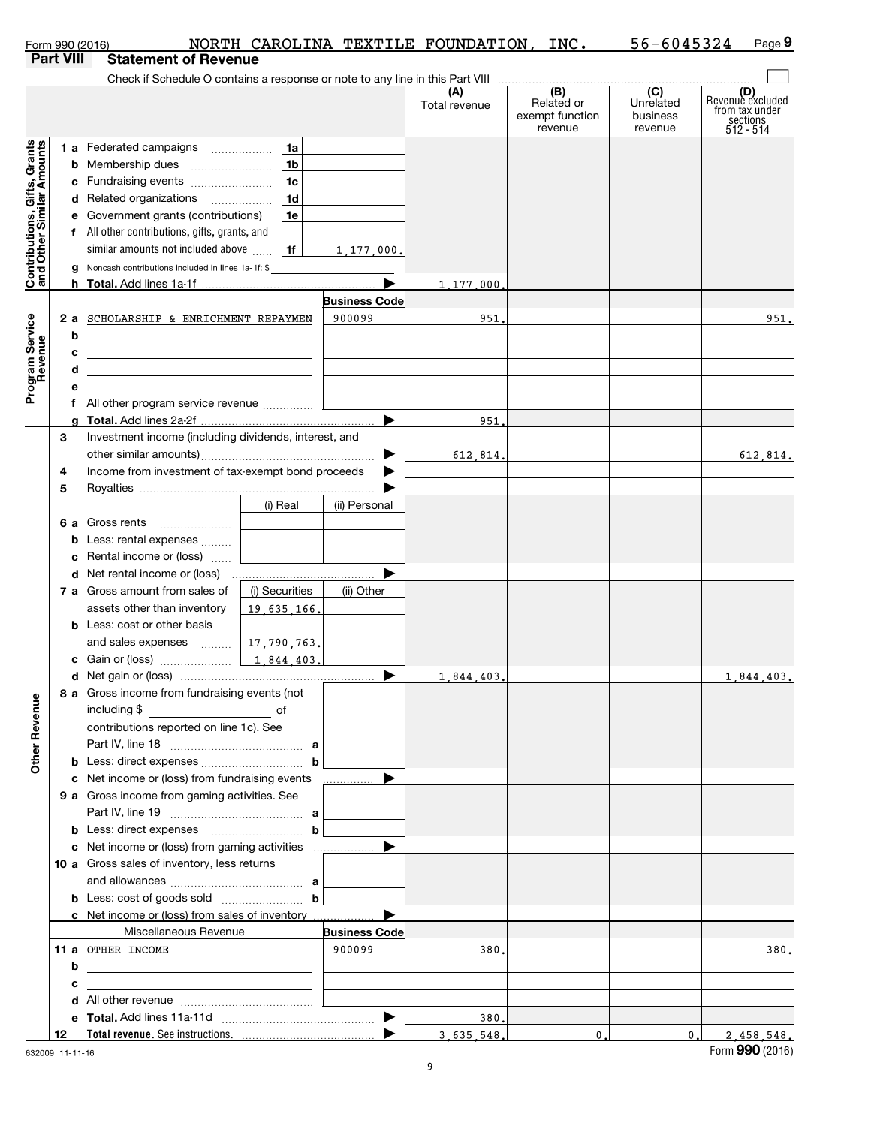|                                                           |                  |   | Form 990 (2016)                                                                           |                |                      | NORTH CAROLINA TEXTILE FOUNDATION, | INC.                                            | 56-6045324                              | Page 9                                                             |
|-----------------------------------------------------------|------------------|---|-------------------------------------------------------------------------------------------|----------------|----------------------|------------------------------------|-------------------------------------------------|-----------------------------------------|--------------------------------------------------------------------|
|                                                           | <b>Part VIII</b> |   | <b>Statement of Revenue</b>                                                               |                |                      |                                    |                                                 |                                         |                                                                    |
|                                                           |                  |   |                                                                                           |                |                      |                                    |                                                 |                                         |                                                                    |
|                                                           |                  |   |                                                                                           |                |                      | (A)<br>Total revenue               | (B)<br>Related or<br>exempt function<br>revenue | (C)<br>Unrelated<br>business<br>revenue | (D)<br>Revenue excluded<br>from tax under<br>sections<br>512 - 514 |
|                                                           |                  |   | 1 a Federated campaigns                                                                   | 1a             |                      |                                    |                                                 |                                         |                                                                    |
| Contributions, Gifts, Grants<br>and Other Similar Amounts |                  |   |                                                                                           | 1 <sub>b</sub> |                      |                                    |                                                 |                                         |                                                                    |
|                                                           |                  |   | c Fundraising events                                                                      | l 1c           |                      |                                    |                                                 |                                         |                                                                    |
|                                                           |                  |   | d Related organizations                                                                   | 1 <sub>d</sub> |                      |                                    |                                                 |                                         |                                                                    |
|                                                           |                  |   | e Government grants (contributions)                                                       | 1e             |                      |                                    |                                                 |                                         |                                                                    |
|                                                           |                  |   | f All other contributions, gifts, grants, and                                             |                |                      |                                    |                                                 |                                         |                                                                    |
|                                                           |                  |   | similar amounts not included above                                                        | 1f             | 1.177,000,           |                                    |                                                 |                                         |                                                                    |
|                                                           |                  |   | g Noncash contributions included in lines 1a-1f: \$                                       |                |                      |                                    |                                                 |                                         |                                                                    |
|                                                           |                  |   |                                                                                           |                | ▶                    | 1,177,000,                         |                                                 |                                         |                                                                    |
|                                                           |                  |   |                                                                                           |                | <b>Business Code</b> |                                    |                                                 |                                         |                                                                    |
|                                                           |                  |   | 2 a SCHOLARSHIP & ENRICHMENT REPAYMEN                                                     |                | 900099               | 951.                               |                                                 |                                         | 951.                                                               |
|                                                           |                  | b | <u> 1989 - Johann Barn, amerikansk politiker (d. 1989)</u>                                |                |                      |                                    |                                                 |                                         |                                                                    |
|                                                           |                  | с | <u> 1989 - Johann Stein, mars an de Brazilia (b. 1989)</u>                                |                |                      |                                    |                                                 |                                         |                                                                    |
|                                                           |                  | d | the control of the control of the control of the control of the control of the control of |                |                      |                                    |                                                 |                                         |                                                                    |
| Program Service<br>Revenue                                |                  |   |                                                                                           |                |                      |                                    |                                                 |                                         |                                                                    |
|                                                           |                  |   | f All other program service revenue                                                       |                |                      |                                    |                                                 |                                         |                                                                    |
|                                                           |                  |   |                                                                                           |                |                      | 951                                |                                                 |                                         |                                                                    |
|                                                           | З                |   | Investment income (including dividends, interest, and                                     |                |                      |                                    |                                                 |                                         |                                                                    |
|                                                           |                  |   |                                                                                           |                | ▶                    | 612.814.                           |                                                 |                                         | 612,814.                                                           |
|                                                           | 4                |   | Income from investment of tax-exempt bond proceeds                                        |                |                      |                                    |                                                 |                                         |                                                                    |
|                                                           | 5                |   |                                                                                           |                |                      |                                    |                                                 |                                         |                                                                    |
|                                                           |                  |   |                                                                                           | (i) Real       | (ii) Personal        |                                    |                                                 |                                         |                                                                    |
|                                                           |                  |   | 6 a Gross rents                                                                           |                |                      |                                    |                                                 |                                         |                                                                    |
|                                                           |                  |   | <b>b</b> Less: rental expenses                                                            |                |                      |                                    |                                                 |                                         |                                                                    |
|                                                           |                  |   | c Rental income or (loss)                                                                 |                |                      |                                    |                                                 |                                         |                                                                    |
|                                                           |                  |   |                                                                                           |                | ▶                    |                                    |                                                 |                                         |                                                                    |
|                                                           |                  |   | 7 a Gross amount from sales of                                                            | (i) Securities | (ii) Other           |                                    |                                                 |                                         |                                                                    |
|                                                           |                  |   | assets other than inventory                                                               | 19,635,166.    |                      |                                    |                                                 |                                         |                                                                    |
|                                                           |                  |   | <b>b</b> Less: cost or other basis                                                        |                |                      |                                    |                                                 |                                         |                                                                    |
|                                                           |                  |   | and sales expenses                                                                        | 17,790,763,    |                      |                                    |                                                 |                                         |                                                                    |
|                                                           |                  |   |                                                                                           | 1,844,403.     |                      |                                    |                                                 |                                         |                                                                    |
|                                                           |                  |   |                                                                                           |                |                      | 1,844,403.                         |                                                 |                                         | 1,844,403.                                                         |
|                                                           |                  |   | 8 a Gross income from fundraising events (not                                             |                |                      |                                    |                                                 |                                         |                                                                    |
| <b>Other Revenue</b>                                      |                  |   | including \$                                                                              |                |                      |                                    |                                                 |                                         |                                                                    |
|                                                           |                  |   | contributions reported on line 1c). See                                                   |                |                      |                                    |                                                 |                                         |                                                                    |
|                                                           |                  |   |                                                                                           |                |                      |                                    |                                                 |                                         |                                                                    |
|                                                           |                  |   |                                                                                           |                |                      |                                    |                                                 |                                         |                                                                    |
|                                                           |                  |   |                                                                                           |                |                      |                                    |                                                 |                                         |                                                                    |
|                                                           |                  |   | 9 a Gross income from gaming activities. See                                              |                |                      |                                    |                                                 |                                         |                                                                    |
|                                                           |                  |   |                                                                                           |                |                      |                                    |                                                 |                                         |                                                                    |
|                                                           |                  |   | <b>b</b> Less: direct expenses <b>contained b</b>                                         |                |                      |                                    |                                                 |                                         |                                                                    |
|                                                           |                  |   |                                                                                           |                |                      |                                    |                                                 |                                         |                                                                    |
|                                                           |                  |   | 10 a Gross sales of inventory, less returns                                               |                |                      |                                    |                                                 |                                         |                                                                    |
|                                                           |                  |   |                                                                                           |                |                      |                                    |                                                 |                                         |                                                                    |
|                                                           |                  |   |                                                                                           |                |                      |                                    |                                                 |                                         |                                                                    |
|                                                           |                  |   | c Net income or (loss) from sales of inventory                                            |                | ▶                    |                                    |                                                 |                                         |                                                                    |
|                                                           |                  |   | Miscellaneous Revenue                                                                     |                | <b>Business Code</b> |                                    |                                                 |                                         |                                                                    |
|                                                           |                  |   | 11 a OTHER INCOME                                                                         |                | 900099               | 380.                               |                                                 |                                         | 380.                                                               |
|                                                           |                  | b | <u> 1989 - Andrea Stadt Britain, amerikansk politiker (</u>                               |                |                      |                                    |                                                 |                                         |                                                                    |
|                                                           |                  | с | <u> 1980 - Jan Barbara Barbara, manazarta da kas</u>                                      |                |                      |                                    |                                                 |                                         |                                                                    |
|                                                           |                  |   |                                                                                           |                |                      |                                    |                                                 |                                         |                                                                    |
|                                                           |                  |   |                                                                                           |                |                      | 380.                               |                                                 |                                         |                                                                    |
|                                                           | 12               |   |                                                                                           |                |                      | 3.635.548.                         | 0.                                              | 0.                                      | 2.458.548.                                                         |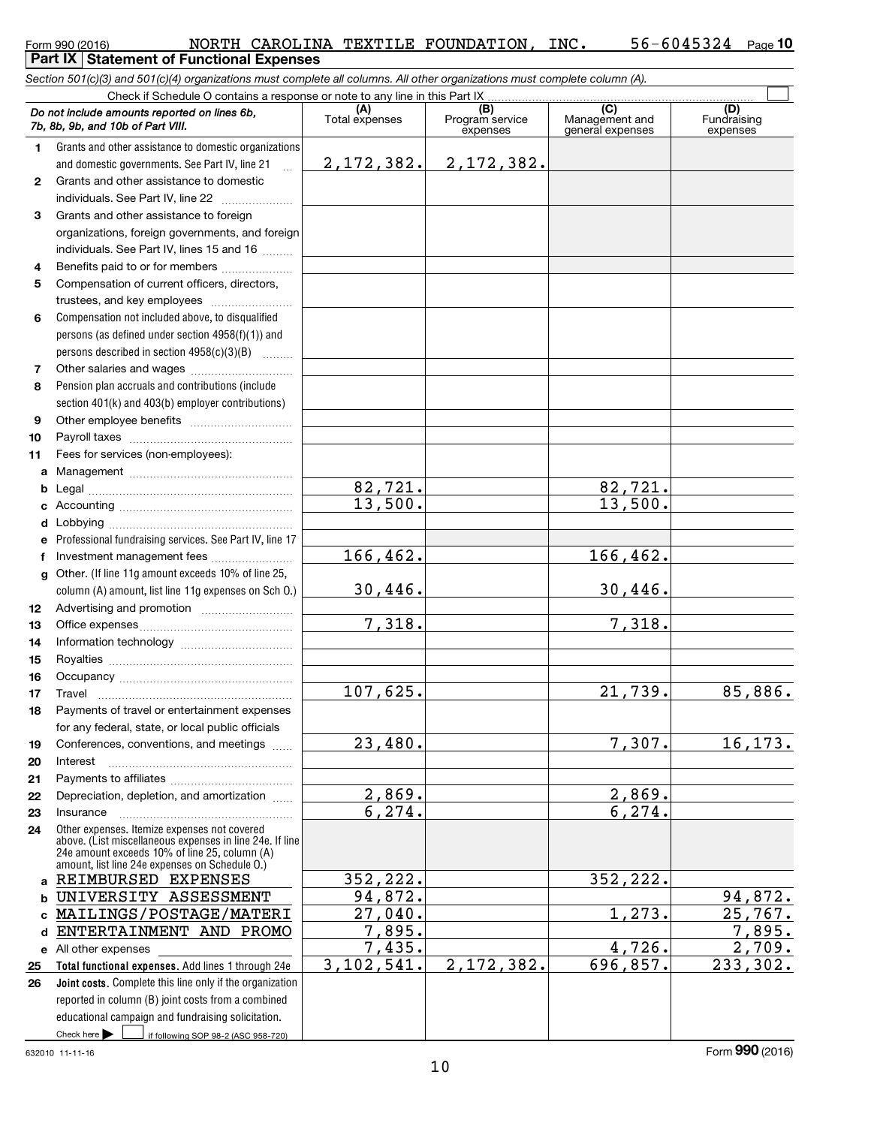| Form 990 (2016) |  |  |
|-----------------|--|--|
|                 |  |  |

#### Form 990 (2016) Page 56-6045324 Page 10 **Part IX | Statement of Functional Expenses** NORTH CAROLINA TEXTILE FOUNDATION, INC. 56-6045324

|              | Section 501(c)(3) and 501(c)(4) organizations must complete all columns. All other organizations must complete column (A).                                                                                  |                       |                                    |                                           |                                |
|--------------|-------------------------------------------------------------------------------------------------------------------------------------------------------------------------------------------------------------|-----------------------|------------------------------------|-------------------------------------------|--------------------------------|
|              | Check if Schedule O contains a response or note to any line in this Part IX                                                                                                                                 |                       |                                    |                                           |                                |
|              | Do not include amounts reported on lines 6b,<br>7b, 8b, 9b, and 10b of Part VIII.                                                                                                                           | (A)<br>Total expenses | (B)<br>Program service<br>expenses | (C)<br>Management and<br>general expenses | (D)<br>Fundraising<br>expenses |
| 1.           | Grants and other assistance to domestic organizations                                                                                                                                                       |                       |                                    |                                           |                                |
|              | and domestic governments. See Part IV, line 21                                                                                                                                                              |                       | $2, 172, 382.$ 2, 172, 382.        |                                           |                                |
| $\mathbf{2}$ | Grants and other assistance to domestic                                                                                                                                                                     |                       |                                    |                                           |                                |
|              | individuals. See Part IV, line 22                                                                                                                                                                           |                       |                                    |                                           |                                |
| 3            | Grants and other assistance to foreign                                                                                                                                                                      |                       |                                    |                                           |                                |
|              | organizations, foreign governments, and foreign                                                                                                                                                             |                       |                                    |                                           |                                |
|              | individuals. See Part IV, lines 15 and 16                                                                                                                                                                   |                       |                                    |                                           |                                |
| 4            | Benefits paid to or for members                                                                                                                                                                             |                       |                                    |                                           |                                |
| 5            | Compensation of current officers, directors,                                                                                                                                                                |                       |                                    |                                           |                                |
|              | trustees, and key employees                                                                                                                                                                                 |                       |                                    |                                           |                                |
| 6            | Compensation not included above, to disqualified                                                                                                                                                            |                       |                                    |                                           |                                |
|              | persons (as defined under section $4958(f)(1)$ ) and                                                                                                                                                        |                       |                                    |                                           |                                |
|              | persons described in section 4958(c)(3)(B)                                                                                                                                                                  |                       |                                    |                                           |                                |
| 7            |                                                                                                                                                                                                             |                       |                                    |                                           |                                |
| 8            | Pension plan accruals and contributions (include                                                                                                                                                            |                       |                                    |                                           |                                |
|              | section 401(k) and 403(b) employer contributions)                                                                                                                                                           |                       |                                    |                                           |                                |
| 9            |                                                                                                                                                                                                             |                       |                                    |                                           |                                |
| 10           |                                                                                                                                                                                                             |                       |                                    |                                           |                                |
| 11           | Fees for services (non-employees):                                                                                                                                                                          |                       |                                    |                                           |                                |
| a            |                                                                                                                                                                                                             |                       |                                    |                                           |                                |
| b            |                                                                                                                                                                                                             | 82,721.               |                                    | 82,721.                                   |                                |
| c            |                                                                                                                                                                                                             | 13,500.               |                                    | 13,500.                                   |                                |
| d            |                                                                                                                                                                                                             |                       |                                    |                                           |                                |
|              | Professional fundraising services. See Part IV, line 17                                                                                                                                                     |                       |                                    |                                           |                                |
| f            | Investment management fees                                                                                                                                                                                  | 166,462.              |                                    | 166, 462.                                 |                                |
| $\mathbf{q}$ | Other. (If line 11g amount exceeds 10% of line 25,                                                                                                                                                          |                       |                                    |                                           |                                |
|              | column (A) amount, list line 11g expenses on Sch 0.)                                                                                                                                                        | 30,446.               |                                    | 30,446.                                   |                                |
| 12           |                                                                                                                                                                                                             | 7,318.                |                                    | 7,318.                                    |                                |
| 13           |                                                                                                                                                                                                             |                       |                                    |                                           |                                |
| 14<br>15     |                                                                                                                                                                                                             |                       |                                    |                                           |                                |
| 16           |                                                                                                                                                                                                             |                       |                                    |                                           |                                |
| 17           |                                                                                                                                                                                                             | 107,625.              |                                    | 21,739.                                   | 85,886.                        |
| 18           | Payments of travel or entertainment expenses                                                                                                                                                                |                       |                                    |                                           |                                |
|              | for any federal, state, or local public officials                                                                                                                                                           |                       |                                    |                                           |                                |
| 19           | Conferences, conventions, and meetings                                                                                                                                                                      | 23,480.               |                                    | 7,307.                                    | 16, 173.                       |
| 20           | Interest                                                                                                                                                                                                    |                       |                                    |                                           |                                |
| 21           |                                                                                                                                                                                                             |                       |                                    |                                           |                                |
| 22           | Depreciation, depletion, and amortization                                                                                                                                                                   | 2,869.                |                                    | 2,869.                                    |                                |
| 23           | Insurance                                                                                                                                                                                                   | 6,274.                |                                    | 6,274.                                    |                                |
| 24           | Other expenses. Itemize expenses not covered<br>above. (List miscellaneous expenses in line 24e. If line<br>24e amount exceeds 10% of line 25, column (A)<br>amount, list line 24e expenses on Schedule O.) |                       |                                    |                                           |                                |
| a            | REIMBURSED EXPENSES                                                                                                                                                                                         | 352, 222.             |                                    | 352,222.                                  |                                |
| b            | UNIVERSITY ASSESSMENT                                                                                                                                                                                       | 94,872.               |                                    |                                           | 94,872.                        |
| c            | MAILINGS/POSTAGE/MATERI                                                                                                                                                                                     | 27,040.               |                                    | 1,273.                                    | 25,767.                        |
| d            | ENTERTAINMENT AND PROMO                                                                                                                                                                                     | 7,895.                |                                    |                                           | 7,895.                         |
|              | e All other expenses                                                                                                                                                                                        | 7,435.                |                                    | 4,726.                                    | 2,709.                         |
| 25           | Total functional expenses. Add lines 1 through 24e                                                                                                                                                          | 3, 102, 541.          | 2,172,382.                         | 696,857.                                  | 233,302.                       |
| 26           | Joint costs. Complete this line only if the organization                                                                                                                                                    |                       |                                    |                                           |                                |
|              | reported in column (B) joint costs from a combined                                                                                                                                                          |                       |                                    |                                           |                                |
|              | educational campaign and fundraising solicitation.                                                                                                                                                          |                       |                                    |                                           |                                |
|              | Check here $\blacktriangleright$<br>if following SOP 98-2 (ASC 958-720)                                                                                                                                     |                       |                                    |                                           |                                |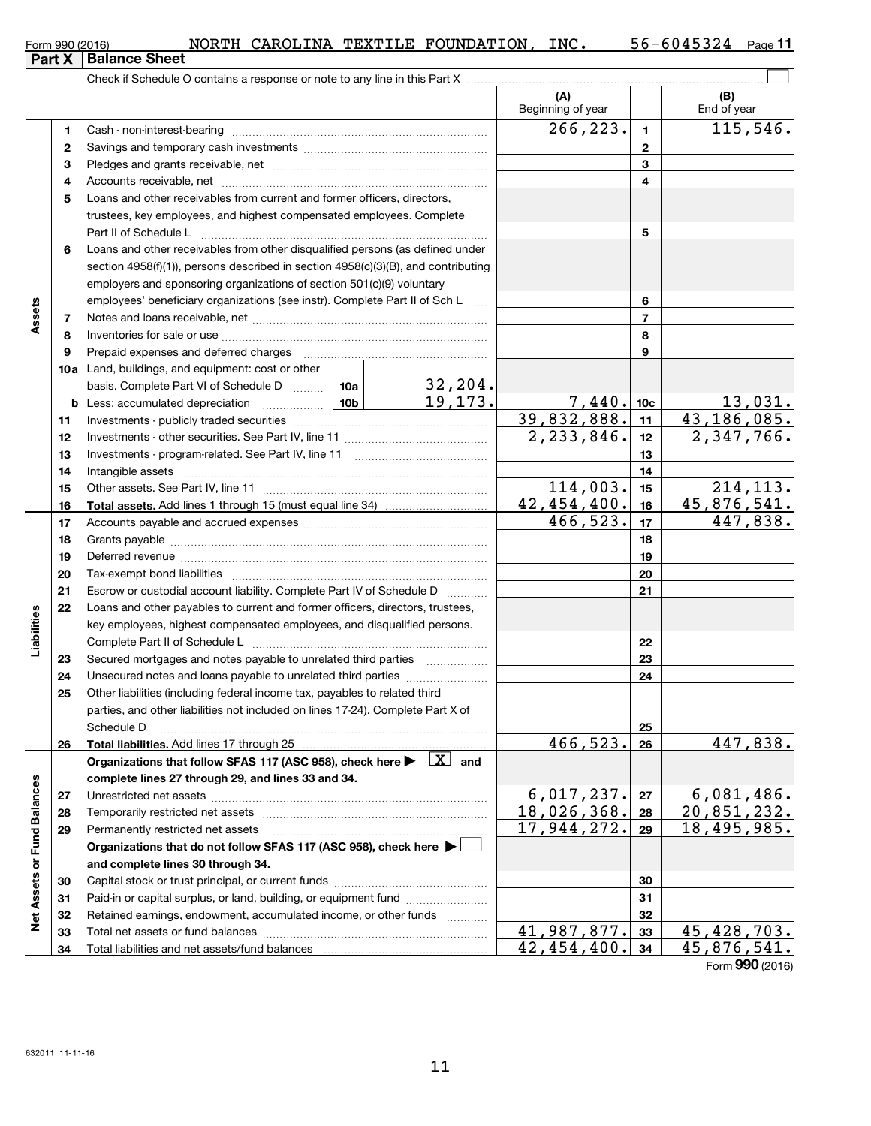| Form 990 (2016) |                               |  | NORTH CAROLINA TEXTILE FOUNDATION, | INC. | 56-6045324 | Page |
|-----------------|-------------------------------|--|------------------------------------|------|------------|------|
|                 | <b>Part X   Balance Sheet</b> |  |                                    |      |            |      |

|                             |          |                                                                                                                                                                                                                                |                 |         | (A)<br>Beginning of year |                 | (B)<br>End of year        |
|-----------------------------|----------|--------------------------------------------------------------------------------------------------------------------------------------------------------------------------------------------------------------------------------|-----------------|---------|--------------------------|-----------------|---------------------------|
|                             | 1        |                                                                                                                                                                                                                                |                 |         | 266,223.                 | $\mathbf{1}$    | 115,546.                  |
|                             | 2        |                                                                                                                                                                                                                                |                 |         |                          | $\mathbf{2}$    |                           |
|                             | 3        |                                                                                                                                                                                                                                |                 |         |                          | 3               |                           |
|                             | 4        |                                                                                                                                                                                                                                |                 |         |                          | 4               |                           |
|                             | 5        | Loans and other receivables from current and former officers, directors,                                                                                                                                                       |                 |         |                          |                 |                           |
|                             |          | trustees, key employees, and highest compensated employees. Complete                                                                                                                                                           |                 |         |                          |                 |                           |
|                             |          |                                                                                                                                                                                                                                |                 |         |                          | 5               |                           |
|                             | 6        | Loans and other receivables from other disqualified persons (as defined under                                                                                                                                                  |                 |         |                          |                 |                           |
|                             |          | section 4958(f)(1)), persons described in section 4958(c)(3)(B), and contributing                                                                                                                                              |                 |         |                          |                 |                           |
|                             |          | employers and sponsoring organizations of section 501(c)(9) voluntary                                                                                                                                                          |                 |         |                          |                 |                           |
|                             |          | employees' beneficiary organizations (see instr). Complete Part II of Sch L                                                                                                                                                    |                 |         |                          | 6               |                           |
| Assets                      | 7        |                                                                                                                                                                                                                                |                 |         |                          | $\overline{7}$  |                           |
|                             | 8        |                                                                                                                                                                                                                                |                 |         |                          | 8               |                           |
|                             | 9        |                                                                                                                                                                                                                                |                 |         |                          | 9               |                           |
|                             |          | 10a Land, buildings, and equipment: cost or other                                                                                                                                                                              |                 |         |                          |                 |                           |
|                             |          | basis. Complete Part VI of Schedule D  10a   32, 204.                                                                                                                                                                          |                 |         |                          |                 |                           |
|                             |          |                                                                                                                                                                                                                                | 10 <sub>b</sub> | 19,173. | 7,440.                   | 10 <sub>c</sub> | 13,031.                   |
|                             | 11       |                                                                                                                                                                                                                                |                 |         | 39,832,888.              | 11              | $\overline{43,186,085}$ . |
|                             | 12       |                                                                                                                                                                                                                                |                 |         | 2, 233, 846.             | 12              | 2,347,766.                |
|                             | 13       |                                                                                                                                                                                                                                |                 |         |                          | 13              |                           |
|                             | 14       |                                                                                                                                                                                                                                |                 |         | 14                       |                 |                           |
|                             | 15       |                                                                                                                                                                                                                                |                 |         | 114,003.                 | 15              | 214, 113.                 |
|                             | 16       |                                                                                                                                                                                                                                |                 |         | 42,454,400.              | 16              | 45,876,541.               |
|                             | 17       |                                                                                                                                                                                                                                |                 |         | 466,523.                 | 17              | 447,838.                  |
|                             | 18       |                                                                                                                                                                                                                                |                 |         | 18                       |                 |                           |
|                             | 19       | Deferred revenue manual contracts and contracts are contracted and contract and contract are contracted and contract are contracted and contract are contracted and contract are contracted and contract are contracted and co |                 | 19      |                          |                 |                           |
|                             | 20       |                                                                                                                                                                                                                                |                 |         |                          | 20              |                           |
|                             | 21       | Escrow or custodial account liability. Complete Part IV of Schedule D                                                                                                                                                          |                 |         |                          | 21              |                           |
|                             | 22       | Loans and other payables to current and former officers, directors, trustees,                                                                                                                                                  |                 |         |                          |                 |                           |
| Liabilities                 |          | key employees, highest compensated employees, and disqualified persons.                                                                                                                                                        |                 |         |                          |                 |                           |
|                             |          |                                                                                                                                                                                                                                |                 |         |                          | 22              |                           |
|                             | 23       | Secured mortgages and notes payable to unrelated third parties                                                                                                                                                                 |                 |         |                          | 23              |                           |
|                             | 24       | Unsecured notes and loans payable to unrelated third parties                                                                                                                                                                   |                 |         |                          | 24              |                           |
|                             | 25       | Other liabilities (including federal income tax, payables to related third                                                                                                                                                     |                 |         |                          |                 |                           |
|                             |          | parties, and other liabilities not included on lines 17-24). Complete Part X of                                                                                                                                                |                 |         |                          |                 |                           |
|                             |          | Schedule D                                                                                                                                                                                                                     |                 |         |                          | 25              |                           |
|                             | 26       | Total liabilities. Add lines 17 through 25                                                                                                                                                                                     |                 |         | 466,523.                 | 26              | 447,838.                  |
|                             |          | Organizations that follow SFAS 117 (ASC 958), check here $\blacktriangleright \Box X$ and                                                                                                                                      |                 |         |                          |                 |                           |
|                             |          | complete lines 27 through 29, and lines 33 and 34.                                                                                                                                                                             |                 |         |                          |                 |                           |
|                             | 27       |                                                                                                                                                                                                                                |                 |         | 6,017,237.               | 27              | 6,081,486.                |
|                             | 28       |                                                                                                                                                                                                                                |                 |         | 18,026,368.              | 28              | 20,851,232.               |
| Net Assets or Fund Balances | 29       | Permanently restricted net assets                                                                                                                                                                                              |                 |         | 17,944,272.              | 29              | 18,495,985.               |
|                             |          | Organizations that do not follow SFAS 117 (ASC 958), check here $\blacktriangleright\Box$                                                                                                                                      |                 |         |                          |                 |                           |
|                             |          | and complete lines 30 through 34.                                                                                                                                                                                              |                 |         |                          |                 |                           |
|                             | 30       |                                                                                                                                                                                                                                |                 |         |                          | 30              |                           |
|                             | 31       | Paid-in or capital surplus, or land, building, or equipment fund                                                                                                                                                               |                 |         |                          | 31<br>32        |                           |
|                             | 32       | Retained earnings, endowment, accumulated income, or other funds                                                                                                                                                               |                 |         | 41,987,877.              | 33              | 45,428,703.               |
|                             | 33<br>34 | Total liabilities and net assets/fund balances                                                                                                                                                                                 |                 |         | 42,454,400.              | 34              | 45,876,541.               |
|                             |          |                                                                                                                                                                                                                                |                 |         |                          |                 | Eorm 990 (2016)           |

**11**

Form (2016) **990**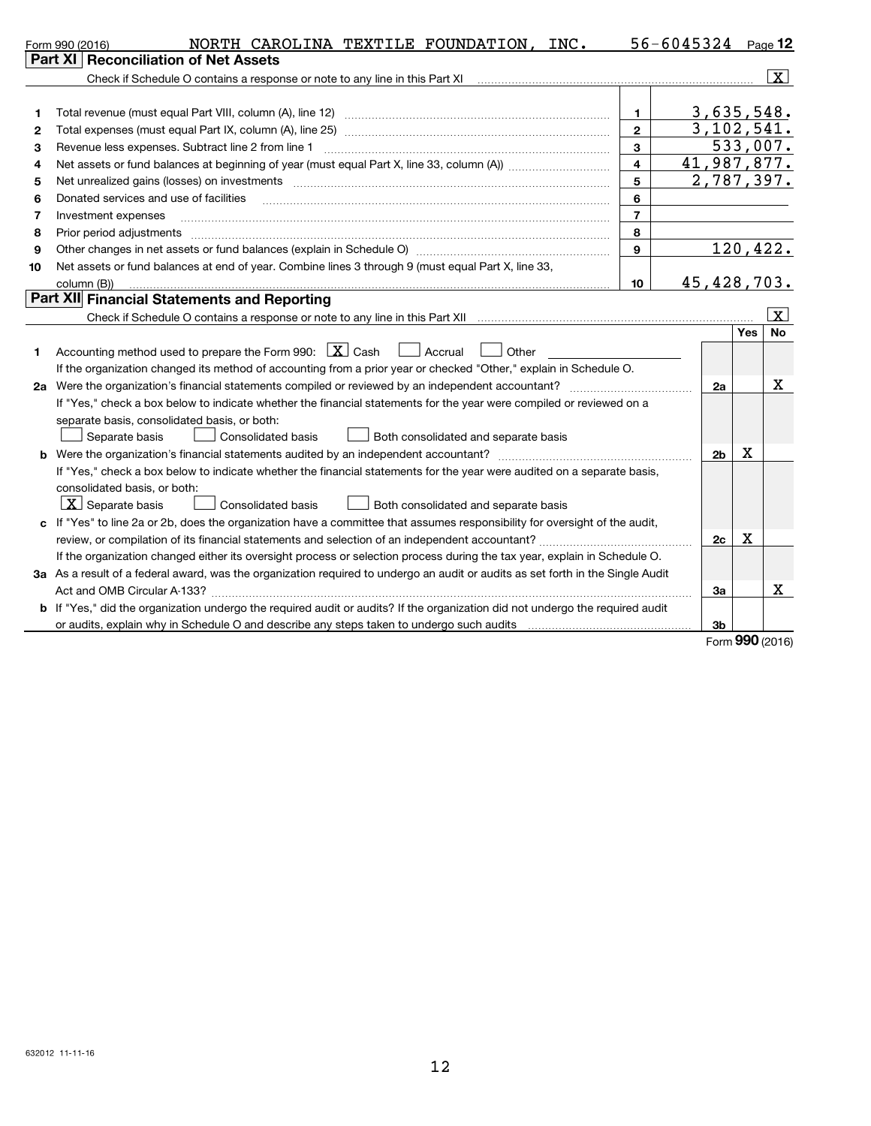|    | NORTH CAROLINA TEXTILE FOUNDATION, INC.<br>Form 990 (2016)                                                                      |                | $56 - 6045324$ Page 12 |          |                 |
|----|---------------------------------------------------------------------------------------------------------------------------------|----------------|------------------------|----------|-----------------|
|    | Part XI   Reconciliation of Net Assets                                                                                          |                |                        |          |                 |
|    |                                                                                                                                 |                |                        |          | $\vert x \vert$ |
|    |                                                                                                                                 |                |                        |          |                 |
| 1  |                                                                                                                                 | 1.             | 3,635,548.             |          |                 |
| 2  |                                                                                                                                 | $\mathbf{2}$   | 3,102,541.             |          |                 |
| з  | Revenue less expenses. Subtract line 2 from line 1                                                                              | 3              |                        | 533,007. |                 |
| 4  |                                                                                                                                 | 4              | 41,987,877.            |          |                 |
| 5  |                                                                                                                                 | 5              | 2,787,397.             |          |                 |
| 6  | Donated services and use of facilities                                                                                          | 6              |                        |          |                 |
| 7  | Investment expenses                                                                                                             | $\overline{7}$ |                        |          |                 |
| 8  | Prior period adjustments                                                                                                        | 8              |                        |          |                 |
| 9  |                                                                                                                                 | 9              |                        |          | 120,422.        |
| 10 | Net assets or fund balances at end of year. Combine lines 3 through 9 (must equal Part X, line 33,                              |                |                        |          |                 |
|    | column (B))                                                                                                                     | 10             | 45,428,703.            |          |                 |
|    | Part XII Financial Statements and Reporting                                                                                     |                |                        |          |                 |
|    |                                                                                                                                 |                |                        |          | $\mathbf{x}$    |
|    |                                                                                                                                 |                |                        | Yes      | <b>No</b>       |
| 1  | Accounting method used to prepare the Form 990: $X \subset X$ Cash<br>$\Box$ Accrual<br>Other                                   |                |                        |          |                 |
|    | If the organization changed its method of accounting from a prior year or checked "Other," explain in Schedule O.               |                |                        |          |                 |
|    |                                                                                                                                 |                | 2a                     |          | X               |
|    | If "Yes," check a box below to indicate whether the financial statements for the year were compiled or reviewed on a            |                |                        |          |                 |
|    | separate basis, consolidated basis, or both:                                                                                    |                |                        |          |                 |
|    | Separate basis<br>Consolidated basis<br>Both consolidated and separate basis                                                    |                |                        |          |                 |
|    |                                                                                                                                 |                | 2 <sub>b</sub>         | х        |                 |
|    | If "Yes," check a box below to indicate whether the financial statements for the year were audited on a separate basis,         |                |                        |          |                 |
|    | consolidated basis, or both:                                                                                                    |                |                        |          |                 |
|    | $\lfloor x \rfloor$ Separate basis<br>Both consolidated and separate basis<br><b>Consolidated basis</b>                         |                |                        |          |                 |
|    | c If "Yes" to line 2a or 2b, does the organization have a committee that assumes responsibility for oversight of the audit,     |                |                        |          |                 |
|    |                                                                                                                                 |                | 2c                     | х        |                 |
|    | If the organization changed either its oversight process or selection process during the tax year, explain in Schedule O.       |                |                        |          |                 |
|    | 3a As a result of a federal award, was the organization required to undergo an audit or audits as set forth in the Single Audit |                |                        |          |                 |
|    |                                                                                                                                 |                | За                     |          | Х               |
|    | b If "Yes," did the organization undergo the required audit or audits? If the organization did not undergo the required audit   |                |                        |          |                 |
|    | or audits, explain why in Schedule O and describe any steps taken to undergo such audits                                        |                | Зb                     |          |                 |
|    |                                                                                                                                 |                |                        |          | Form 990 (2016) |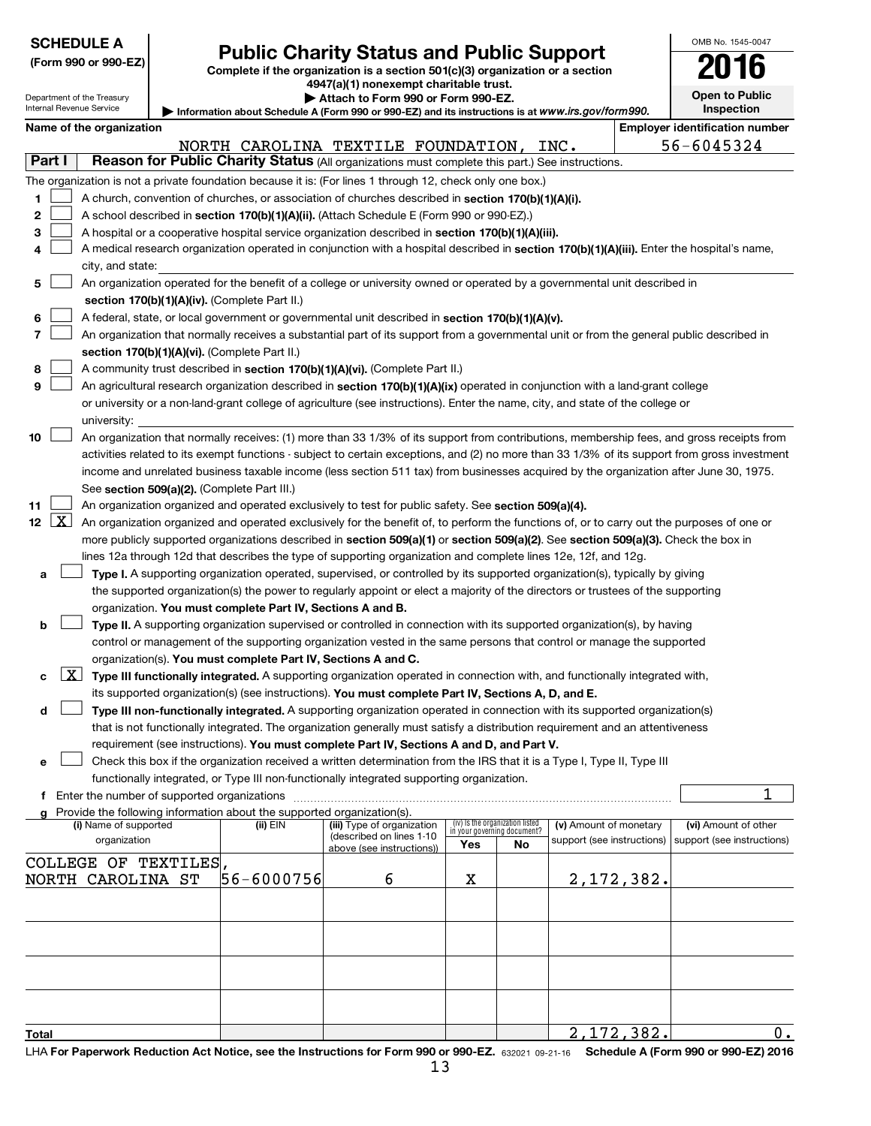| <b>SCHEDULE A</b>                                      |                                                                                                                                                                                                                                                      |            |                                                                                                                                               |     |                                                                |                            |                   | OMB No. 1545-0047                          |  |  |  |
|--------------------------------------------------------|------------------------------------------------------------------------------------------------------------------------------------------------------------------------------------------------------------------------------------------------------|------------|-----------------------------------------------------------------------------------------------------------------------------------------------|-----|----------------------------------------------------------------|----------------------------|-------------------|--------------------------------------------|--|--|--|
| (Form 990 or 990-EZ)                                   |                                                                                                                                                                                                                                                      |            | <b>Public Charity Status and Public Support</b><br>Complete if the organization is a section 501(c)(3) organization or a section              |     |                                                                |                            |                   |                                            |  |  |  |
|                                                        |                                                                                                                                                                                                                                                      |            | 4947(a)(1) nonexempt charitable trust.                                                                                                        |     |                                                                |                            |                   |                                            |  |  |  |
| Department of the Treasury<br>Internal Revenue Service |                                                                                                                                                                                                                                                      |            | Attach to Form 990 or Form 990-EZ.                                                                                                            |     |                                                                |                            |                   | <b>Open to Public</b><br><b>Inspection</b> |  |  |  |
| Name of the organization                               |                                                                                                                                                                                                                                                      |            | Information about Schedule A (Form 990 or 990-EZ) and its instructions is at www.irs.gov/form990.                                             |     |                                                                |                            |                   | <b>Employer identification number</b>      |  |  |  |
|                                                        |                                                                                                                                                                                                                                                      |            | NORTH CAROLINA TEXTILE FOUNDATION,                                                                                                            |     |                                                                | INC.                       |                   | $56 - 6045324$                             |  |  |  |
| Part I                                                 |                                                                                                                                                                                                                                                      |            | Reason for Public Charity Status (All organizations must complete this part.) See instructions.                                               |     |                                                                |                            |                   |                                            |  |  |  |
|                                                        |                                                                                                                                                                                                                                                      |            | The organization is not a private foundation because it is: (For lines 1 through 12, check only one box.)                                     |     |                                                                |                            |                   |                                            |  |  |  |
| 1                                                      |                                                                                                                                                                                                                                                      |            | A church, convention of churches, or association of churches described in section 170(b)(1)(A)(i).                                            |     |                                                                |                            |                   |                                            |  |  |  |
| 2                                                      |                                                                                                                                                                                                                                                      |            | A school described in section 170(b)(1)(A)(ii). (Attach Schedule E (Form 990 or 990-EZ).)                                                     |     |                                                                |                            |                   |                                            |  |  |  |
| 3                                                      |                                                                                                                                                                                                                                                      |            | A hospital or a cooperative hospital service organization described in section 170(b)(1)(A)(iii).                                             |     |                                                                |                            |                   |                                            |  |  |  |
| 4                                                      |                                                                                                                                                                                                                                                      |            | A medical research organization operated in conjunction with a hospital described in section 170(b)(1)(A)(iii). Enter the hospital's name,    |     |                                                                |                            |                   |                                            |  |  |  |
|                                                        | city, and state:                                                                                                                                                                                                                                     |            |                                                                                                                                               |     |                                                                |                            |                   |                                            |  |  |  |
| 5                                                      |                                                                                                                                                                                                                                                      |            | An organization operated for the benefit of a college or university owned or operated by a governmental unit described in                     |     |                                                                |                            |                   |                                            |  |  |  |
|                                                        | section 170(b)(1)(A)(iv). (Complete Part II.)                                                                                                                                                                                                        |            |                                                                                                                                               |     |                                                                |                            |                   |                                            |  |  |  |
| 6<br>$\overline{7}$                                    |                                                                                                                                                                                                                                                      |            | A federal, state, or local government or governmental unit described in section 170(b)(1)(A)(v).                                              |     |                                                                |                            |                   |                                            |  |  |  |
|                                                        |                                                                                                                                                                                                                                                      |            | An organization that normally receives a substantial part of its support from a governmental unit or from the general public described in     |     |                                                                |                            |                   |                                            |  |  |  |
| 8                                                      | section 170(b)(1)(A)(vi). (Complete Part II.)<br>A community trust described in section 170(b)(1)(A)(vi). (Complete Part II.)                                                                                                                        |            |                                                                                                                                               |     |                                                                |                            |                   |                                            |  |  |  |
| 9                                                      | An agricultural research organization described in section 170(b)(1)(A)(ix) operated in conjunction with a land-grant college                                                                                                                        |            |                                                                                                                                               |     |                                                                |                            |                   |                                            |  |  |  |
|                                                        | or university or a non-land-grant college of agriculture (see instructions). Enter the name, city, and state of the college or                                                                                                                       |            |                                                                                                                                               |     |                                                                |                            |                   |                                            |  |  |  |
|                                                        | university:                                                                                                                                                                                                                                          |            |                                                                                                                                               |     |                                                                |                            |                   |                                            |  |  |  |
| 10                                                     |                                                                                                                                                                                                                                                      |            | An organization that normally receives: (1) more than 33 1/3% of its support from contributions, membership fees, and gross receipts from     |     |                                                                |                            |                   |                                            |  |  |  |
|                                                        |                                                                                                                                                                                                                                                      |            | activities related to its exempt functions - subject to certain exceptions, and (2) no more than 33 1/3% of its support from gross investment |     |                                                                |                            |                   |                                            |  |  |  |
|                                                        |                                                                                                                                                                                                                                                      |            | income and unrelated business taxable income (less section 511 tax) from businesses acquired by the organization after June 30, 1975.         |     |                                                                |                            |                   |                                            |  |  |  |
|                                                        | See section 509(a)(2). (Complete Part III.)                                                                                                                                                                                                          |            |                                                                                                                                               |     |                                                                |                            |                   |                                            |  |  |  |
| 11                                                     |                                                                                                                                                                                                                                                      |            | An organization organized and operated exclusively to test for public safety. See section 509(a)(4).                                          |     |                                                                |                            |                   |                                            |  |  |  |
| 12 <sub>2</sub>                                        | $\lfloor x \rfloor$<br>An organization organized and operated exclusively for the benefit of, to perform the functions of, or to carry out the purposes of one or                                                                                    |            |                                                                                                                                               |     |                                                                |                            |                   |                                            |  |  |  |
|                                                        | more publicly supported organizations described in section 509(a)(1) or section 509(a)(2). See section 509(a)(3). Check the box in<br>lines 12a through 12d that describes the type of supporting organization and complete lines 12e, 12f, and 12g. |            |                                                                                                                                               |     |                                                                |                            |                   |                                            |  |  |  |
| a                                                      |                                                                                                                                                                                                                                                      |            | Type I. A supporting organization operated, supervised, or controlled by its supported organization(s), typically by giving                   |     |                                                                |                            |                   |                                            |  |  |  |
|                                                        |                                                                                                                                                                                                                                                      |            | the supported organization(s) the power to regularly appoint or elect a majority of the directors or trustees of the supporting               |     |                                                                |                            |                   |                                            |  |  |  |
|                                                        | organization. You must complete Part IV, Sections A and B.                                                                                                                                                                                           |            |                                                                                                                                               |     |                                                                |                            |                   |                                            |  |  |  |
| b                                                      |                                                                                                                                                                                                                                                      |            | Type II. A supporting organization supervised or controlled in connection with its supported organization(s), by having                       |     |                                                                |                            |                   |                                            |  |  |  |
|                                                        |                                                                                                                                                                                                                                                      |            | control or management of the supporting organization vested in the same persons that control or manage the supported                          |     |                                                                |                            |                   |                                            |  |  |  |
|                                                        | organization(s). You must complete Part IV, Sections A and C.                                                                                                                                                                                        |            |                                                                                                                                               |     |                                                                |                            |                   |                                            |  |  |  |
| с                                                      |                                                                                                                                                                                                                                                      |            | $\Delta$ Type III functionally integrated. A supporting organization operated in connection with, and functionally integrated with,           |     |                                                                |                            |                   |                                            |  |  |  |
|                                                        |                                                                                                                                                                                                                                                      |            | its supported organization(s) (see instructions). You must complete Part IV, Sections A, D, and E.                                            |     |                                                                |                            |                   |                                            |  |  |  |
| d                                                      |                                                                                                                                                                                                                                                      |            | Type III non-functionally integrated. A supporting organization operated in connection with its supported organization(s)                     |     |                                                                |                            |                   |                                            |  |  |  |
|                                                        |                                                                                                                                                                                                                                                      |            | that is not functionally integrated. The organization generally must satisfy a distribution requirement and an attentiveness                  |     |                                                                |                            |                   |                                            |  |  |  |
|                                                        |                                                                                                                                                                                                                                                      |            | requirement (see instructions). You must complete Part IV, Sections A and D, and Part V.                                                      |     |                                                                |                            |                   |                                            |  |  |  |
| е                                                      |                                                                                                                                                                                                                                                      |            | Check this box if the organization received a written determination from the IRS that it is a Type I, Type II, Type III                       |     |                                                                |                            |                   |                                            |  |  |  |
|                                                        | f Enter the number of supported organizations                                                                                                                                                                                                        |            | functionally integrated, or Type III non-functionally integrated supporting organization.                                                     |     |                                                                |                            |                   | 1                                          |  |  |  |
|                                                        | Provide the following information about the supported organization(s).                                                                                                                                                                               |            |                                                                                                                                               |     |                                                                |                            |                   |                                            |  |  |  |
|                                                        | (i) Name of supported                                                                                                                                                                                                                                | (ii) EIN   | (iii) Type of organization                                                                                                                    |     | (iv) is the organization listed<br>in your governing document? | (v) Amount of monetary     |                   | (vi) Amount of other                       |  |  |  |
|                                                        | organization                                                                                                                                                                                                                                         |            | (described on lines 1-10<br>above (see instructions))                                                                                         | Yes | No                                                             | support (see instructions) |                   | support (see instructions)                 |  |  |  |
|                                                        | COLLEGE OF TEXTILES,                                                                                                                                                                                                                                 |            |                                                                                                                                               |     |                                                                |                            |                   |                                            |  |  |  |
|                                                        | NORTH CAROLINA ST                                                                                                                                                                                                                                    | 56-6000756 | 6                                                                                                                                             | х   |                                                                |                            | <u>2,172,382.</u> |                                            |  |  |  |
|                                                        |                                                                                                                                                                                                                                                      |            |                                                                                                                                               |     |                                                                |                            |                   |                                            |  |  |  |
|                                                        |                                                                                                                                                                                                                                                      |            |                                                                                                                                               |     |                                                                |                            |                   |                                            |  |  |  |
|                                                        |                                                                                                                                                                                                                                                      |            |                                                                                                                                               |     |                                                                |                            |                   |                                            |  |  |  |
|                                                        |                                                                                                                                                                                                                                                      |            |                                                                                                                                               |     |                                                                |                            |                   |                                            |  |  |  |
|                                                        |                                                                                                                                                                                                                                                      |            |                                                                                                                                               |     |                                                                |                            |                   |                                            |  |  |  |
|                                                        |                                                                                                                                                                                                                                                      |            |                                                                                                                                               |     |                                                                |                            |                   |                                            |  |  |  |
|                                                        |                                                                                                                                                                                                                                                      |            |                                                                                                                                               |     |                                                                |                            |                   |                                            |  |  |  |
| Total                                                  |                                                                                                                                                                                                                                                      |            |                                                                                                                                               |     |                                                                |                            | 2,172,382.        | $0$ .                                      |  |  |  |
|                                                        |                                                                                                                                                                                                                                                      |            | LHA For Paperwork Reduction Act Notice, see the Instructions for Form 990 or 990-EZ, 632021 09-21-16 Schedule A (Form 990 or 990-EZ) 2016     |     |                                                                |                            |                   |                                            |  |  |  |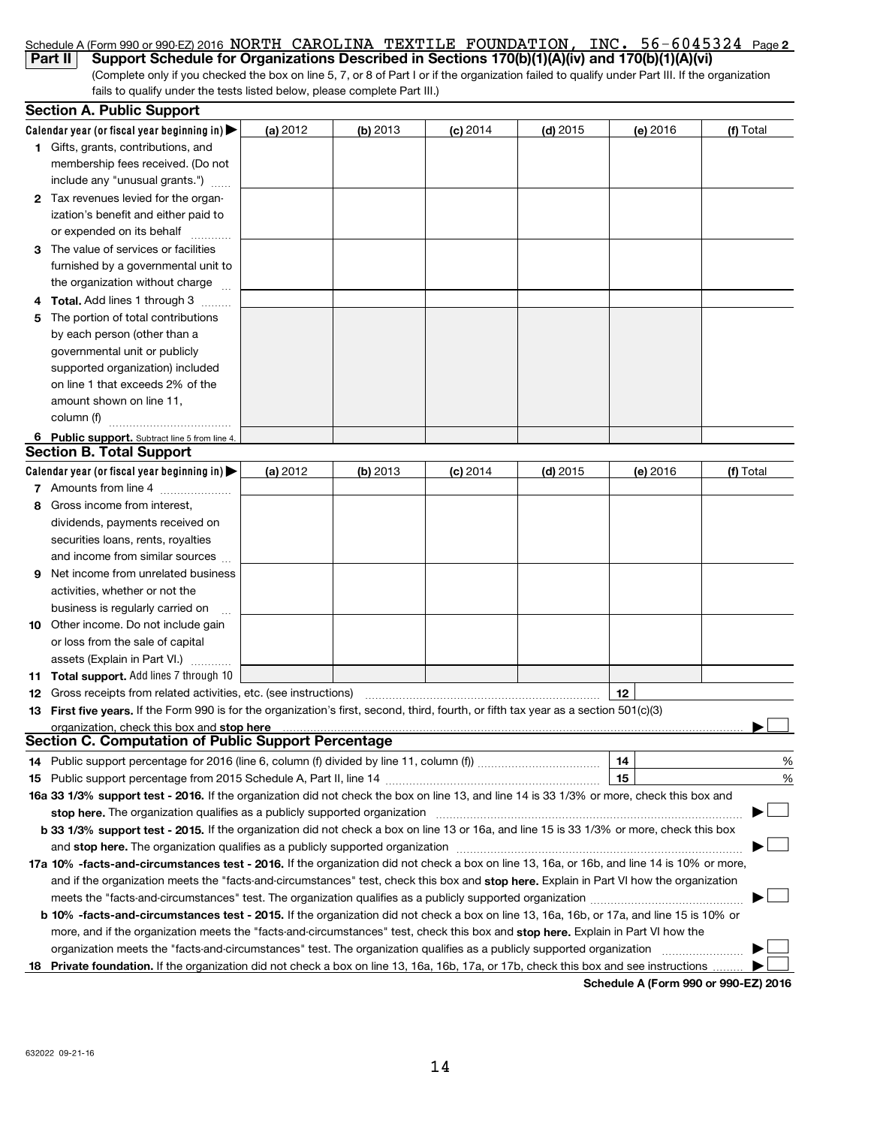|     | Schedule A (Form 990 or 990-EZ) 2016 NORTH CAROLINA TEXTILE FOUNDATION, INC. 56-6045324 Page 2                                                                                                                                                                                               |            |            |            |            |                                      |           |
|-----|----------------------------------------------------------------------------------------------------------------------------------------------------------------------------------------------------------------------------------------------------------------------------------------------|------------|------------|------------|------------|--------------------------------------|-----------|
|     | Support Schedule for Organizations Described in Sections 170(b)(1)(A)(iv) and 170(b)(1)(A)(vi)<br>Part II                                                                                                                                                                                    |            |            |            |            |                                      |           |
|     | (Complete only if you checked the box on line 5, 7, or 8 of Part I or if the organization failed to qualify under Part III. If the organization<br>fails to qualify under the tests listed below, please complete Part III.)                                                                 |            |            |            |            |                                      |           |
|     |                                                                                                                                                                                                                                                                                              |            |            |            |            |                                      |           |
|     | <b>Section A. Public Support</b>                                                                                                                                                                                                                                                             |            |            |            |            |                                      |           |
|     | Calendar year (or fiscal year beginning in) $\blacktriangleright$                                                                                                                                                                                                                            | (a) 2012   | $(b)$ 2013 | $(c)$ 2014 | $(d)$ 2015 | (e) 2016                             | (f) Total |
|     | 1 Gifts, grants, contributions, and                                                                                                                                                                                                                                                          |            |            |            |            |                                      |           |
|     | membership fees received. (Do not                                                                                                                                                                                                                                                            |            |            |            |            |                                      |           |
|     | include any "unusual grants.")                                                                                                                                                                                                                                                               |            |            |            |            |                                      |           |
|     | 2 Tax revenues levied for the organ-                                                                                                                                                                                                                                                         |            |            |            |            |                                      |           |
|     | ization's benefit and either paid to                                                                                                                                                                                                                                                         |            |            |            |            |                                      |           |
|     | or expended on its behalf<br>.                                                                                                                                                                                                                                                               |            |            |            |            |                                      |           |
|     | The value of services or facilities                                                                                                                                                                                                                                                          |            |            |            |            |                                      |           |
|     | furnished by a governmental unit to                                                                                                                                                                                                                                                          |            |            |            |            |                                      |           |
|     | the organization without charge                                                                                                                                                                                                                                                              |            |            |            |            |                                      |           |
| 4   | Total. Add lines 1 through 3                                                                                                                                                                                                                                                                 |            |            |            |            |                                      |           |
| 5   | The portion of total contributions                                                                                                                                                                                                                                                           |            |            |            |            |                                      |           |
|     | by each person (other than a                                                                                                                                                                                                                                                                 |            |            |            |            |                                      |           |
|     | governmental unit or publicly                                                                                                                                                                                                                                                                |            |            |            |            |                                      |           |
|     | supported organization) included                                                                                                                                                                                                                                                             |            |            |            |            |                                      |           |
|     | on line 1 that exceeds 2% of the                                                                                                                                                                                                                                                             |            |            |            |            |                                      |           |
|     | amount shown on line 11,                                                                                                                                                                                                                                                                     |            |            |            |            |                                      |           |
|     | column (f)                                                                                                                                                                                                                                                                                   |            |            |            |            |                                      |           |
|     | 6 Public support. Subtract line 5 from line 4.                                                                                                                                                                                                                                               |            |            |            |            |                                      |           |
|     | <b>Section B. Total Support</b>                                                                                                                                                                                                                                                              |            |            |            |            |                                      |           |
|     | Calendar year (or fiscal year beginning in)                                                                                                                                                                                                                                                  | (a) $2012$ | $(b)$ 2013 | $(c)$ 2014 | $(d)$ 2015 | (e) 2016                             | (f) Total |
|     | 7 Amounts from line 4                                                                                                                                                                                                                                                                        |            |            |            |            |                                      |           |
| 8   | Gross income from interest,                                                                                                                                                                                                                                                                  |            |            |            |            |                                      |           |
|     | dividends, payments received on                                                                                                                                                                                                                                                              |            |            |            |            |                                      |           |
|     | securities loans, rents, royalties                                                                                                                                                                                                                                                           |            |            |            |            |                                      |           |
|     | and income from similar sources                                                                                                                                                                                                                                                              |            |            |            |            |                                      |           |
| 9   | Net income from unrelated business                                                                                                                                                                                                                                                           |            |            |            |            |                                      |           |
|     | activities, whether or not the                                                                                                                                                                                                                                                               |            |            |            |            |                                      |           |
|     | business is regularly carried on                                                                                                                                                                                                                                                             |            |            |            |            |                                      |           |
|     | 10 Other income. Do not include gain                                                                                                                                                                                                                                                         |            |            |            |            |                                      |           |
|     | or loss from the sale of capital                                                                                                                                                                                                                                                             |            |            |            |            |                                      |           |
|     | assets (Explain in Part VI.)                                                                                                                                                                                                                                                                 |            |            |            |            |                                      |           |
|     | 11 Total support. Add lines 7 through 10                                                                                                                                                                                                                                                     |            |            |            |            |                                      |           |
|     |                                                                                                                                                                                                                                                                                              |            |            |            |            | 12                                   |           |
| 13. | First five years. If the Form 990 is for the organization's first, second, third, fourth, or fifth tax year as a section 501(c)(3)                                                                                                                                                           |            |            |            |            |                                      |           |
|     | organization, check this box and stop here manufactured and stop here are all the manufactured and stop here are all the manufactured and stop here are all the manufactured and stop here are all the manufactured and stop h<br><b>Section C. Computation of Public Support Percentage</b> |            |            |            |            |                                      |           |
|     |                                                                                                                                                                                                                                                                                              |            |            |            |            |                                      |           |
| 14  |                                                                                                                                                                                                                                                                                              |            |            |            |            | 14                                   | $\%$      |
| 15  |                                                                                                                                                                                                                                                                                              |            |            |            |            | 15                                   | %         |
|     | 16a 33 1/3% support test - 2016. If the organization did not check the box on line 13, and line 14 is 33 1/3% or more, check this box and                                                                                                                                                    |            |            |            |            |                                      |           |
|     | stop here. The organization qualifies as a publicly supported organization manufaction manufacture content or the organization manufacture content of the state of the state of the state of the state of the state of the sta                                                               |            |            |            |            |                                      |           |
|     | b 33 1/3% support test - 2015. If the organization did not check a box on line 13 or 16a, and line 15 is 33 1/3% or more, check this box                                                                                                                                                     |            |            |            |            |                                      |           |
|     |                                                                                                                                                                                                                                                                                              |            |            |            |            |                                      |           |
|     | 17a 10% -facts-and-circumstances test - 2016. If the organization did not check a box on line 13, 16a, or 16b, and line 14 is 10% or more,                                                                                                                                                   |            |            |            |            |                                      |           |
|     | and if the organization meets the "facts-and-circumstances" test, check this box and stop here. Explain in Part VI how the organization                                                                                                                                                      |            |            |            |            |                                      |           |
|     |                                                                                                                                                                                                                                                                                              |            |            |            |            |                                      |           |
|     | b 10% -facts-and-circumstances test - 2015. If the organization did not check a box on line 13, 16a, 16b, or 17a, and line 15 is 10% or                                                                                                                                                      |            |            |            |            |                                      |           |
|     | more, and if the organization meets the "facts-and-circumstances" test, check this box and stop here. Explain in Part VI how the                                                                                                                                                             |            |            |            |            |                                      |           |
|     | 18 Private foundation. If the organization did not check a box on line 13, 16a, 16b, 17a, or 17b, check this box and see instructions.                                                                                                                                                       |            |            |            |            |                                      |           |
|     |                                                                                                                                                                                                                                                                                              |            |            |            |            | Schedule A (Form 990 or 990-EZ) 2016 |           |
|     |                                                                                                                                                                                                                                                                                              |            |            |            |            |                                      |           |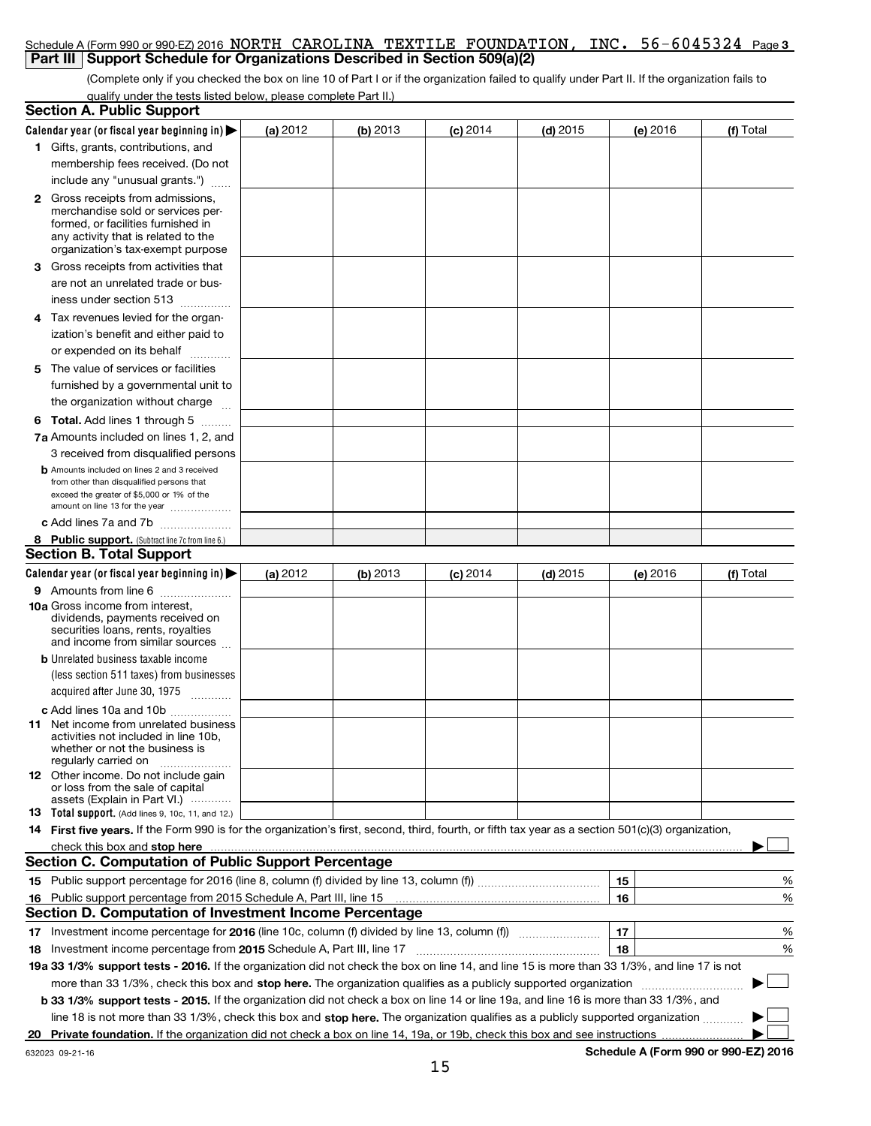| Schedule A (Form 990 or 990-EZ) 2016 NORTH CAROLINA TEXTILE FOUNDATION, INC. 56-6045324 Page 3<br>Part III   Support Schedule for Organizations Described in Section 509(a)(2)           |                                                                                                                                 |          |            |            |          |               |  |  |  |  |  |
|------------------------------------------------------------------------------------------------------------------------------------------------------------------------------------------|---------------------------------------------------------------------------------------------------------------------------------|----------|------------|------------|----------|---------------|--|--|--|--|--|
| (Complete only if you checked the box on line 10 of Part I or if the organization failed to qualify under Part II. If the organization fails to                                          |                                                                                                                                 |          |            |            |          |               |  |  |  |  |  |
| qualify under the tests listed below, please complete Part II.)                                                                                                                          |                                                                                                                                 |          |            |            |          |               |  |  |  |  |  |
| <b>Section A. Public Support</b>                                                                                                                                                         |                                                                                                                                 |          |            |            |          |               |  |  |  |  |  |
| Calendar year (or fiscal year beginning in) $\blacktriangleright$                                                                                                                        | (a) 2012                                                                                                                        | (b) 2013 | $(c)$ 2014 | $(d)$ 2015 | (e) 2016 | (f) Total     |  |  |  |  |  |
| 1 Gifts, grants, contributions, and<br>membership fees received. (Do not<br>include any "unusual grants.")                                                                               |                                                                                                                                 |          |            |            |          |               |  |  |  |  |  |
| 2 Gross receipts from admissions,<br>merchandise sold or services per-<br>formed, or facilities furnished in<br>any activity that is related to the<br>organization's tax-exempt purpose |                                                                                                                                 |          |            |            |          |               |  |  |  |  |  |
| Gross receipts from activities that<br>З.<br>are not an unrelated trade or bus-                                                                                                          |                                                                                                                                 |          |            |            |          |               |  |  |  |  |  |
| iness under section 513                                                                                                                                                                  |                                                                                                                                 |          |            |            |          |               |  |  |  |  |  |
| 4 Tax revenues levied for the organ-<br>ization's benefit and either paid to<br>or expended on its behalf<br>.                                                                           |                                                                                                                                 |          |            |            |          |               |  |  |  |  |  |
| The value of services or facilities<br>5<br>furnished by a governmental unit to                                                                                                          |                                                                                                                                 |          |            |            |          |               |  |  |  |  |  |
| the organization without charge                                                                                                                                                          |                                                                                                                                 |          |            |            |          |               |  |  |  |  |  |
| 6 Total. Add lines 1 through 5                                                                                                                                                           |                                                                                                                                 |          |            |            |          |               |  |  |  |  |  |
| 7a Amounts included on lines 1, 2, and                                                                                                                                                   |                                                                                                                                 |          |            |            |          |               |  |  |  |  |  |
| 3 received from disqualified persons<br><b>b</b> Amounts included on lines 2 and 3 received<br>from other than disqualified persons that                                                 |                                                                                                                                 |          |            |            |          |               |  |  |  |  |  |
| exceed the greater of \$5,000 or 1% of the<br>amount on line 13 for the year                                                                                                             |                                                                                                                                 |          |            |            |          |               |  |  |  |  |  |
| c Add lines 7a and 7b                                                                                                                                                                    |                                                                                                                                 |          |            |            |          |               |  |  |  |  |  |
| 8 Public support. (Subtract line 7c from line 6.)                                                                                                                                        |                                                                                                                                 |          |            |            |          |               |  |  |  |  |  |
| <b>Section B. Total Support</b>                                                                                                                                                          |                                                                                                                                 |          |            |            |          |               |  |  |  |  |  |
| Calendar year (or fiscal year beginning in)                                                                                                                                              | (a) 2012                                                                                                                        | (b) 2013 | $(c)$ 2014 | $(d)$ 2015 | (e) 2016 | (f) Total     |  |  |  |  |  |
| 9 Amounts from line 6<br>10a Gross income from interest.<br>dividends, payments received on<br>securities loans, rents, royalties<br>and income from similar sources                     |                                                                                                                                 |          |            |            |          |               |  |  |  |  |  |
| <b>b</b> Unrelated business taxable income<br>(less section 511 taxes) from businesses<br>acquired after June 30, 1975                                                                   |                                                                                                                                 |          |            |            |          |               |  |  |  |  |  |
| c Add lines 10a and 10b                                                                                                                                                                  |                                                                                                                                 |          |            |            |          |               |  |  |  |  |  |
| <b>11</b> Net income from unrelated business<br>activities not included in line 10b,<br>whether or not the business is<br>regularly carried on                                           |                                                                                                                                 |          |            |            |          |               |  |  |  |  |  |
| 12 Other income. Do not include gain<br>or loss from the sale of capital                                                                                                                 |                                                                                                                                 |          |            |            |          |               |  |  |  |  |  |
| assets (Explain in Part VI.)<br><b>13</b> Total support. (Add lines 9, 10c, 11, and 12.)                                                                                                 |                                                                                                                                 |          |            |            |          |               |  |  |  |  |  |
| 14 First five years. If the Form 990 is for the organization's first, second, third, fourth, or fifth tax year as a section 501(c)(3) organization,                                      |                                                                                                                                 |          |            |            |          |               |  |  |  |  |  |
| <u>check this box and stop here www.communication.communications are charged</u>                                                                                                         |                                                                                                                                 |          |            |            |          |               |  |  |  |  |  |
| Section C. Computation of Public Support Percentage                                                                                                                                      |                                                                                                                                 |          |            |            |          |               |  |  |  |  |  |
| 15                                                                                                                                                                                       |                                                                                                                                 |          |            |            | 15       | $\%$          |  |  |  |  |  |
| Public support percentage from 2015 Schedule A, Part III, line 15<br>16<br>Section D. Computation of Investment Income Percentage                                                        |                                                                                                                                 |          |            |            | 16       | $\frac{9}{6}$ |  |  |  |  |  |
| Investment income percentage for 2016 (line 10c, column (f) divided by line 13, column (f) <i></i><br>17                                                                                 |                                                                                                                                 |          |            |            | 17       | %             |  |  |  |  |  |
| 18                                                                                                                                                                                       |                                                                                                                                 |          |            |            | 18       | %             |  |  |  |  |  |
| 19a 33 1/3% support tests - 2016. If the organization did not check the box on line 14, and line 15 is more than 33 1/3%, and line 17 is not                                             |                                                                                                                                 |          |            |            |          |               |  |  |  |  |  |
| more than 33 1/3%, check this box and stop here. The organization qualifies as a publicly supported organization <i>marrouum</i> manner                                                  |                                                                                                                                 |          |            |            |          | ▶             |  |  |  |  |  |
| b 33 1/3% support tests - 2015. If the organization did not check a box on line 14 or line 19a, and line 16 is more than 33 1/3%, and                                                    |                                                                                                                                 |          |            |            |          |               |  |  |  |  |  |
|                                                                                                                                                                                          |                                                                                                                                 |          |            |            |          |               |  |  |  |  |  |
|                                                                                                                                                                                          | line 18 is not more than 33 1/3%, check this box and stop here. The organization qualifies as a publicly supported organization |          |            |            |          |               |  |  |  |  |  |

632023 09-21-16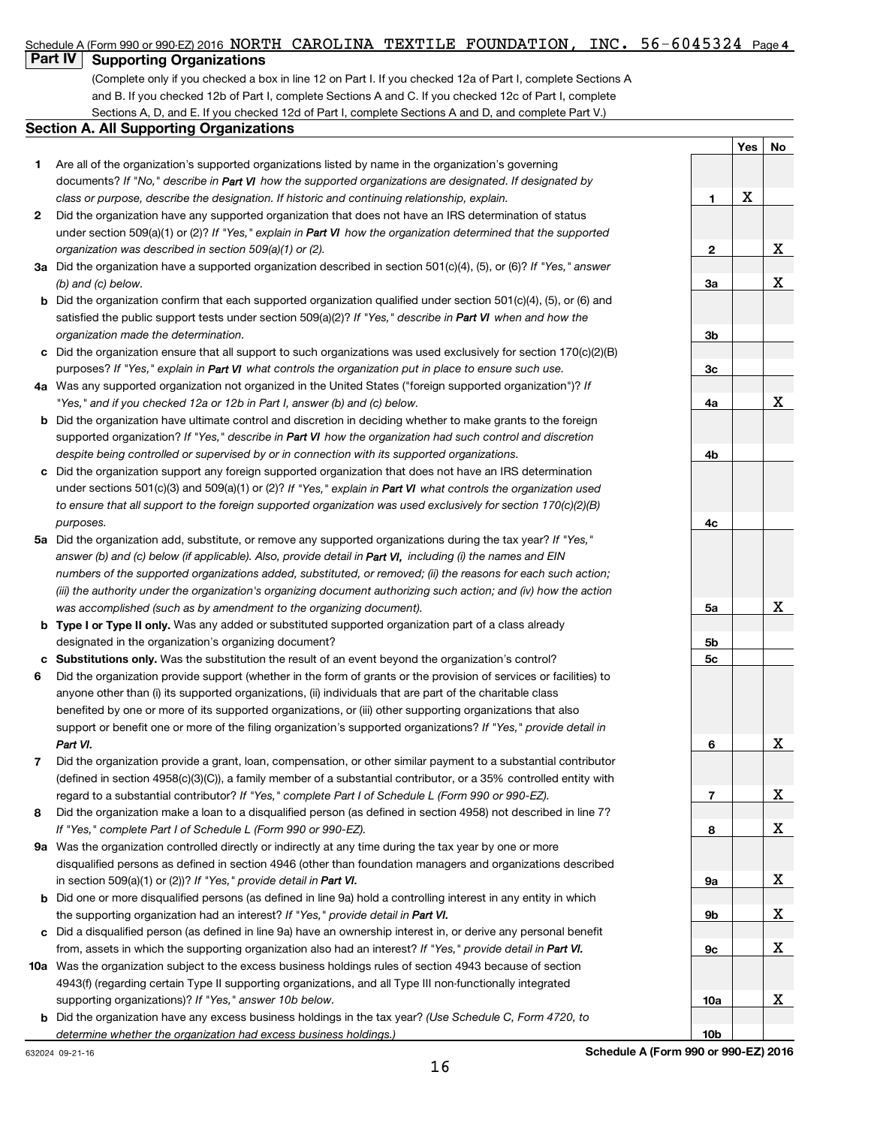#### $56 - 6045324$  Page 4 Schedule A (Form 990 or 990-EZ) 2016 NORTH CAROLINA TEXTILE FOUNDATION, INC.  $56-6045324$  Page

# **Part IV Supporting Organizations**

(Complete only if you checked a box in line 12 on Part I. If you checked 12a of Part I, complete Sections A and B. If you checked 12b of Part I, complete Sections A and C. If you checked 12c of Part I, complete Sections A, D, and E. If you checked 12d of Part I, complete Sections A and D, and complete Part V.)

### **Section A. All Supporting Organizations**

- **1** Are all of the organization's supported organizations listed by name in the organization's governing documents? If "No," describe in Part VI how the supported organizations are designated. If designated by *class or purpose, describe the designation. If historic and continuing relationship, explain.*
- **2** Did the organization have any supported organization that does not have an IRS determination of status under section 509(a)(1) or (2)? If "Yes," explain in Part VI how the organization determined that the supported *organization was described in section 509(a)(1) or (2).*
- **3a** Did the organization have a supported organization described in section 501(c)(4), (5), or (6)? If "Yes," answer *(b) and (c) below.*
- **b** Did the organization confirm that each supported organization qualified under section 501(c)(4), (5), or (6) and satisfied the public support tests under section 509(a)(2)? If "Yes," describe in Part VI when and how the *organization made the determination.*
- **c** Did the organization ensure that all support to such organizations was used exclusively for section 170(c)(2)(B) purposes? If "Yes," explain in Part VI what controls the organization put in place to ensure such use.
- **4 a** *If* Was any supported organization not organized in the United States ("foreign supported organization")? *"Yes," and if you checked 12a or 12b in Part I, answer (b) and (c) below.*
- **b** Did the organization have ultimate control and discretion in deciding whether to make grants to the foreign supported organization? If "Yes," describe in Part VI how the organization had such control and discretion *despite being controlled or supervised by or in connection with its supported organizations.*
- **c** Did the organization support any foreign supported organization that does not have an IRS determination under sections 501(c)(3) and 509(a)(1) or (2)? If "Yes," explain in Part VI what controls the organization used *to ensure that all support to the foreign supported organization was used exclusively for section 170(c)(2)(B) purposes.*
- **5a** Did the organization add, substitute, or remove any supported organizations during the tax year? If "Yes," answer (b) and (c) below (if applicable). Also, provide detail in Part VI, including (i) the names and EIN *numbers of the supported organizations added, substituted, or removed; (ii) the reasons for each such action; (iii) the authority under the organization's organizing document authorizing such action; and (iv) how the action was accomplished (such as by amendment to the organizing document).*
- **b** Type I or Type II only. Was any added or substituted supported organization part of a class already designated in the organization's organizing document?
- **c Substitutions only.**  Was the substitution the result of an event beyond the organization's control?
- **6** support or benefit one or more of the filing organization's supported organizations? If "Yes," provide detail in Did the organization provide support (whether in the form of grants or the provision of services or facilities) to anyone other than (i) its supported organizations, (ii) individuals that are part of the charitable class benefited by one or more of its supported organizations, or (iii) other supporting organizations that also *Part VI.*
- **7** regard to a substantial contributor? If "Yes," complete Part I of Schedule L (Form 990 or 990-EZ). Did the organization provide a grant, loan, compensation, or other similar payment to a substantial contributor (defined in section 4958(c)(3)(C)), a family member of a substantial contributor, or a 35% controlled entity with
- **8** *If "Yes," complete Part I of Schedule L (Form 990 or 990-EZ).* Did the organization make a loan to a disqualified person (as defined in section 4958) not described in line 7?
- **9 a** Was the organization controlled directly or indirectly at any time during the tax year by one or more in section 509(a)(1) or (2))? If "Yes," provide detail in **Part VI.** disqualified persons as defined in section 4946 (other than foundation managers and organizations described
- **b** Did one or more disqualified persons (as defined in line 9a) hold a controlling interest in any entity in which the supporting organization had an interest? If "Yes," provide detail in Part VI.
- **c** Did a disqualified person (as defined in line 9a) have an ownership interest in, or derive any personal benefit from, assets in which the supporting organization also had an interest? If "Yes," provide detail in Part VI.
- **10 a** Was the organization subject to the excess business holdings rules of section 4943 because of section supporting organizations)? If "Yes," answer 10b below. 4943(f) (regarding certain Type II supporting organizations, and all Type III non-functionally integrated
	- **b** Did the organization have any excess business holdings in the tax year? (Use Schedule C, Form 4720, to *determine whether the organization had excess business holdings.)*

|                | Yes No                   |              |
|----------------|--------------------------|--------------|
|                |                          |              |
|                | $\underline{\mathbf{X}}$ |              |
| $\mathbf 1$    |                          |              |
|                |                          |              |
| $\overline{2}$ |                          | <u>x</u>     |
| 3a             |                          | $\mathbf X$  |
|                |                          |              |
|                |                          |              |
| <u>3b</u>      |                          |              |
| <u>3c</u>      |                          |              |
|                |                          |              |
| <u>4a</u>      |                          | $\mathbf{X}$ |
|                |                          |              |
| 4 <sub>b</sub> |                          |              |
|                |                          |              |
|                |                          |              |
| 4c             |                          |              |
|                |                          |              |
|                |                          |              |
|                |                          |              |
| <u>5a </u>     |                          | x            |
|                |                          |              |
| 5 <sub>b</sub> |                          |              |
| <u>5c</u>      |                          |              |
|                |                          |              |
|                |                          |              |
| 6              |                          | <u>x</u>     |
|                |                          |              |
|                |                          |              |
|                |                          | X            |
| 8              |                          | Χ            |
|                |                          |              |
|                |                          |              |
| <u>9a</u>      |                          | Χ            |
| <u>9b</u>      |                          | Χ            |
|                |                          |              |
| <u>9c</u>      |                          | Χ            |
|                |                          |              |
| <u>10a</u>     |                          | X            |
|                |                          |              |

**10b**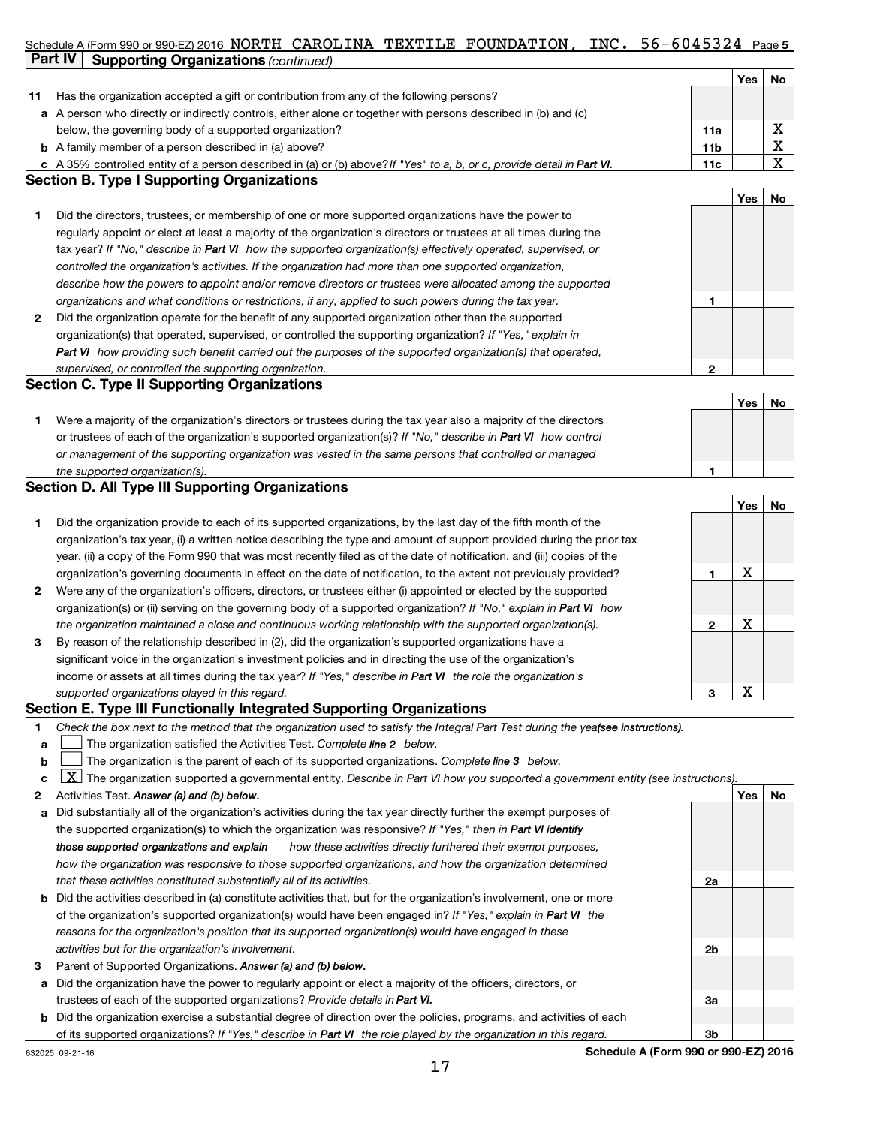## Schedule A (Form 990 or 990-EZ) 2016 NORTH CAROLINA TEXTILE FOUNDATION, INC. 56-6045324 Page 5 **Part IV Supporting Organizations** *(continued)*

|    |                                                                                                                         |                 | Yes | No |
|----|-------------------------------------------------------------------------------------------------------------------------|-----------------|-----|----|
| 11 | Has the organization accepted a gift or contribution from any of the following persons?                                 |                 |     |    |
|    | a A person who directly or indirectly controls, either alone or together with persons described in (b) and (c)          |                 |     |    |
|    | below, the governing body of a supported organization?                                                                  | 11a             |     |    |
|    | <b>b</b> A family member of a person described in (a) above?                                                            | 11 <sub>b</sub> |     |    |
|    | c A 35% controlled entity of a person described in (a) or (b) above? If "Yes" to a, b, or c, provide detail in Part VI. | 11c             |     |    |
|    | <b>Section B. Type I Supporting Organizations</b>                                                                       |                 |     |    |

|              |                                                                                                                    |   | Yes | No |
|--------------|--------------------------------------------------------------------------------------------------------------------|---|-----|----|
|              | Did the directors, trustees, or membership of one or more supported organizations have the power to                |   |     |    |
|              | regularly appoint or elect at least a majority of the organization's directors or trustees at all times during the |   |     |    |
|              | tax year? If "No," describe in Part VI how the supported organization(s) effectively operated, supervised, or      |   |     |    |
|              | controlled the organization's activities. If the organization had more than one supported organization,            |   |     |    |
|              | describe how the powers to appoint and/or remove directors or trustees were allocated among the supported          |   |     |    |
|              | organizations and what conditions or restrictions, if any, applied to such powers during the tax year.             |   |     |    |
| $\mathbf{2}$ | Did the organization operate for the benefit of any supported organization other than the supported                |   |     |    |
|              | organization(s) that operated, supervised, or controlled the supporting organization? If "Yes," explain in         |   |     |    |
|              | Part VI how providing such benefit carried out the purposes of the supported organization(s) that operated,        |   |     |    |
|              | supervised, or controlled the supporting organization.                                                             | 2 |     |    |

# **Section C. Type II Supporting Organizations**

|                                                                                                                  |  | No |
|------------------------------------------------------------------------------------------------------------------|--|----|
| Were a majority of the organization's directors or trustees during the tax year also a majority of the directors |  |    |
| or trustees of each of the organization's supported organization(s)? If "No," describe in Part VI how control    |  |    |
| or management of the supporting organization was vested in the same persons that controlled or managed           |  |    |
| the supported organization(s).                                                                                   |  |    |

# **Section D. All Type III Supporting Organizations**

|              |                                                                                                                        |   | Yes | No |
|--------------|------------------------------------------------------------------------------------------------------------------------|---|-----|----|
| 1            | Did the organization provide to each of its supported organizations, by the last day of the fifth month of the         |   |     |    |
|              | organization's tax year, (i) a written notice describing the type and amount of support provided during the prior tax  |   |     |    |
|              | year, (ii) a copy of the Form 990 that was most recently filed as of the date of notification, and (iii) copies of the |   |     |    |
|              | organization's governing documents in effect on the date of notification, to the extent not previously provided?       |   | х   |    |
| $\mathbf{2}$ | Were any of the organization's officers, directors, or trustees either (i) appointed or elected by the supported       |   |     |    |
|              | organization(s) or (ii) serving on the governing body of a supported organization? If "No," explain in Part VI how     |   |     |    |
|              | the organization maintained a close and continuous working relationship with the supported organization(s).            | 2 | х   |    |
| 3            | By reason of the relationship described in (2), did the organization's supported organizations have a                  |   |     |    |
|              | significant voice in the organization's investment policies and in directing the use of the organization's             |   |     |    |
|              | income or assets at all times during the tax year? If "Yes," describe in Part VI the role the organization's           |   |     |    |
|              | supported organizations played in this regard.                                                                         | з | Х   |    |

# **Section E. Type III Functionally Integrated Supporting Organizations**

- **1** Check the box next to the method that the organization used to satisfy the Integral Part Test during the yeafsee instructions).
- **a** The organization satisfied the Activities Test. Complete line 2 below.  $\mathcal{L}_{\mathcal{A}}$
- **b** The organization is the parent of each of its supported organizations. Complete line 3 below.  $\mathcal{L}_{\mathcal{A}}$

|  |  | $\text{c}$ $\Box$ The organization supported a governmental entity. Describe in Part VI how you supported a government entity (see instructions). |  |  |  |  |  |
|--|--|---------------------------------------------------------------------------------------------------------------------------------------------------|--|--|--|--|--|
|--|--|---------------------------------------------------------------------------------------------------------------------------------------------------|--|--|--|--|--|

- **2** Activities Test.  *Answer (a) and (b) below.*
- **a** Did substantially all of the organization's activities during the tax year directly further the exempt purposes of the supported organization(s) to which the organization was responsive? If "Yes," then in Part VI identify  *how these activities directly furthered their exempt purposes, how the organization was responsive to those supported organizations, and how the organization determined that these activities constituted substantially all of its activities. those supported organizations and explain*
- **b** Did the activities described in (a) constitute activities that, but for the organization's involvement, one or more of the organization's supported organization(s) would have been engaged in? If "Yes," explain in Part VI the *reasons for the organization's position that its supported organization(s) would have engaged in these activities but for the organization's involvement.*
- **3** Parent of Supported Organizations. *Answer (a) and (b) below.*
- **a** Did the organization have the power to regularly appoint or elect a majority of the officers, directors, or trustees of each of the supported organizations? Provide details in Part VI.
- **b** Did the organization exercise a substantial degree of direction over the policies, programs, and activities of each of its supported organizations? If "Yes," describe in Part VI the role played by the organization in this regard.

**2a**

**2b**

**3a**

**3b**

**Yes No**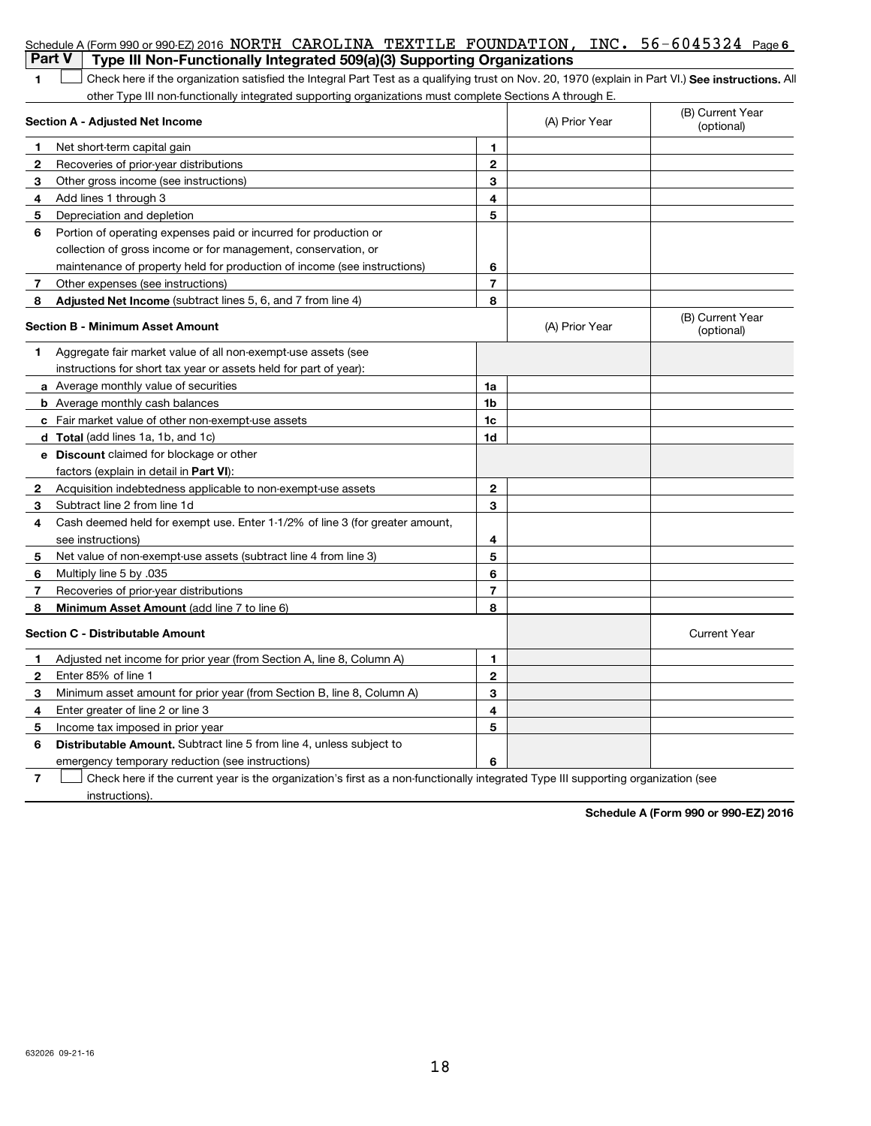| <b>Part V</b> | Schedule A (Form 990 or 990-EZ) 2016 NORTH CAROLINA TEXTILE FOUNDATION, INC. 56-6045324 Page 6<br>Type III Non-Functionally Integrated 509(a)(3) Supporting Organizations |                |                |                                |
|---------------|---------------------------------------------------------------------------------------------------------------------------------------------------------------------------|----------------|----------------|--------------------------------|
| 1             | Check here if the organization satisfied the Integral Part Test as a qualifying trust on Nov. 20, 1970 (explain in Part VI.) See instructions. All                        |                |                |                                |
|               | other Type III non-functionally integrated supporting organizations must complete Sections A through E.                                                                   |                |                |                                |
|               | Section A - Adjusted Net Income                                                                                                                                           |                | (A) Prior Year | (B) Current Year<br>(optional) |
| $\mathbf 1$   | Net short-term capital gain                                                                                                                                               | 1.             |                |                                |
| 2             | Recoveries of prior-year distributions                                                                                                                                    | $\mathbf{2}$   |                |                                |
| 3             | Other gross income (see instructions)                                                                                                                                     | 3              |                |                                |
| 4             | Add lines 1 through 3                                                                                                                                                     | 4              |                |                                |
| 5             | Depreciation and depletion                                                                                                                                                | 5              |                |                                |
| 6             | Portion of operating expenses paid or incurred for production or                                                                                                          |                |                |                                |
|               | collection of gross income or for management, conservation, or                                                                                                            |                |                |                                |
|               | maintenance of property held for production of income (see instructions)                                                                                                  | 6              |                |                                |
| -7            | Other expenses (see instructions)                                                                                                                                         | $\overline{7}$ |                |                                |
| 8             | Adjusted Net Income (subtract lines 5, 6, and 7 from line 4)                                                                                                              | 8              |                |                                |
|               | <b>Section B - Minimum Asset Amount</b>                                                                                                                                   |                | (A) Prior Year | (B) Current Year<br>(optional) |
| 1             | Aggregate fair market value of all non-exempt-use assets (see                                                                                                             |                |                |                                |
|               | instructions for short tax year or assets held for part of year):                                                                                                         |                |                |                                |
|               | a Average monthly value of securities                                                                                                                                     | 1a             |                |                                |
|               | <b>b</b> Average monthly cash balances                                                                                                                                    | 1b             |                |                                |
|               | c Fair market value of other non-exempt-use assets                                                                                                                        | 1c             |                |                                |
|               | d Total (add lines 1a, 1b, and 1c)                                                                                                                                        | 1d             |                |                                |
|               | e Discount claimed for blockage or other                                                                                                                                  |                |                |                                |
|               | factors (explain in detail in <b>Part VI</b> ):                                                                                                                           |                |                |                                |
| 2             | Acquisition indebtedness applicable to non-exempt-use assets                                                                                                              | $\mathbf{2}$   |                |                                |
| 3             | Subtract line 2 from line 1d                                                                                                                                              | 3              |                |                                |
| 4             | Cash deemed held for exempt use. Enter 1-1/2% of line 3 (for greater amount,                                                                                              |                |                |                                |
|               | see instructions)                                                                                                                                                         | 4              |                |                                |
| 5             | Net value of non-exempt-use assets (subtract line 4 from line 3)                                                                                                          | 5              |                |                                |
| 6             | Multiply line 5 by .035                                                                                                                                                   | 6              |                |                                |
| 7             | Recoveries of prior-year distributions                                                                                                                                    | 7              |                |                                |
| -8            | Minimum Asset Amount (add line 7 to line 6)                                                                                                                               | 8              |                |                                |
|               | <b>Section C - Distributable Amount</b>                                                                                                                                   |                |                | <b>Current Year</b>            |
| 1             | Adjusted net income for prior year (from Section A, line 8, Column A)                                                                                                     | 1              |                |                                |
| 2             | Enter 85% of line 1                                                                                                                                                       | 2              |                |                                |
| 3             | Minimum asset amount for prior year (from Section B, line 8, Column A)                                                                                                    | 3              |                |                                |
| 4             | Enter greater of line 2 or line 3                                                                                                                                         | 4              |                |                                |
| 5             | Income tax imposed in prior year                                                                                                                                          | 5              |                |                                |
| 6             | Distributable Amount. Subtract line 5 from line 4, unless subject to                                                                                                      |                |                |                                |
|               | emergency temporary reduction (see instructions)                                                                                                                          | 6              |                |                                |
| 7             | Check here if the current year is the organization's first as a non-functionally integrated Type III supporting organization (see                                         |                |                |                                |
|               | instructions).                                                                                                                                                            |                |                |                                |

**Schedule A (Form 990 or 990-EZ) 2016**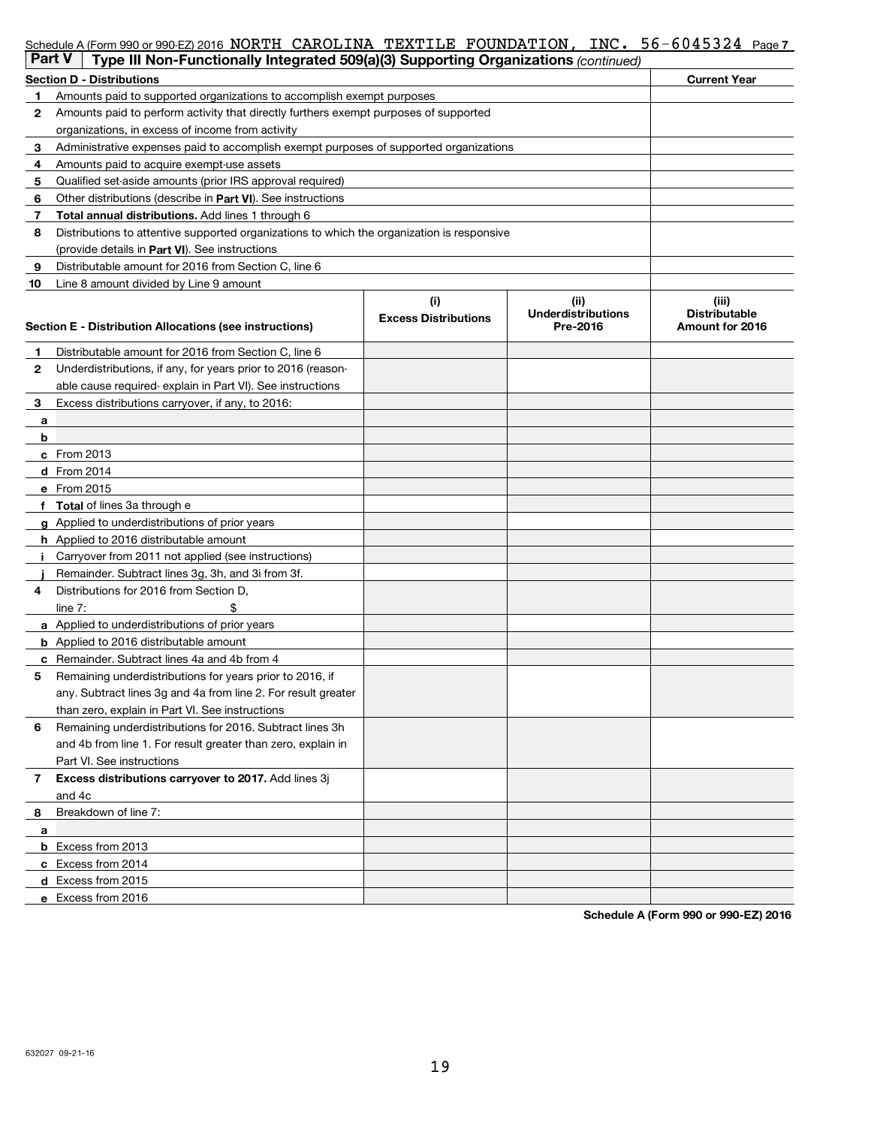|               | Schedule A (Form 990 or 990-EZ) 2016 NORTH CAROLINA TEXTILE FOUNDATION, INC. 56-6045324 Page 7 |                             |                                   |                               |
|---------------|------------------------------------------------------------------------------------------------|-----------------------------|-----------------------------------|-------------------------------|
| <b>Part V</b> | Type III Non-Functionally Integrated 509(a)(3) Supporting Organizations (continued)            |                             |                                   |                               |
|               | <b>Section D - Distributions</b>                                                               |                             |                                   | <b>Current Year</b>           |
| 1             | Amounts paid to supported organizations to accomplish exempt purposes                          |                             |                                   |                               |
| $\mathbf{2}$  | Amounts paid to perform activity that directly furthers exempt purposes of supported           |                             |                                   |                               |
|               | organizations, in excess of income from activity                                               |                             |                                   |                               |
| 3             | Administrative expenses paid to accomplish exempt purposes of supported organizations          |                             |                                   |                               |
| 4             | Amounts paid to acquire exempt-use assets                                                      |                             |                                   |                               |
| 5             | Qualified set-aside amounts (prior IRS approval required)                                      |                             |                                   |                               |
| 6             | Other distributions (describe in Part VI). See instructions                                    |                             |                                   |                               |
| 7             | Total annual distributions. Add lines 1 through 6                                              |                             |                                   |                               |
| 8             | Distributions to attentive supported organizations to which the organization is responsive     |                             |                                   |                               |
|               | (provide details in Part VI). See instructions                                                 |                             |                                   |                               |
| 9             | Distributable amount for 2016 from Section C, line 6                                           |                             |                                   |                               |
| 10            | Line 8 amount divided by Line 9 amount                                                         |                             |                                   |                               |
|               |                                                                                                | (i)                         | (ii)<br><b>Underdistributions</b> | (iii)<br><b>Distributable</b> |
|               | Section E - Distribution Allocations (see instructions)                                        | <b>Excess Distributions</b> | Pre-2016                          | Amount for 2016               |
|               |                                                                                                |                             |                                   |                               |
| 1             | Distributable amount for 2016 from Section C, line 6                                           |                             |                                   |                               |
| $\mathbf{2}$  | Underdistributions, if any, for years prior to 2016 (reason-                                   |                             |                                   |                               |
|               | able cause required-explain in Part VI). See instructions                                      |                             |                                   |                               |
| 3             | Excess distributions carryover, if any, to 2016:                                               |                             |                                   |                               |
| а             |                                                                                                |                             |                                   |                               |
| b             |                                                                                                |                             |                                   |                               |
|               | c From 2013                                                                                    |                             |                                   |                               |
|               | d From 2014                                                                                    |                             |                                   |                               |
|               | e From 2015                                                                                    |                             |                                   |                               |
|               | f Total of lines 3a through e                                                                  |                             |                                   |                               |
|               | g Applied to underdistributions of prior years                                                 |                             |                                   |                               |
|               | h Applied to 2016 distributable amount                                                         |                             |                                   |                               |
|               | Carryover from 2011 not applied (see instructions)                                             |                             |                                   |                               |
|               | Remainder. Subtract lines 3g, 3h, and 3i from 3f.                                              |                             |                                   |                               |
| 4             | Distributions for 2016 from Section D,                                                         |                             |                                   |                               |
|               | line $7:$                                                                                      |                             |                                   |                               |
|               | a Applied to underdistributions of prior years                                                 |                             |                                   |                               |
|               | <b>b</b> Applied to 2016 distributable amount                                                  |                             |                                   |                               |
|               | c Remainder. Subtract lines 4a and 4b from 4                                                   |                             |                                   |                               |
|               | Remaining underdistributions for years prior to 2016, if                                       |                             |                                   |                               |
|               | any. Subtract lines 3g and 4a from line 2. For result greater                                  |                             |                                   |                               |
|               | than zero, explain in Part VI. See instructions                                                |                             |                                   |                               |
| 6             | Remaining underdistributions for 2016. Subtract lines 3h                                       |                             |                                   |                               |
|               | and 4b from line 1. For result greater than zero, explain in                                   |                             |                                   |                               |
|               | Part VI. See instructions                                                                      |                             |                                   |                               |
| 7             | Excess distributions carryover to 2017. Add lines 3j                                           |                             |                                   |                               |
|               | and 4c                                                                                         |                             |                                   |                               |
| 8             | Breakdown of line 7:                                                                           |                             |                                   |                               |
| a             |                                                                                                |                             |                                   |                               |
|               | <b>b</b> Excess from 2013                                                                      |                             |                                   |                               |
|               | c Excess from 2014                                                                             |                             |                                   |                               |
|               | d Excess from 2015                                                                             |                             |                                   |                               |
|               | e Excess from 2016                                                                             |                             |                                   |                               |

**Schedule A (Form 990 or 990-EZ) 2016**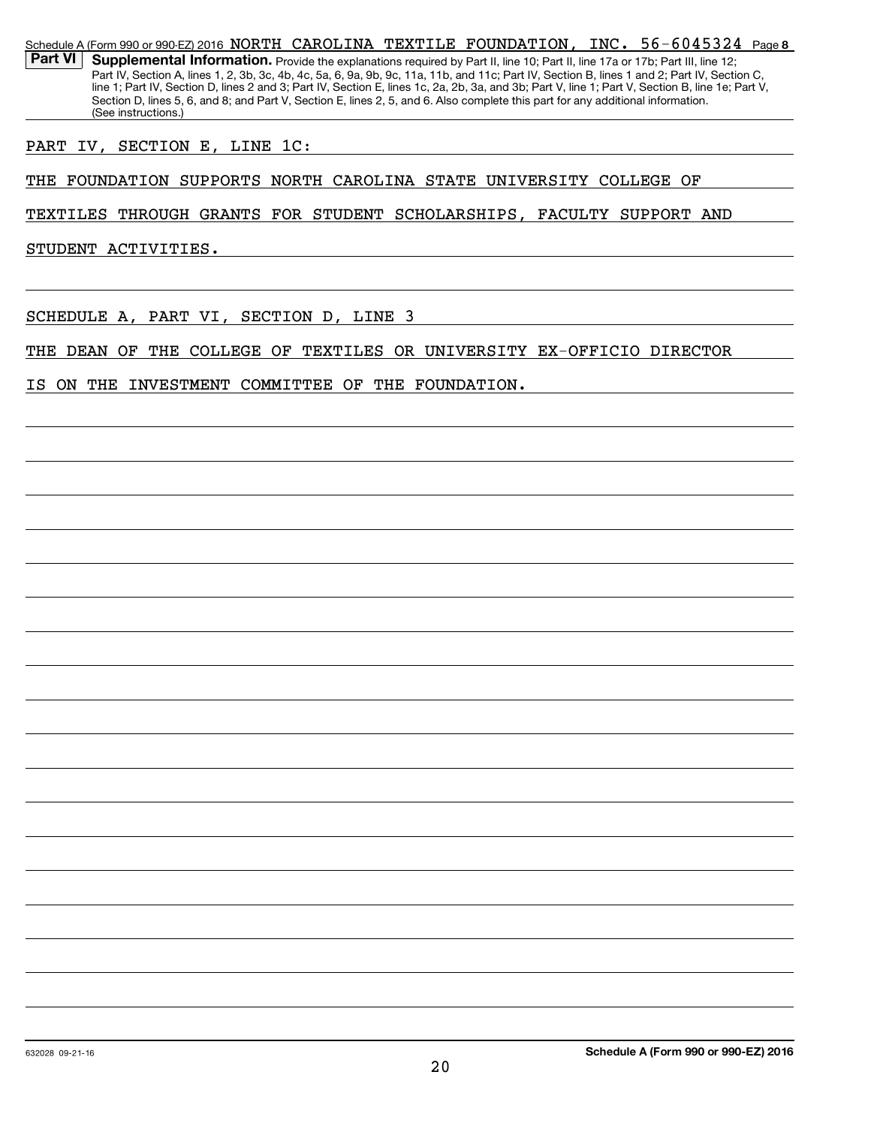Schedule A (Form 990 or 990-EZ) 2016 NORTH CAROLINA TEXTILE FOUNDATION, INC. 56-6045324 Page **8** Part VI | Supplemental Information. Provide the explanations required by Part II, line 10; Part II, line 17a or 17b; Part III, line 12; Part IV, Section A, lines 1, 2, 3b, 3c, 4b, 4c, 5a, 6, 9a, 9b, 9c, 11a, 11b, and 11c; Part IV, Section B, lines 1 and 2; Part IV, Section C, line 1; Part IV, Section D, lines 2 and 3; Part IV, Section E, lines 1c, 2a, 2b, 3a, and 3b; Part V, line 1; Part V, Section B, line 1e; Part V, Section D, lines 5, 6, and 8; and Part V, Section E, lines 2, 5, and 6. Also complete this part for any additional information. (See instructions.) PART IV, SECTION E, LINE 1C: THE FOUNDATION SUPPORTS NORTH CAROLINA STATE UNIVERSITY COLLEGE OF TEXTILES THROUGH GRANTS FOR STUDENT SCHOLARSHIPS, FACULTY SUPPORT AND STUDENT ACTIVITIES. SCHEDULE A, PART VI, SECTION D, LINE 3 THE DEAN OF THE COLLEGE OF TEXTILES OR UNIVERSITY EX-OFFICIO DIRECTOR IS ON THE INVESTMENT COMMITTEE OF THE FOUNDATION.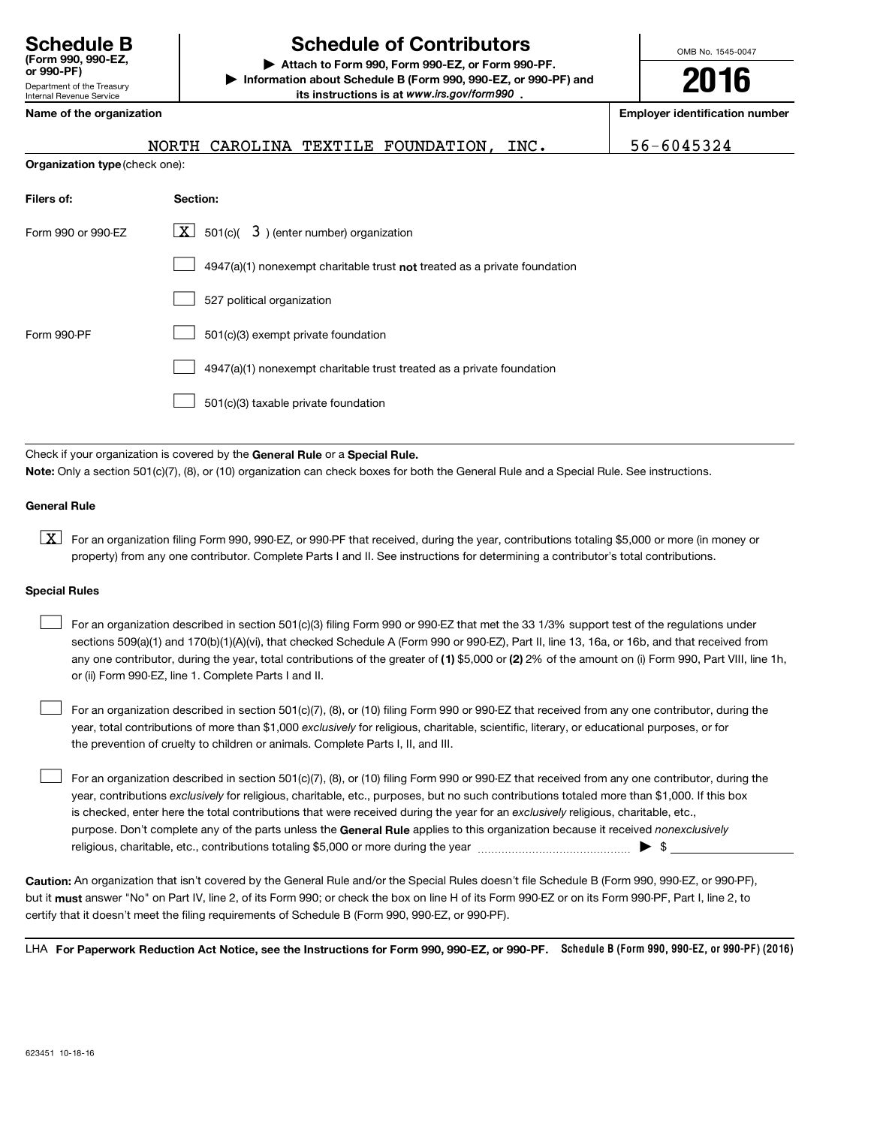Department of the Treasury Internal Revenue Service

# **Schedule B Schedule of Contributors**

**or 990-PF) | Attach to Form 990, Form 990-EZ, or Form 990-PF. | Information about Schedule B (Form 990, 990-EZ, or 990-PF) and** its instructions is at www.irs.gov/form990.

OMB No. 1545-0047

**2016**

#### **Name of the organization Employer identification number**

|                                | CAROLINA TEXTILE FOUNDATION, INC.<br>NORTH                                  | 56-6045324 |
|--------------------------------|-----------------------------------------------------------------------------|------------|
| Organization type (check one): |                                                                             |            |
| Filers of:                     | Section:                                                                    |            |
| Form 990 or 990-EZ             | $\boxed{\mathbf{X}}$ 501(c)( 3) (enter number) organization                 |            |
|                                | $4947(a)(1)$ nonexempt charitable trust not treated as a private foundation |            |
|                                | 527 political organization                                                  |            |
| Form 990-PF                    | 501(c)(3) exempt private foundation                                         |            |
|                                | 4947(a)(1) nonexempt charitable trust treated as a private foundation       |            |
|                                | 501(c)(3) taxable private foundation                                        |            |

Check if your organization is covered by the General Rule or a Special Rule.

**Note:**  Only a section 501(c)(7), (8), or (10) organization can check boxes for both the General Rule and a Special Rule. See instructions.

#### **General Rule**

K For an organization filing Form 990, 990-EZ, or 990-PF that received, during the year, contributions totaling \$5,000 or more (in money or property) from any one contributor. Complete Parts I and II. See instructions for determining a contributor's total contributions.

### **Special Rules**

- any one contributor, during the year, total contributions of the greater of (1) \$5,000 or (2) 2% of the amount on (i) Form 990, Part VIII, line 1h, For an organization described in section 501(c)(3) filing Form 990 or 990-EZ that met the 33 1/3% support test of the regulations under sections 509(a)(1) and 170(b)(1)(A)(vi), that checked Schedule A (Form 990 or 990-EZ), Part II, line 13, 16a, or 16b, and that received from or (ii) Form 990-EZ, line 1. Complete Parts I and II.  $\mathcal{L}_{\mathcal{A}}$
- year, total contributions of more than \$1,000 *exclusively* for religious, charitable, scientific, literary, or educational purposes, or for For an organization described in section 501(c)(7), (8), or (10) filing Form 990 or 990-EZ that received from any one contributor, during the the prevention of cruelty to children or animals. Complete Parts I, II, and III.  $\mathcal{L}_{\mathcal{A}}$
- purpose. Don't complete any of the parts unless the General Rule applies to this organization because it received *nonexclusively* year, contributions *exclusively* for religious, charitable, etc., purposes, but no such contributions totaled more than \$1,000. If this box is checked, enter here the total contributions that were received during the year for an exclusively religious, charitable, etc., For an organization described in section 501(c)(7), (8), or (10) filing Form 990 or 990-EZ that received from any one contributor, during the religious, charitable, etc., contributions totaling \$5,000 or more during the year  $\ldots$  $\ldots$  $\ldots$  $\ldots$  $\ldots$  $\mathcal{L}_{\mathcal{A}}$

**Caution:**  An organization that isn't covered by the General Rule and/or the Special Rules doesn't file Schedule B (Form 990, 990-EZ, or 990-PF), but it **must** answer "No" on Part IV, line 2, of its Form 990; or check the box on line H of its Form 990-EZ or on its Form 990-PF, Part I, line 2, to certify that it doesn't meet the filing requirements of Schedule B (Form 990, 990-EZ, or 990-PF).

LHA For Paperwork Reduction Act Notice, see the Instructions for Form 990, 990-EZ, or 990-PF. Schedule B (Form 990, 990-EZ, or 990-PF) (2016)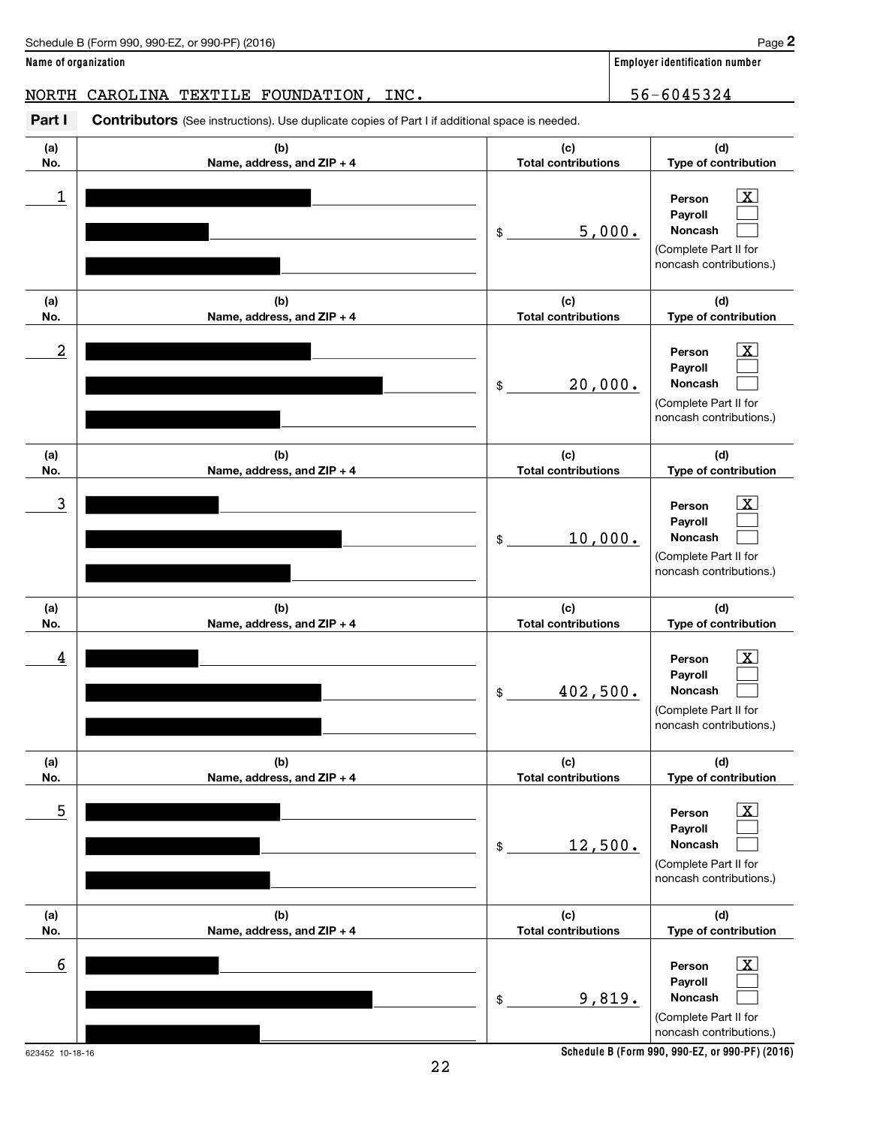| Schedule B (Form 990,<br>(2016)<br>. or 990-PF)<br>990-EZ | Page |
|-----------------------------------------------------------|------|
|                                                           |      |

NORTH CAROLINA TEXTILE FOUNDATION, INC. 48 1966 1012 156-6045324

Part I Contributors (See instructions). Use duplicate copies of Part I if additional space is needed.

| (a)<br>No. | (b)<br>Name, address, and ZIP + 4 | (c)<br><b>Total contributions</b> | (d)<br>Type of contribution                                                                                  |
|------------|-----------------------------------|-----------------------------------|--------------------------------------------------------------------------------------------------------------|
| 1          |                                   | 5,000.<br>\$                      | $\vert \mathbf{x} \vert$<br>Person<br>Payroll<br>Noncash<br>(Complete Part II for<br>noncash contributions.) |
| (a)<br>No. | (b)<br>Name, address, and ZIP + 4 | (c)<br><b>Total contributions</b> | (d)<br>Type of contribution                                                                                  |
| 2          |                                   | 20,000.<br>\$                     | $\vert \text{X} \vert$<br>Person<br>Payroll<br>Noncash<br>(Complete Part II for<br>noncash contributions.)   |
| (a)<br>No. | (b)<br>Name, address, and ZIP + 4 | (c)<br><b>Total contributions</b> | (d)<br>Type of contribution                                                                                  |
| 3          |                                   | 10,000.<br>\$                     | $\mathbf{X}$<br>Person<br>Payroll<br>Noncash<br>(Complete Part II for<br>noncash contributions.)             |
| (a)<br>No. | (b)<br>Name, address, and ZIP + 4 | (c)<br><b>Total contributions</b> | (d)<br>Type of contribution                                                                                  |
| 4          |                                   | 402,500.<br>\$                    | $\mathbf{X}$<br>Person<br>Payroll<br><b>Noncash</b><br>(Complete Part II for<br>noncash contributions.)      |
| (a)<br>No. | (b)<br>Name, address, and ZIP + 4 | (c)<br><b>Total contributions</b> | (d)<br>Type of contribution                                                                                  |
| 5          |                                   | 12,500.<br>$\$$                   | $\vert$ X $\vert$<br>Person<br>Payroll<br>Noncash<br>(Complete Part II for<br>noncash contributions.)        |
| (a)<br>No. | (b)<br>Name, address, and ZIP + 4 | (c)<br><b>Total contributions</b> | (d)<br>Type of contribution                                                                                  |
| 6          |                                   | 9,819.<br>\$                      | $\vert$ X $\vert$<br>Person<br>Payroll<br>Noncash<br>(Complete Part II for<br>noncash contributions.)        |

**Schedule B (Form 990, 990-EZ, or 990-PF) (2016)**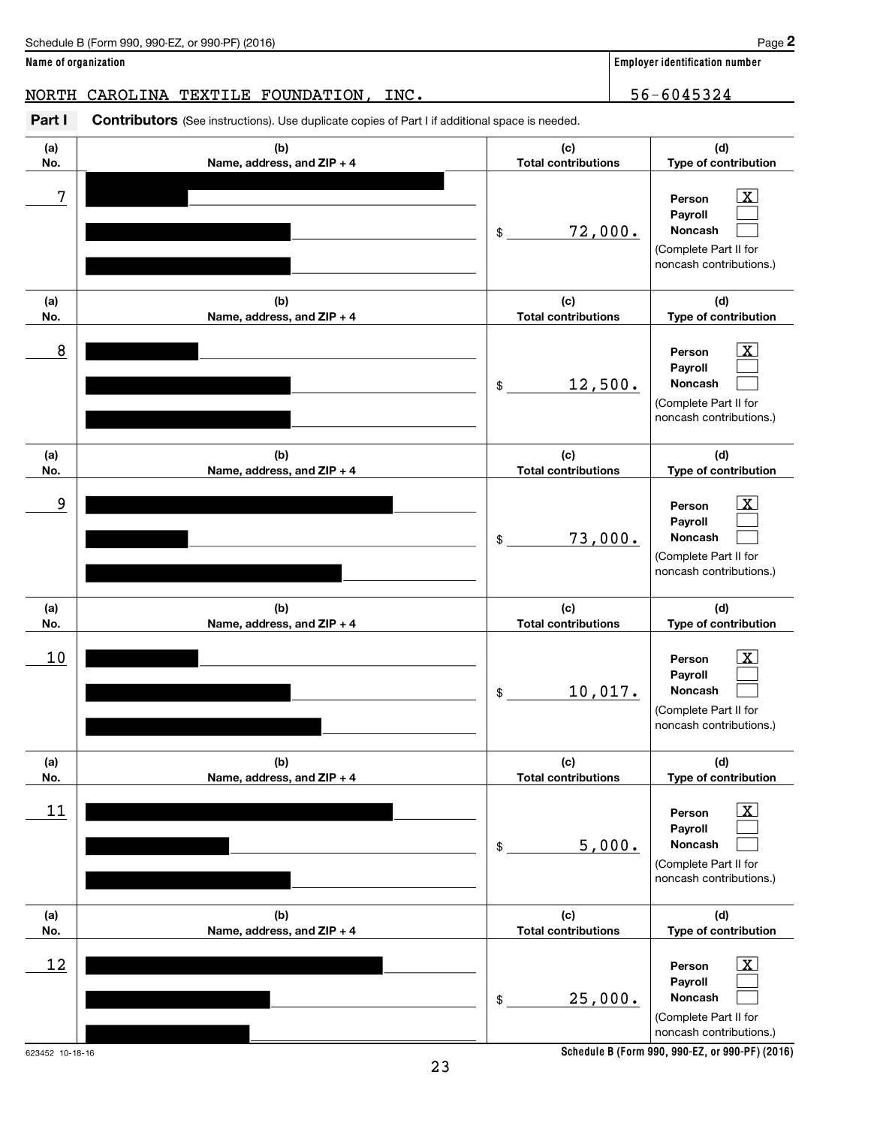| Schedule B (Form 990,<br>. or 990-PF <sup>\</sup><br>(2016)<br>. 990-EZ | Page |
|-------------------------------------------------------------------------|------|
|-------------------------------------------------------------------------|------|

NORTH CAROLINA TEXTILE FOUNDATION, INC. 48 1966 1012 156-6045324

Part I Contributors (See instructions). Use duplicate copies of Part I if additional space is needed.

| (a)                   | (b)                        | (c)                        | (d)                                                                                                                                                       |
|-----------------------|----------------------------|----------------------------|-----------------------------------------------------------------------------------------------------------------------------------------------------------|
| No.                   | Name, address, and ZIP + 4 | <b>Total contributions</b> | Type of contribution                                                                                                                                      |
| 7                     |                            | 72,000.<br>\$              | $\mathbf{X}$<br>Person<br>Payroll<br>Noncash<br>(Complete Part II for<br>noncash contributions.)                                                          |
| (a)                   | (b)                        | (c)                        | (d)                                                                                                                                                       |
| No.                   | Name, address, and ZIP + 4 | <b>Total contributions</b> | Type of contribution                                                                                                                                      |
| 8                     |                            | 12,500.<br>\$              | $\mathbf{X}$<br>Person<br>Payroll<br>Noncash<br>(Complete Part II for<br>noncash contributions.)                                                          |
| (a)                   | (b)                        | (c)                        | (d)                                                                                                                                                       |
| No.                   | Name, address, and ZIP + 4 | <b>Total contributions</b> | Type of contribution                                                                                                                                      |
| 9                     |                            | 73,000.<br>\$              | $\mathbf{X}$<br>Person<br>Payroll<br>Noncash<br>(Complete Part II for<br>noncash contributions.)                                                          |
| (a)                   | (b)                        | (c)                        | (d)                                                                                                                                                       |
| No.                   | Name, address, and ZIP + 4 | <b>Total contributions</b> | Type of contribution                                                                                                                                      |
| 10                    |                            | 10,017.<br>\$              | $\mathbf{X}$<br>Person<br>Payroll<br>Noncash<br>(Complete Part II for<br>noncash contributions.)                                                          |
| (a)                   | (b)                        | (c)                        | (d)                                                                                                                                                       |
| No.                   | Name, address, and ZIP + 4 | <b>Total contributions</b> | Type of contribution                                                                                                                                      |
| 11                    |                            | 5,000.<br>$\$$             | $\boxed{\text{X}}$<br>Person<br>Payroll<br>Noncash<br>(Complete Part II for<br>noncash contributions.)                                                    |
| (a)                   | (b)                        | (c)                        | (d)                                                                                                                                                       |
| No.                   | Name, address, and ZIP + 4 | <b>Total contributions</b> | Type of contribution                                                                                                                                      |
| 12<br>623452 10-18-16 |                            | 25,000.<br>$\$$            | $\boxed{\text{X}}$<br>Person<br>Payroll<br>Noncash<br>(Complete Part II for<br>noncash contributions.)<br>Schedule B (Form 990, 990-EZ, or 990-PF) (2016) |

23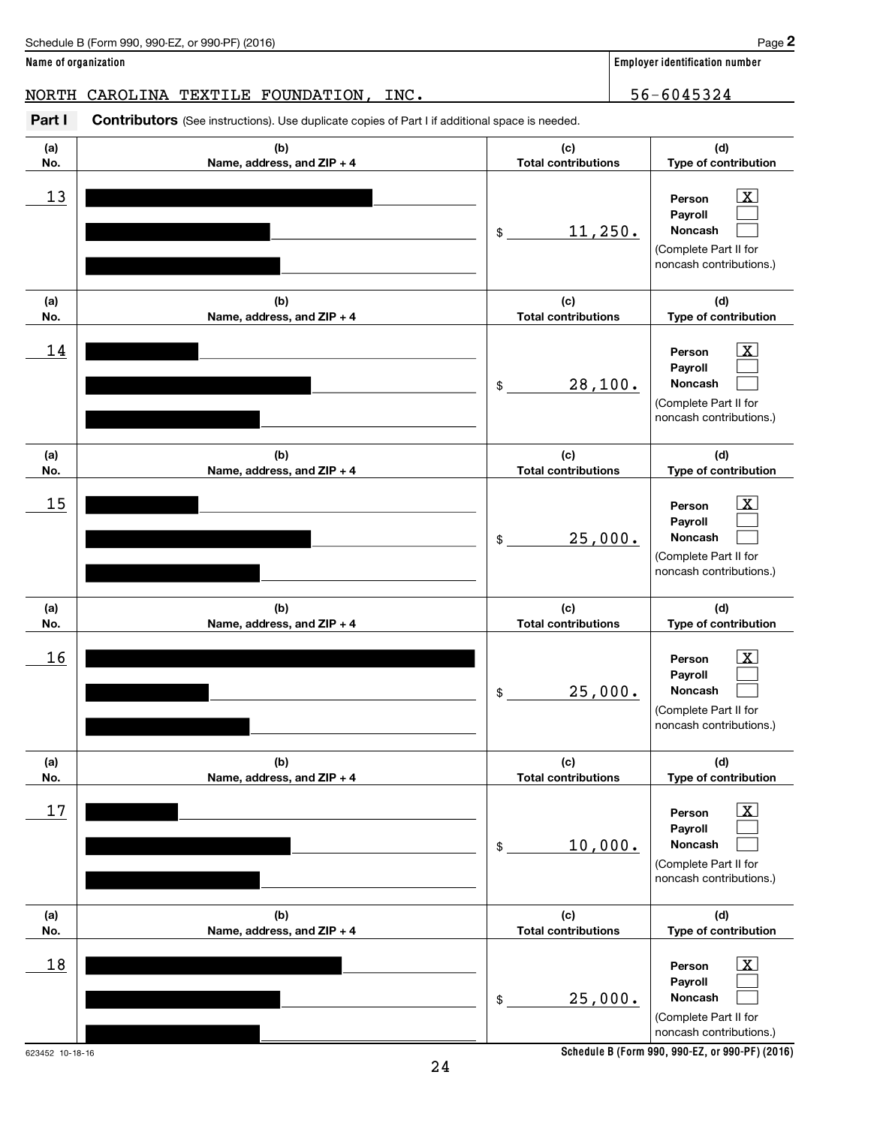623452 10-18-16

**Name of organization Employer identification number**

# NORTH CAROLINA TEXTILE FOUNDATION, INC. 48 1966 1012 156-6045324

| Part I     | Contributors (See instructions). Use duplicate copies of Part I if additional space is needed. |                                   |                                                                                                                |  |  |
|------------|------------------------------------------------------------------------------------------------|-----------------------------------|----------------------------------------------------------------------------------------------------------------|--|--|
| (a)<br>No. | (b)<br>Name, address, and ZIP + 4                                                              | (c)<br><b>Total contributions</b> | (d)<br>Type of contribution                                                                                    |  |  |
| 13         |                                                                                                | 11, 250.<br>\$                    | $\mathbf{X}$<br>Person<br>Payroll<br>Noncash<br>(Complete Part II for<br>noncash contributions.)               |  |  |
| (a)<br>No. | (b)<br>Name, address, and ZIP + 4                                                              | (c)<br><b>Total contributions</b> | (d)<br>Type of contribution                                                                                    |  |  |
| 14         |                                                                                                | 28,100.<br>\$                     | $\mathbf{X}$<br>Person<br>Payroll<br>Noncash<br>(Complete Part II for<br>noncash contributions.)               |  |  |
| (a)<br>No. | (b)<br>Name, address, and ZIP + 4                                                              | (c)<br><b>Total contributions</b> | (d)<br>Type of contribution                                                                                    |  |  |
| 15         |                                                                                                | 25,000.<br>\$                     | X <br>Person<br>Payroll<br><b>Noncash</b><br>(Complete Part II for<br>noncash contributions.)                  |  |  |
| (a)<br>No. | (b)<br>Name, address, and ZIP + 4                                                              | (c)<br><b>Total contributions</b> | (d)<br>Type of contribution                                                                                    |  |  |
| 16         |                                                                                                | 25,000.<br>\$                     | $\vert$ X $\vert$<br>Person<br>Payroll<br><b>Noncash</b><br>(Complete Part II for<br>noncash contributions.)   |  |  |
| (a)<br>No. | (b)<br>Name, address, and ZIP + 4                                                              | (c)<br><b>Total contributions</b> | (d)<br>Type of contribution                                                                                    |  |  |
| 17         |                                                                                                | 10,000.<br>\$                     | $\lfloor x \rfloor$<br>Person<br>Payroll<br><b>Noncash</b><br>(Complete Part II for<br>noncash contributions.) |  |  |
| (a)<br>No. | (b)<br>Name, address, and ZIP + 4                                                              | (c)<br><b>Total contributions</b> | (d)<br>Type of contribution                                                                                    |  |  |
| 18         |                                                                                                | 25,000.<br>\$                     | $\lfloor x \rfloor$<br>Person<br>Payroll<br>Noncash<br>(Complete Part II for<br>noncash contributions.)        |  |  |

24

**Schedule B (Form 990, 990-EZ, or 990-PF) (2016)**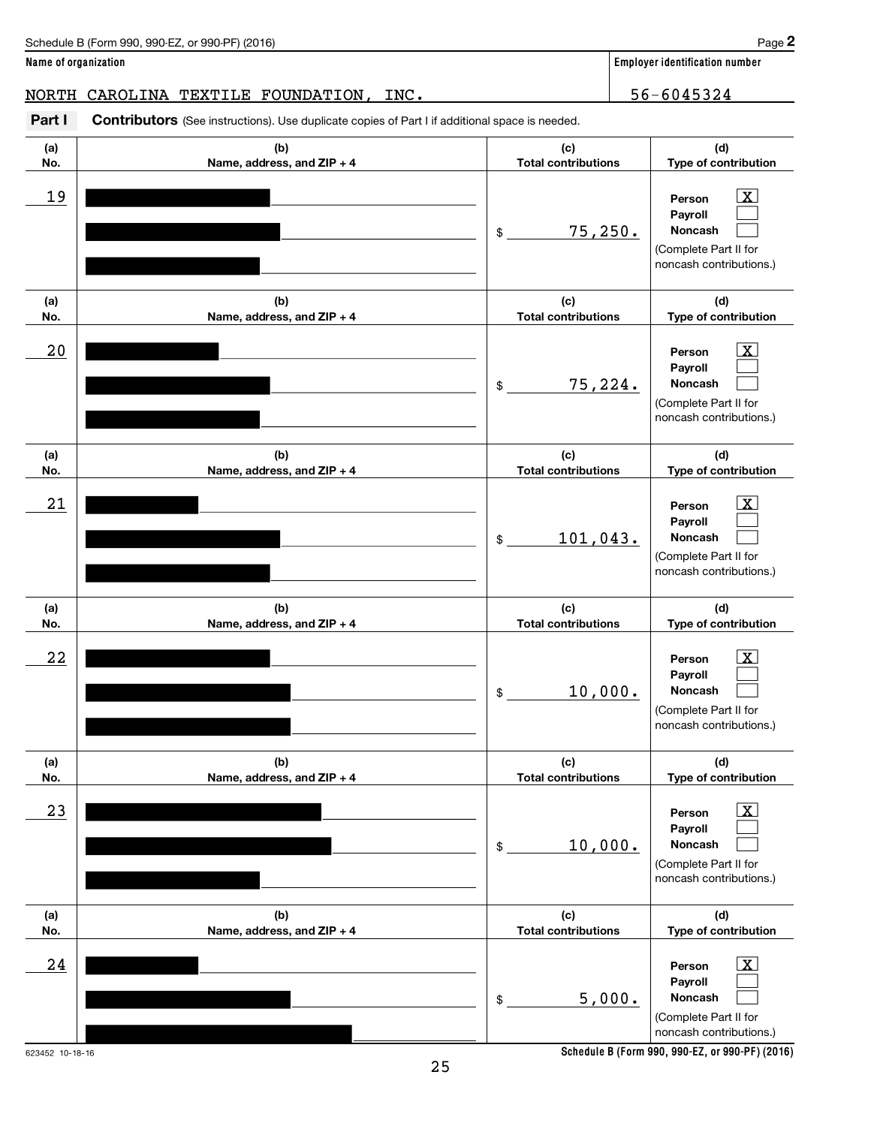**2**

# NORTH CAROLINA TEXTILE FOUNDATION, INC. 48 1966 1012 156-6045324

| Part I     | <b>Contributors</b> (See instructions). Use duplicate copies of Part I if additional space is needed. |                                   |                                                                                                         |
|------------|-------------------------------------------------------------------------------------------------------|-----------------------------------|---------------------------------------------------------------------------------------------------------|
| (a)<br>No. | (b)<br>Name, address, and ZIP + 4                                                                     | (c)<br><b>Total contributions</b> | (d)<br>Type of contribution                                                                             |
| 19         |                                                                                                       | 75, 250.<br>\$                    | $\vert$ X $\vert$<br>Person<br>Payroll<br>Noncash<br>(Complete Part II for<br>noncash contributions.)   |
| (a)<br>No. | (b)<br>Name, address, and ZIP + 4                                                                     | (c)<br><b>Total contributions</b> | (d)<br>Type of contribution                                                                             |
| 20         |                                                                                                       | 75,224.<br>\$                     | $\lfloor x \rfloor$<br>Person<br>Payroll<br>Noncash<br>(Complete Part II for<br>noncash contributions.) |
| (a)<br>No. | (b)<br>Name, address, and ZIP + 4                                                                     | (c)<br><b>Total contributions</b> | (d)<br>Type of contribution                                                                             |
| 21         |                                                                                                       | 101,043.<br>\$                    | $\lfloor x \rfloor$<br>Person<br>Payroll<br>Noncash<br>(Complete Part II for<br>noncash contributions.) |
| (a)<br>No. | (b)<br>Name, address, and ZIP + 4                                                                     | (c)<br><b>Total contributions</b> | (d)<br>Type of contribution                                                                             |
| 22         |                                                                                                       | 10,000.<br>\$                     | $\vert$ X $\vert$<br>Person<br>Payroll<br>Noncash<br>(Complete Part II for<br>noncash contributions.)   |
| (a)<br>No. | (b)<br>Name, address, and ZIP + 4                                                                     | (c)<br><b>Total contributions</b> | (d)<br>Type of contribution                                                                             |
| 23         |                                                                                                       | 10,000.<br>\$                     | $\lfloor x \rfloor$<br>Person<br>Payroll<br>Noncash<br>(Complete Part II for<br>noncash contributions.) |
| (a)<br>No. | (b)<br>Name, address, and ZIP + 4                                                                     | (c)<br><b>Total contributions</b> | (d)<br>Type of contribution                                                                             |
| 24         |                                                                                                       | 5,000.<br>\$                      | Ιx.<br>Person<br>Payroll<br>Noncash<br>(Complete Part II for<br>noncash contributions.)                 |

623452 10-18-16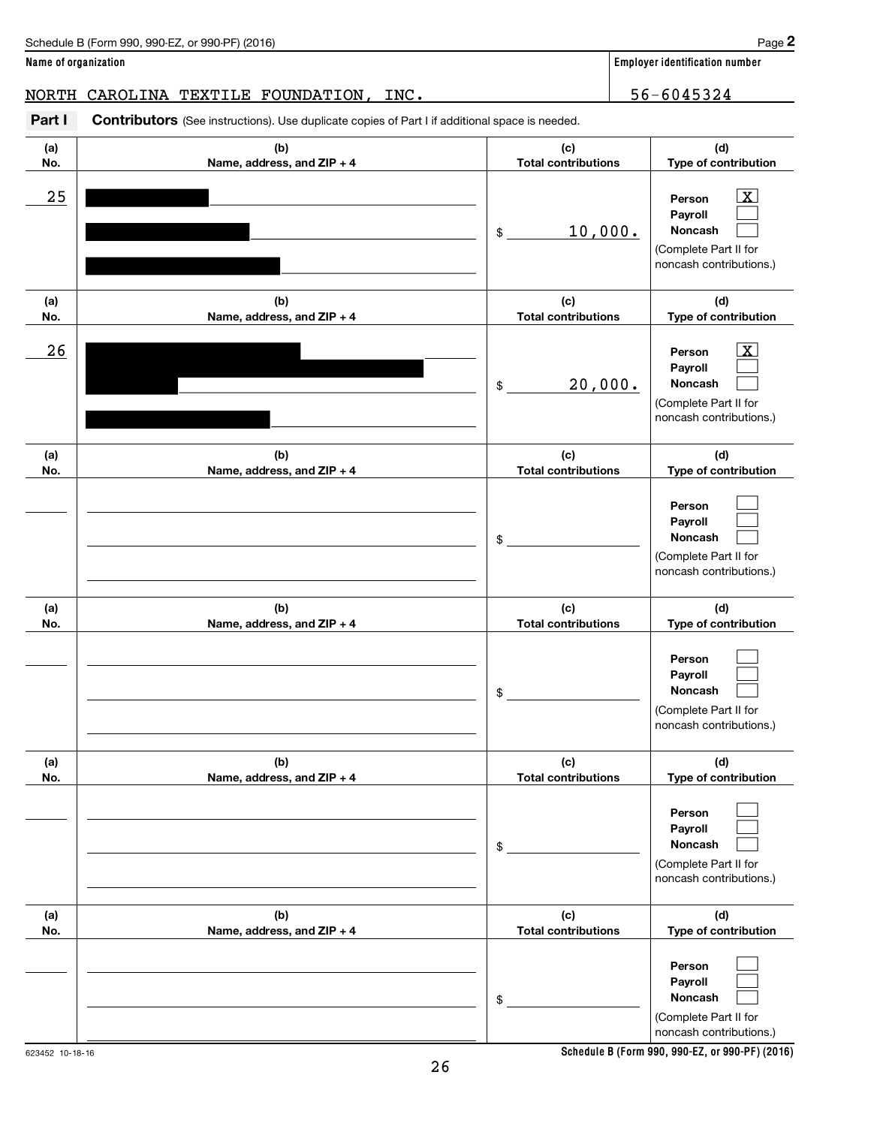# NORTH CAROLINA TEXTILE FOUNDATION, INC. 48 | 56-6045324

Part I Contributors (See instructions). Use duplicate copies of Part I if additional space is needed.

| (a) | (b)                        | (c)                        | (d)                                                                                                         |
|-----|----------------------------|----------------------------|-------------------------------------------------------------------------------------------------------------|
| No. | Name, address, and ZIP + 4 | <b>Total contributions</b> | Type of contribution                                                                                        |
| 25  |                            | 10,000.<br>$$\circ$$       | $\overline{\mathbf{X}}$<br>Person<br>Payroll<br>Noncash<br>(Complete Part II for<br>noncash contributions.) |
| (a) | (b)                        | (c)                        | (d)                                                                                                         |
| No. | Name, address, and ZIP + 4 | <b>Total contributions</b> | Type of contribution                                                                                        |
| 26  |                            | 20,000.<br>$$\circ$$       | $\mathbf{X}$<br>Person<br>Payroll<br>Noncash<br>(Complete Part II for<br>noncash contributions.)            |
| (a) | (b)                        | (c)                        | (d)                                                                                                         |
| No. | Name, address, and ZIP + 4 | <b>Total contributions</b> | Type of contribution                                                                                        |
|     |                            | \$                         | Person<br>Payroll<br><b>Noncash</b><br>(Complete Part II for<br>noncash contributions.)                     |
| (a) | (b)                        | (c)                        | (d)                                                                                                         |
| No. | Name, address, and ZIP + 4 | <b>Total contributions</b> | Type of contribution                                                                                        |
|     |                            | \$                         | Person<br>Payroll<br><b>Noncash</b><br>(Complete Part II for<br>noncash contributions.)                     |
| (a) | (b)                        | (c)                        | (d)                                                                                                         |
| No. | Name, address, and ZIP + 4 | <b>Total contributions</b> | Type of contribution                                                                                        |
|     |                            | \$                         | Person<br>Payroll<br>Noncash<br>(Complete Part II for<br>noncash contributions.)                            |
| (a) | (b)                        | (c)                        | (d)                                                                                                         |
| No. | Name, address, and ZIP + 4 | <b>Total contributions</b> | Type of contribution                                                                                        |
|     |                            | \$                         | Person<br>Payroll<br>Noncash<br>(Complete Part II for<br>noncash contributions.)                            |

26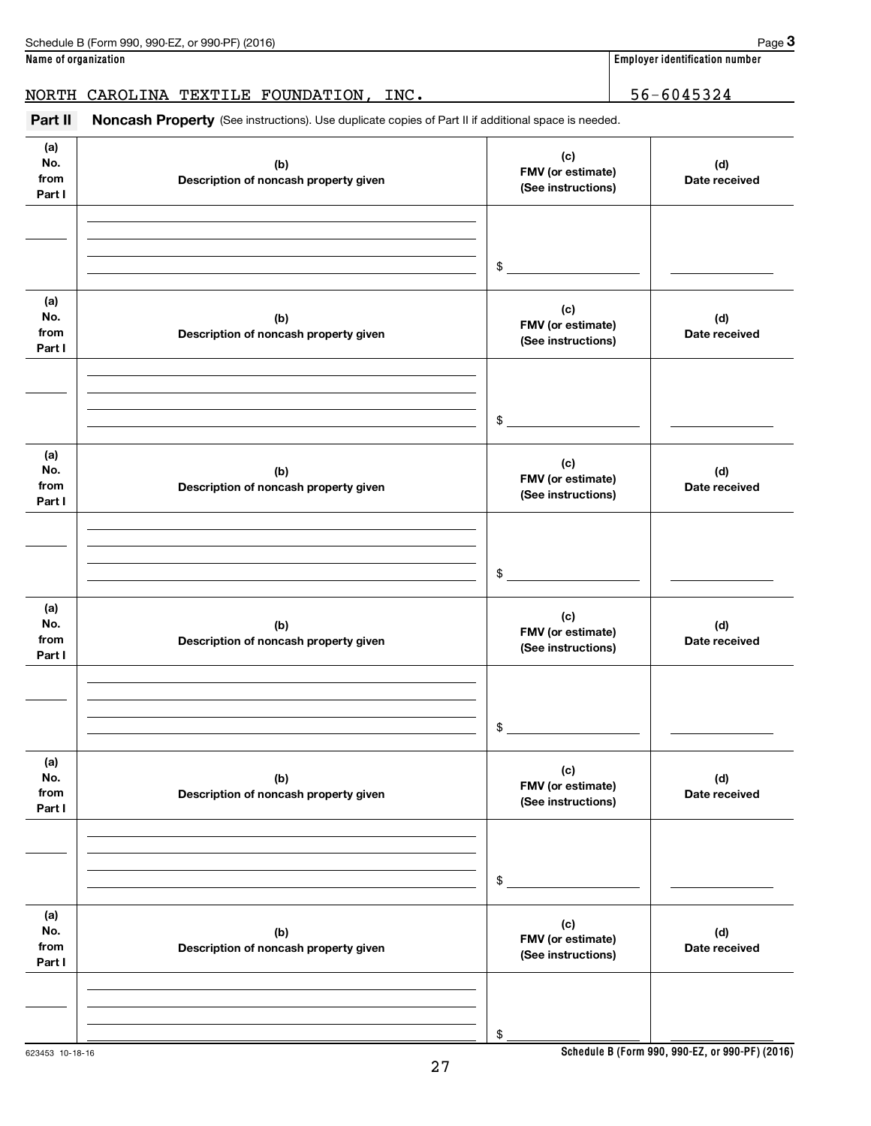# NORTH CAROLINA TEXTILE FOUNDATION, INC. 48 | 56-6045324

(See instructions). Use duplicate copies of Part II if additional space is needed. **Part II Noncash Property**

| Part II                      | <b>Noncash Property</b> (See instructions). Use duplicate copies of Part II if additional space is needed. |                                                |                      |
|------------------------------|------------------------------------------------------------------------------------------------------------|------------------------------------------------|----------------------|
| (a)<br>No.<br>from<br>Part I | (b)<br>Description of noncash property given                                                               | (c)<br>FMV (or estimate)<br>(See instructions) | (d)<br>Date received |
|                              |                                                                                                            |                                                |                      |
|                              |                                                                                                            | \$                                             |                      |
| (a)<br>No.<br>from<br>Part I | (b)<br>Description of noncash property given                                                               | (c)<br>FMV (or estimate)<br>(See instructions) | (d)<br>Date received |
|                              |                                                                                                            |                                                |                      |
|                              |                                                                                                            | \$                                             |                      |
| (a)<br>No.<br>from<br>Part I | (b)<br>Description of noncash property given                                                               | (c)<br>FMV (or estimate)<br>(See instructions) | (d)<br>Date received |
|                              |                                                                                                            |                                                |                      |
|                              |                                                                                                            | \$                                             |                      |
| (a)<br>No.<br>from<br>Part I | (b)<br>Description of noncash property given                                                               | (c)<br>FMV (or estimate)<br>(See instructions) | (d)<br>Date received |
|                              |                                                                                                            |                                                |                      |
|                              |                                                                                                            | \$                                             |                      |
| (a)<br>No.<br>from<br>Part I | (b)<br>Description of noncash property given                                                               | (c)<br>FMV (or estimate)<br>(See instructions) | (d)<br>Date received |
|                              |                                                                                                            |                                                |                      |
|                              |                                                                                                            | \$                                             |                      |
| (a)<br>No.<br>from<br>Part I | (b)<br>Description of noncash property given                                                               | (c)<br>FMV (or estimate)<br>(See instructions) | (d)<br>Date received |
|                              |                                                                                                            |                                                |                      |
|                              |                                                                                                            |                                                |                      |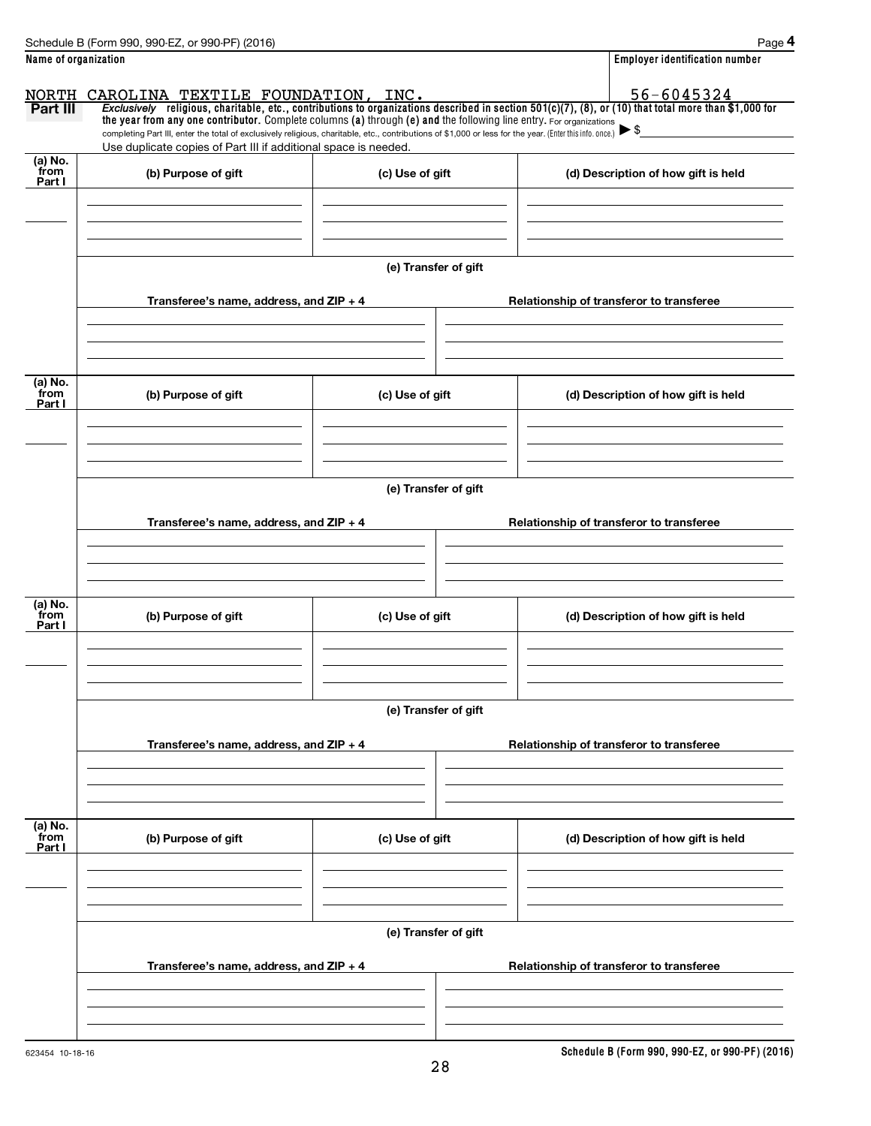|                      | Schedule B (Form 990, 990-EZ, or 990-PF) (2016)                                                                                                                                   |                      | Page 4                                                                                                                                                             |
|----------------------|-----------------------------------------------------------------------------------------------------------------------------------------------------------------------------------|----------------------|--------------------------------------------------------------------------------------------------------------------------------------------------------------------|
| Name of organization |                                                                                                                                                                                   |                      | <b>Employer identification number</b>                                                                                                                              |
|                      | NORTH CAROLINA TEXTILE FOUNDATION, INC.                                                                                                                                           |                      | $\frac{\texttt{AROLINA} \texttt{TEXTILE} \texttt{FOUNDATION} \texttt{,} \texttt{INC} \texttt{.}}{\texttt{Exclusively}}$ $\texttt{relog} \texttt{.} \texttt{[A31]}$ |
| Part III             | the year from any one contributor. Complete columns (a) through (e) and the following line entry. For organizations                                                               |                      |                                                                                                                                                                    |
|                      | completing Part III, enter the total of exclusively religious, charitable, etc., contributions of \$1,000 or less for the year. (Enter this info. once.) $\blacktriangleright$ \$ |                      |                                                                                                                                                                    |
| (a) No.              | Use duplicate copies of Part III if additional space is needed.                                                                                                                   |                      |                                                                                                                                                                    |
| from<br>Part I       | (b) Purpose of gift                                                                                                                                                               | (c) Use of gift      | (d) Description of how gift is held                                                                                                                                |
|                      |                                                                                                                                                                                   |                      |                                                                                                                                                                    |
|                      |                                                                                                                                                                                   |                      |                                                                                                                                                                    |
|                      |                                                                                                                                                                                   |                      |                                                                                                                                                                    |
|                      |                                                                                                                                                                                   | (e) Transfer of gift |                                                                                                                                                                    |
|                      |                                                                                                                                                                                   |                      |                                                                                                                                                                    |
|                      | Transferee's name, address, and ZIP + 4                                                                                                                                           |                      | Relationship of transferor to transferee                                                                                                                           |
|                      |                                                                                                                                                                                   |                      |                                                                                                                                                                    |
|                      |                                                                                                                                                                                   |                      |                                                                                                                                                                    |
| (a) No.              |                                                                                                                                                                                   |                      |                                                                                                                                                                    |
| from<br>Part I       | (b) Purpose of gift                                                                                                                                                               | (c) Use of gift      | (d) Description of how gift is held                                                                                                                                |
|                      |                                                                                                                                                                                   |                      |                                                                                                                                                                    |
|                      |                                                                                                                                                                                   |                      |                                                                                                                                                                    |
|                      |                                                                                                                                                                                   |                      |                                                                                                                                                                    |
|                      |                                                                                                                                                                                   | (e) Transfer of gift |                                                                                                                                                                    |
|                      | Transferee's name, address, and ZIP + 4                                                                                                                                           |                      | Relationship of transferor to transferee                                                                                                                           |
|                      |                                                                                                                                                                                   |                      |                                                                                                                                                                    |
|                      |                                                                                                                                                                                   |                      |                                                                                                                                                                    |
|                      |                                                                                                                                                                                   |                      |                                                                                                                                                                    |
| (a) No.<br>from      |                                                                                                                                                                                   |                      |                                                                                                                                                                    |
| Part I               | (b) Purpose of gift                                                                                                                                                               | (c) Use of gift      | (d) Description of how gift is held                                                                                                                                |
|                      |                                                                                                                                                                                   |                      |                                                                                                                                                                    |
|                      |                                                                                                                                                                                   |                      |                                                                                                                                                                    |
|                      |                                                                                                                                                                                   |                      |                                                                                                                                                                    |
|                      |                                                                                                                                                                                   | (e) Transfer of gift |                                                                                                                                                                    |
|                      | Transferee's name, address, and ZIP + 4                                                                                                                                           |                      | Relationship of transferor to transferee                                                                                                                           |
|                      |                                                                                                                                                                                   |                      |                                                                                                                                                                    |
|                      |                                                                                                                                                                                   |                      |                                                                                                                                                                    |
|                      |                                                                                                                                                                                   |                      |                                                                                                                                                                    |
| (a) No.<br>from      | (b) Purpose of gift                                                                                                                                                               | (c) Use of gift      | (d) Description of how gift is held                                                                                                                                |
| Part I               |                                                                                                                                                                                   |                      |                                                                                                                                                                    |
|                      |                                                                                                                                                                                   |                      |                                                                                                                                                                    |
|                      |                                                                                                                                                                                   |                      |                                                                                                                                                                    |
|                      |                                                                                                                                                                                   | (e) Transfer of gift |                                                                                                                                                                    |
|                      | Transferee's name, address, and $ZIP + 4$                                                                                                                                         |                      | Relationship of transferor to transferee                                                                                                                           |
|                      |                                                                                                                                                                                   |                      |                                                                                                                                                                    |
|                      |                                                                                                                                                                                   |                      |                                                                                                                                                                    |
|                      |                                                                                                                                                                                   |                      |                                                                                                                                                                    |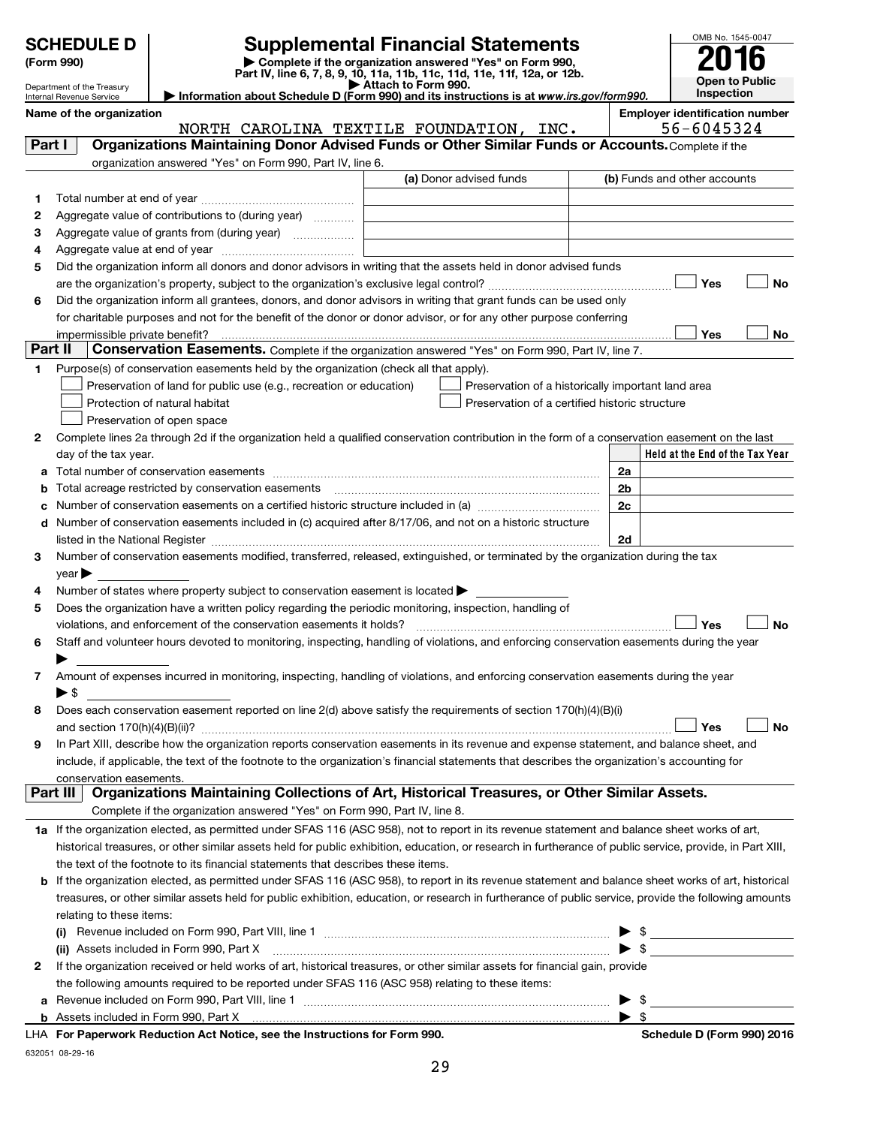|         | <b>SCHEDULE D</b><br>(Form 990)                        | <b>Supplemental Financial Statements</b><br>Complete if the organization answered "Yes" on Form 990,                                                                                                                                                                                                                                                              |                     |                                                    |                         | OMB No. 1545-0047                     |
|---------|--------------------------------------------------------|-------------------------------------------------------------------------------------------------------------------------------------------------------------------------------------------------------------------------------------------------------------------------------------------------------------------------------------------------------------------|---------------------|----------------------------------------------------|-------------------------|---------------------------------------|
|         |                                                        | Part IV, line 6, 7, 8, 9, 10, 11a, 11b, 11c, 11d, 11e, 11f, 12a, or 12b.                                                                                                                                                                                                                                                                                          |                     |                                                    |                         | <b>Open to Public</b>                 |
|         | Department of the Treasury<br>Internal Revenue Service | Information about Schedule D (Form 990) and its instructions is at www.irs.gov/form990.                                                                                                                                                                                                                                                                           | Attach to Form 990. |                                                    |                         | Inspection                            |
|         | Name of the organization                               |                                                                                                                                                                                                                                                                                                                                                                   |                     |                                                    |                         | <b>Employer identification number</b> |
|         |                                                        | NORTH CAROLINA TEXTILE FOUNDATION, INC.                                                                                                                                                                                                                                                                                                                           |                     |                                                    |                         | 56-6045324                            |
| Part I  |                                                        | Organizations Maintaining Donor Advised Funds or Other Similar Funds or Accounts. Complete if the                                                                                                                                                                                                                                                                 |                     |                                                    |                         |                                       |
|         |                                                        | organization answered "Yes" on Form 990, Part IV, line 6.                                                                                                                                                                                                                                                                                                         |                     |                                                    |                         |                                       |
|         |                                                        |                                                                                                                                                                                                                                                                                                                                                                   |                     | (a) Donor advised funds                            |                         | (b) Funds and other accounts          |
| 1       |                                                        |                                                                                                                                                                                                                                                                                                                                                                   |                     |                                                    |                         |                                       |
| 2       |                                                        | Aggregate value of contributions to (during year)                                                                                                                                                                                                                                                                                                                 |                     |                                                    |                         |                                       |
| з       |                                                        | Aggregate value of grants from (during year)                                                                                                                                                                                                                                                                                                                      |                     |                                                    |                         |                                       |
| 4<br>5  |                                                        | Did the organization inform all donors and donor advisors in writing that the assets held in donor advised funds                                                                                                                                                                                                                                                  |                     |                                                    |                         |                                       |
|         |                                                        |                                                                                                                                                                                                                                                                                                                                                                   |                     |                                                    |                         | Yes<br>No                             |
| 6       |                                                        | Did the organization inform all grantees, donors, and donor advisors in writing that grant funds can be used only                                                                                                                                                                                                                                                 |                     |                                                    |                         |                                       |
|         |                                                        | for charitable purposes and not for the benefit of the donor or donor advisor, or for any other purpose conferring                                                                                                                                                                                                                                                |                     |                                                    |                         |                                       |
|         | impermissible private benefit?                         |                                                                                                                                                                                                                                                                                                                                                                   |                     |                                                    |                         | Yes<br>No                             |
| Part II |                                                        | Conservation Easements. Complete if the organization answered "Yes" on Form 990, Part IV, line 7.                                                                                                                                                                                                                                                                 |                     |                                                    |                         |                                       |
| 1.      |                                                        | Purpose(s) of conservation easements held by the organization (check all that apply).                                                                                                                                                                                                                                                                             |                     |                                                    |                         |                                       |
|         |                                                        | Preservation of land for public use (e.g., recreation or education)                                                                                                                                                                                                                                                                                               |                     | Preservation of a historically important land area |                         |                                       |
|         |                                                        | Protection of natural habitat                                                                                                                                                                                                                                                                                                                                     |                     | Preservation of a certified historic structure     |                         |                                       |
|         |                                                        | Preservation of open space                                                                                                                                                                                                                                                                                                                                        |                     |                                                    |                         |                                       |
| 2       |                                                        | Complete lines 2a through 2d if the organization held a qualified conservation contribution in the form of a conservation easement on the last                                                                                                                                                                                                                    |                     |                                                    |                         |                                       |
|         | day of the tax year.                                   |                                                                                                                                                                                                                                                                                                                                                                   |                     |                                                    |                         | Held at the End of the Tax Year       |
|         |                                                        |                                                                                                                                                                                                                                                                                                                                                                   |                     |                                                    | 2a                      |                                       |
|         |                                                        | Total acreage restricted by conservation easements                                                                                                                                                                                                                                                                                                                |                     |                                                    | 2 <sub>b</sub>          |                                       |
|         |                                                        |                                                                                                                                                                                                                                                                                                                                                                   |                     |                                                    | 2c                      |                                       |
| d       |                                                        | Number of conservation easements included in (c) acquired after 8/17/06, and not on a historic structure                                                                                                                                                                                                                                                          |                     |                                                    | 2d                      |                                       |
| 3       |                                                        | listed in the National Register [111] Marshall Register [11] Marshall Register [11] Marshall Register [11] Marshall Register [11] Marshall Register [11] Marshall Register [11] Marshall Register [11] Marshall Register [11]<br>Number of conservation easements modified, transferred, released, extinguished, or terminated by the organization during the tax |                     |                                                    |                         |                                       |
|         | year                                                   |                                                                                                                                                                                                                                                                                                                                                                   |                     |                                                    |                         |                                       |
| 4       |                                                        | Number of states where property subject to conservation easement is located $\blacktriangleright$                                                                                                                                                                                                                                                                 |                     |                                                    |                         |                                       |
| 5       |                                                        | Does the organization have a written policy regarding the periodic monitoring, inspection, handling of                                                                                                                                                                                                                                                            |                     |                                                    |                         |                                       |
|         |                                                        | violations, and enforcement of the conservation easements it holds?                                                                                                                                                                                                                                                                                               |                     |                                                    |                         | No<br>Yes                             |
| 6       |                                                        | Staff and volunteer hours devoted to monitoring, inspecting, handling of violations, and enforcing conservation easements during the year                                                                                                                                                                                                                         |                     |                                                    |                         |                                       |
|         |                                                        |                                                                                                                                                                                                                                                                                                                                                                   |                     |                                                    |                         |                                       |
|         |                                                        | Amount of expenses incurred in monitoring, inspecting, handling of violations, and enforcing conservation easements during the year                                                                                                                                                                                                                               |                     |                                                    |                         |                                       |
|         | $\blacktriangleright$ \$                               |                                                                                                                                                                                                                                                                                                                                                                   |                     |                                                    |                         |                                       |
| 8       |                                                        | Does each conservation easement reported on line 2(d) above satisfy the requirements of section 170(h)(4)(B)(i)                                                                                                                                                                                                                                                   |                     |                                                    |                         |                                       |
|         | and section $170(h)(4)(B)(ii)?$                        |                                                                                                                                                                                                                                                                                                                                                                   |                     |                                                    |                         | No<br>Yes                             |
| 9       |                                                        | In Part XIII, describe how the organization reports conservation easements in its revenue and expense statement, and balance sheet, and                                                                                                                                                                                                                           |                     |                                                    |                         |                                       |
|         | conservation easements.                                | include, if applicable, the text of the footnote to the organization's financial statements that describes the organization's accounting for                                                                                                                                                                                                                      |                     |                                                    |                         |                                       |
|         | Part III                                               | Organizations Maintaining Collections of Art, Historical Treasures, or Other Similar Assets.                                                                                                                                                                                                                                                                      |                     |                                                    |                         |                                       |
|         |                                                        | Complete if the organization answered "Yes" on Form 990, Part IV, line 8.                                                                                                                                                                                                                                                                                         |                     |                                                    |                         |                                       |
|         |                                                        | 1a If the organization elected, as permitted under SFAS 116 (ASC 958), not to report in its revenue statement and balance sheet works of art,                                                                                                                                                                                                                     |                     |                                                    |                         |                                       |
|         |                                                        | historical treasures, or other similar assets held for public exhibition, education, or research in furtherance of public service, provide, in Part XIII,                                                                                                                                                                                                         |                     |                                                    |                         |                                       |
|         |                                                        | the text of the footnote to its financial statements that describes these items.                                                                                                                                                                                                                                                                                  |                     |                                                    |                         |                                       |
|         |                                                        | <b>b</b> If the organization elected, as permitted under SFAS 116 (ASC 958), to report in its revenue statement and balance sheet works of art, historical                                                                                                                                                                                                        |                     |                                                    |                         |                                       |
|         |                                                        | treasures, or other similar assets held for public exhibition, education, or research in furtherance of public service, provide the following amounts                                                                                                                                                                                                             |                     |                                                    |                         |                                       |
|         | relating to these items:                               |                                                                                                                                                                                                                                                                                                                                                                   |                     |                                                    |                         |                                       |
|         |                                                        |                                                                                                                                                                                                                                                                                                                                                                   |                     |                                                    |                         |                                       |
|         |                                                        | (ii) Assets included in Form 990, Part X                                                                                                                                                                                                                                                                                                                          |                     |                                                    |                         | $\blacktriangleright$ \$              |
| 2       |                                                        | If the organization received or held works of art, historical treasures, or other similar assets for financial gain, provide                                                                                                                                                                                                                                      |                     |                                                    |                         |                                       |
|         |                                                        | the following amounts required to be reported under SFAS 116 (ASC 958) relating to these items:                                                                                                                                                                                                                                                                   |                     |                                                    |                         |                                       |
|         |                                                        |                                                                                                                                                                                                                                                                                                                                                                   |                     |                                                    |                         | - \$                                  |
|         |                                                        |                                                                                                                                                                                                                                                                                                                                                                   |                     |                                                    | $\blacktriangleright$ s |                                       |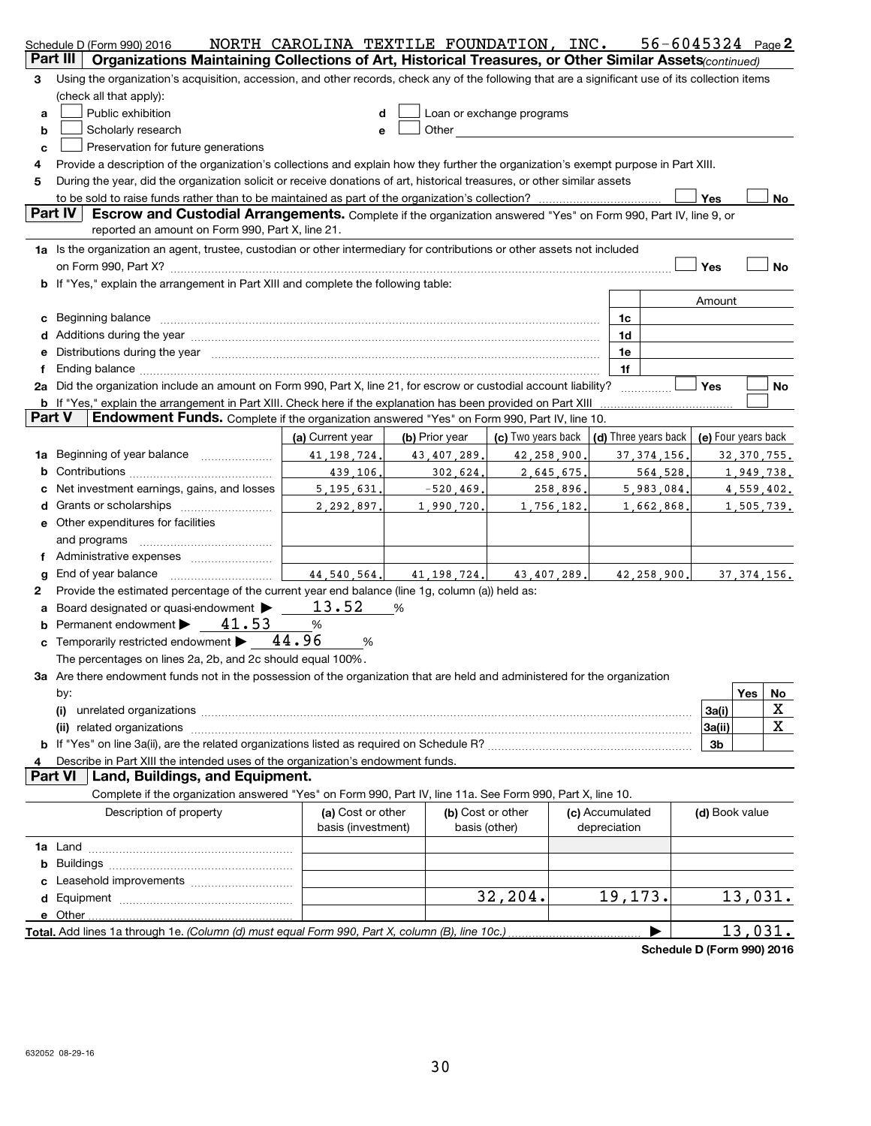|        | Schedule D (Form 990) 2016                                                                                                                                                                                                     | NORTH CAROLINA TEXTILE FOUNDATION, INC. |                |                                                                                                                                                                                                                                |                                 |                      |                     | $56 - 6045324$ Page 2 |
|--------|--------------------------------------------------------------------------------------------------------------------------------------------------------------------------------------------------------------------------------|-----------------------------------------|----------------|--------------------------------------------------------------------------------------------------------------------------------------------------------------------------------------------------------------------------------|---------------------------------|----------------------|---------------------|-----------------------|
|        | Part III<br>Organizations Maintaining Collections of Art, Historical Treasures, or Other Similar Assets (continued)                                                                                                            |                                         |                |                                                                                                                                                                                                                                |                                 |                      |                     |                       |
| 3      | Using the organization's acquisition, accession, and other records, check any of the following that are a significant use of its collection items                                                                              |                                         |                |                                                                                                                                                                                                                                |                                 |                      |                     |                       |
|        | (check all that apply):                                                                                                                                                                                                        |                                         |                |                                                                                                                                                                                                                                |                                 |                      |                     |                       |
| a      | Public exhibition                                                                                                                                                                                                              | d                                       |                | Loan or exchange programs                                                                                                                                                                                                      |                                 |                      |                     |                       |
| b      | Scholarly research                                                                                                                                                                                                             | e                                       |                | Other and the control of the control of the control of the control of the control of the control of the control of the control of the control of the control of the control of the control of the control of the control of th |                                 |                      |                     |                       |
| c      | Preservation for future generations                                                                                                                                                                                            |                                         |                |                                                                                                                                                                                                                                |                                 |                      |                     |                       |
| 4      | Provide a description of the organization's collections and explain how they further the organization's exempt purpose in Part XIII.                                                                                           |                                         |                |                                                                                                                                                                                                                                |                                 |                      |                     |                       |
| 5      | During the year, did the organization solicit or receive donations of art, historical treasures, or other similar assets                                                                                                       |                                         |                |                                                                                                                                                                                                                                |                                 |                      |                     |                       |
|        |                                                                                                                                                                                                                                |                                         |                |                                                                                                                                                                                                                                |                                 |                      | Yes                 | No                    |
|        | Part IV<br>Escrow and Custodial Arrangements. Complete if the organization answered "Yes" on Form 990, Part IV, line 9, or<br>reported an amount on Form 990, Part X, line 21.                                                 |                                         |                |                                                                                                                                                                                                                                |                                 |                      |                     |                       |
|        | 1a Is the organization an agent, trustee, custodian or other intermediary for contributions or other assets not included                                                                                                       |                                         |                |                                                                                                                                                                                                                                |                                 |                      |                     |                       |
|        |                                                                                                                                                                                                                                |                                         |                |                                                                                                                                                                                                                                |                                 |                      | Yes                 | <b>No</b>             |
|        | <b>b</b> If "Yes," explain the arrangement in Part XIII and complete the following table:                                                                                                                                      |                                         |                |                                                                                                                                                                                                                                |                                 |                      |                     |                       |
|        |                                                                                                                                                                                                                                |                                         |                |                                                                                                                                                                                                                                |                                 |                      | Amount              |                       |
|        | c Beginning balance measurements and the contract of Beginning balance measurements are all the contract of the contract of the contract of the contract of the contract of the contract of the contract of the contract of th |                                         |                |                                                                                                                                                                                                                                | 1c                              |                      |                     |                       |
|        |                                                                                                                                                                                                                                |                                         |                |                                                                                                                                                                                                                                | 1d                              |                      |                     |                       |
|        | e Distributions during the year manufactured and contain an account of the state of the state of the state of the state of the state of the state of the state of the state of the state of the state of the state of the stat |                                         |                |                                                                                                                                                                                                                                | 1e                              |                      |                     |                       |
| f      |                                                                                                                                                                                                                                |                                         |                |                                                                                                                                                                                                                                | 1f                              |                      |                     |                       |
|        | 2a Did the organization include an amount on Form 990, Part X, line 21, for escrow or custodial account liability?                                                                                                             |                                         |                |                                                                                                                                                                                                                                |                                 |                      | Yes                 | No.                   |
|        | <b>b</b> If "Yes," explain the arrangement in Part XIII. Check here if the explanation has been provided on Part XIII                                                                                                          |                                         |                |                                                                                                                                                                                                                                |                                 |                      |                     |                       |
| Part V | Endowment Funds. Complete if the organization answered "Yes" on Form 990, Part IV, line 10.                                                                                                                                    |                                         |                |                                                                                                                                                                                                                                |                                 |                      |                     |                       |
|        |                                                                                                                                                                                                                                | (a) Current year                        | (b) Prior year | (c) Two years back                                                                                                                                                                                                             |                                 | (d) Three years back | (e) Four years back |                       |
|        | <b>1a</b> Beginning of year balance <i>manumerance</i>                                                                                                                                                                         | 41, 198, 724.                           | 43,407,289     | 42,258,900                                                                                                                                                                                                                     |                                 | 37.374.156.          |                     | 32, 370, 755.         |
|        |                                                                                                                                                                                                                                | 439.106.                                | 302.624.       | 2,645,675.                                                                                                                                                                                                                     |                                 | 564,528.             |                     | 1,949,738.            |
| c      | Net investment earnings, gains, and losses                                                                                                                                                                                     | 5, 195, 631.                            | $-520, 469$    | 258,896.                                                                                                                                                                                                                       |                                 | 5,983,084.           |                     | 4,559,402.            |
|        |                                                                                                                                                                                                                                | 2,292,897.                              | 1,990,720      | 1,756,182                                                                                                                                                                                                                      |                                 | 1,662,868,           |                     | 1,505,739.            |
|        | e Other expenditures for facilities                                                                                                                                                                                            |                                         |                |                                                                                                                                                                                                                                |                                 |                      |                     |                       |
|        | and programs                                                                                                                                                                                                                   |                                         |                |                                                                                                                                                                                                                                |                                 |                      |                     |                       |
|        |                                                                                                                                                                                                                                |                                         |                |                                                                                                                                                                                                                                |                                 |                      |                     |                       |
| g      | End of year balance                                                                                                                                                                                                            | 44.540.564.                             | 41.198.724.    | 43, 407, 289.                                                                                                                                                                                                                  |                                 | 42,258,900,          |                     | 37, 374, 156.         |
| 2      | Provide the estimated percentage of the current year end balance (line 1g, column (a)) held as:                                                                                                                                |                                         |                |                                                                                                                                                                                                                                |                                 |                      |                     |                       |
|        | a Board designated or quasi-endowment $\blacktriangleright$                                                                                                                                                                    | 13.52                                   | %              |                                                                                                                                                                                                                                |                                 |                      |                     |                       |
|        | <b>b</b> Permanent endowment $\blacktriangleright$ 41.53                                                                                                                                                                       | $\%$                                    |                |                                                                                                                                                                                                                                |                                 |                      |                     |                       |
|        | c Temporarily restricted endowment > 44.96                                                                                                                                                                                     | %                                       |                |                                                                                                                                                                                                                                |                                 |                      |                     |                       |
|        | The percentages on lines 2a, 2b, and 2c should equal 100%.                                                                                                                                                                     |                                         |                |                                                                                                                                                                                                                                |                                 |                      |                     |                       |
|        | 3a Are there endowment funds not in the possession of the organization that are held and administered for the organization                                                                                                     |                                         |                |                                                                                                                                                                                                                                |                                 |                      |                     |                       |
|        | by:                                                                                                                                                                                                                            |                                         |                |                                                                                                                                                                                                                                |                                 |                      |                     | Yes<br>No             |
|        | (i)                                                                                                                                                                                                                            |                                         |                |                                                                                                                                                                                                                                |                                 |                      | 3a(i)               | х                     |
|        |                                                                                                                                                                                                                                |                                         |                |                                                                                                                                                                                                                                |                                 |                      | 3a(ii)              | X                     |
|        |                                                                                                                                                                                                                                |                                         |                |                                                                                                                                                                                                                                |                                 |                      | 3b                  |                       |
|        | Describe in Part XIII the intended uses of the organization's endowment funds.                                                                                                                                                 |                                         |                |                                                                                                                                                                                                                                |                                 |                      |                     |                       |
|        | <b>Part VI</b><br>Land, Buildings, and Equipment.                                                                                                                                                                              |                                         |                |                                                                                                                                                                                                                                |                                 |                      |                     |                       |
|        | Complete if the organization answered "Yes" on Form 990, Part IV, line 11a. See Form 990, Part X, line 10.                                                                                                                     |                                         |                |                                                                                                                                                                                                                                |                                 |                      |                     |                       |
|        | Description of property                                                                                                                                                                                                        | (a) Cost or other<br>basis (investment) |                | (b) Cost or other<br>basis (other)                                                                                                                                                                                             | (c) Accumulated<br>depreciation |                      | (d) Book value      |                       |
|        |                                                                                                                                                                                                                                |                                         |                |                                                                                                                                                                                                                                |                                 |                      |                     |                       |
|        |                                                                                                                                                                                                                                |                                         |                |                                                                                                                                                                                                                                |                                 |                      |                     |                       |
|        |                                                                                                                                                                                                                                |                                         |                |                                                                                                                                                                                                                                |                                 |                      |                     |                       |
|        |                                                                                                                                                                                                                                |                                         |                | 32, 204.                                                                                                                                                                                                                       | 19,173.                         |                      |                     | 13,031.               |
|        | e Other                                                                                                                                                                                                                        |                                         |                |                                                                                                                                                                                                                                |                                 |                      |                     |                       |
|        |                                                                                                                                                                                                                                |                                         |                |                                                                                                                                                                                                                                |                                 |                      |                     | <u>13,031.</u>        |

**Schedule D (Form 990) 2016**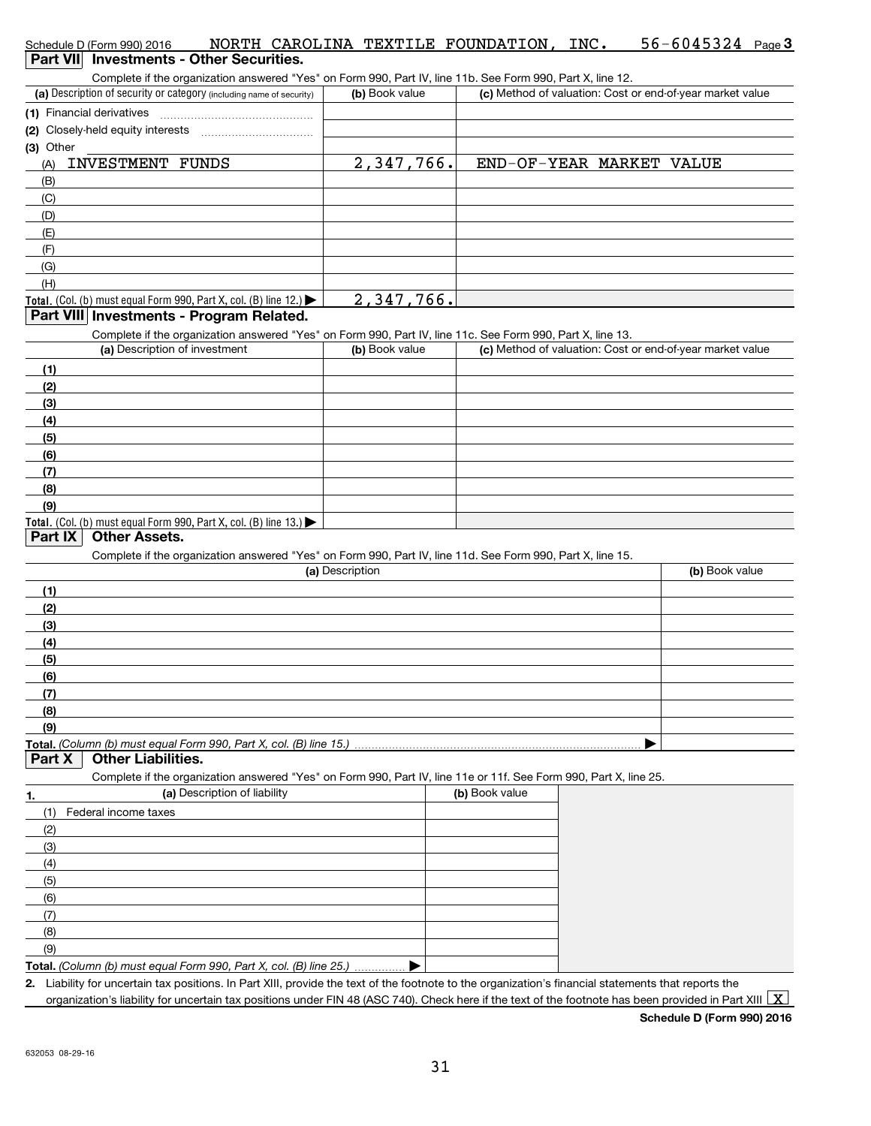| Schedule D (Form 990) 2016<br>Part VII Investments - Other Securities.                                                                                                                                                                   |                 |                |                          | NORTH CAROLINA TEXTILE FOUNDATION, INC. 56-6045324 Page 3 |
|------------------------------------------------------------------------------------------------------------------------------------------------------------------------------------------------------------------------------------------|-----------------|----------------|--------------------------|-----------------------------------------------------------|
| Complete if the organization answered "Yes" on Form 990, Part IV, line 11b. See Form 990, Part X, line 12.                                                                                                                               |                 |                |                          |                                                           |
| (a) Description of security or category (including name of security)                                                                                                                                                                     | (b) Book value  |                |                          | (c) Method of valuation: Cost or end-of-year market value |
|                                                                                                                                                                                                                                          |                 |                |                          |                                                           |
|                                                                                                                                                                                                                                          |                 |                |                          |                                                           |
| (3) Other                                                                                                                                                                                                                                |                 |                |                          |                                                           |
| <b>INVESTMENT FUNDS</b><br>(A)                                                                                                                                                                                                           | 2,347,766.      |                | END-OF-YEAR MARKET VALUE |                                                           |
| (B)                                                                                                                                                                                                                                      |                 |                |                          |                                                           |
| (C)                                                                                                                                                                                                                                      |                 |                |                          |                                                           |
| (D)                                                                                                                                                                                                                                      |                 |                |                          |                                                           |
| (E)<br>(F)                                                                                                                                                                                                                               |                 |                |                          |                                                           |
| (G)                                                                                                                                                                                                                                      |                 |                |                          |                                                           |
| (H)                                                                                                                                                                                                                                      |                 |                |                          |                                                           |
| Total. (Col. (b) must equal Form 990, Part X, col. (B) line 12.)                                                                                                                                                                         | 2,347,766.      |                |                          |                                                           |
| Part VIII Investments - Program Related.                                                                                                                                                                                                 |                 |                |                          |                                                           |
| Complete if the organization answered "Yes" on Form 990, Part IV, line 11c. See Form 990, Part X, line 13.<br>(a) Description of investment                                                                                              | (b) Book value  |                |                          | (c) Method of valuation: Cost or end-of-year market value |
|                                                                                                                                                                                                                                          |                 |                |                          |                                                           |
| (1)                                                                                                                                                                                                                                      |                 |                |                          |                                                           |
| (2)<br>(3)                                                                                                                                                                                                                               |                 |                |                          |                                                           |
| (4)                                                                                                                                                                                                                                      |                 |                |                          |                                                           |
| (5)                                                                                                                                                                                                                                      |                 |                |                          |                                                           |
| (6)                                                                                                                                                                                                                                      |                 |                |                          |                                                           |
| (7)                                                                                                                                                                                                                                      |                 |                |                          |                                                           |
| (8)                                                                                                                                                                                                                                      |                 |                |                          |                                                           |
| (9)                                                                                                                                                                                                                                      |                 |                |                          |                                                           |
| Total. (Col. (b) must equal Form 990, Part X, col. (B) line $13.$ $\blacktriangleright$<br><b>Other Assets.</b><br>Part IX<br>Complete if the organization answered "Yes" on Form 990, Part IV, line 11d. See Form 990, Part X, line 15. | (a) Description |                |                          | (b) Book value                                            |
| (1)                                                                                                                                                                                                                                      |                 |                |                          |                                                           |
| (2)                                                                                                                                                                                                                                      |                 |                |                          |                                                           |
| (3)                                                                                                                                                                                                                                      |                 |                |                          |                                                           |
| (4)                                                                                                                                                                                                                                      |                 |                |                          |                                                           |
| (5)                                                                                                                                                                                                                                      |                 |                |                          |                                                           |
| (6)                                                                                                                                                                                                                                      |                 |                |                          |                                                           |
| (7)                                                                                                                                                                                                                                      |                 |                |                          |                                                           |
| (8)                                                                                                                                                                                                                                      |                 |                |                          |                                                           |
| (9)                                                                                                                                                                                                                                      |                 |                |                          |                                                           |
| Total, (Column (b) must equal Form 990, Part X, col. (B) line 15.).<br><b>Other Liabilities.</b><br>Part X                                                                                                                               |                 |                |                          |                                                           |
| Complete if the organization answered "Yes" on Form 990, Part IV, line 11e or 11f. See Form 990, Part X, line 25.                                                                                                                        |                 |                |                          |                                                           |
| (a) Description of liability<br>1.                                                                                                                                                                                                       |                 | (b) Book value |                          |                                                           |
| Federal income taxes<br>(1)                                                                                                                                                                                                              |                 |                |                          |                                                           |
| (2)                                                                                                                                                                                                                                      |                 |                |                          |                                                           |
| (3)                                                                                                                                                                                                                                      |                 |                |                          |                                                           |
| (4)                                                                                                                                                                                                                                      |                 |                |                          |                                                           |
| (5)                                                                                                                                                                                                                                      |                 |                |                          |                                                           |
| (6)                                                                                                                                                                                                                                      |                 |                |                          |                                                           |
| (7)                                                                                                                                                                                                                                      |                 |                |                          |                                                           |
| (8)                                                                                                                                                                                                                                      |                 |                |                          |                                                           |
| (9)                                                                                                                                                                                                                                      |                 |                |                          |                                                           |
| Total. (Column (b) must equal Form 990, Part X, col. (B) line 25.)                                                                                                                                                                       |                 |                |                          |                                                           |
| 2. Liability for uncertain tax positions. In Part XIII, provide the text of the footnote to the organization's financial statements that reports the                                                                                     |                 |                |                          |                                                           |

|  |  |  | Schedule D (Form 990) 2016 |
|--|--|--|----------------------------|
|  |  |  |                            |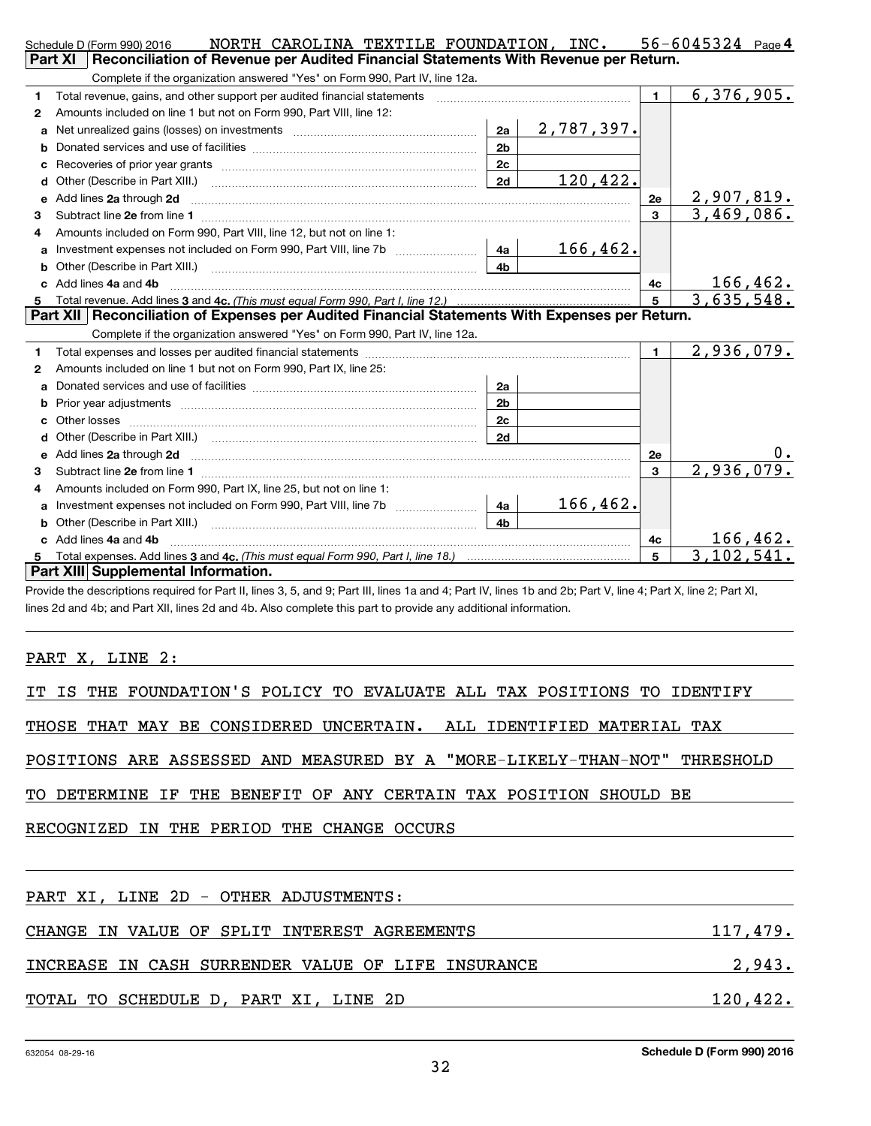|   | NORTH CAROLINA TEXTILE FOUNDATION, INC.<br>Schedule D (Form 990) 2016                                                                                                                                                                |                |                   |                 | $56 - 6045324$ Page 4    |
|---|--------------------------------------------------------------------------------------------------------------------------------------------------------------------------------------------------------------------------------------|----------------|-------------------|-----------------|--------------------------|
|   | <b>Part XI</b><br>Reconciliation of Revenue per Audited Financial Statements With Revenue per Return.                                                                                                                                |                |                   |                 |                          |
|   | Complete if the organization answered "Yes" on Form 990, Part IV, line 12a.                                                                                                                                                          |                |                   |                 |                          |
| 1 | Total revenue, gains, and other support per audited financial statements                                                                                                                                                             |                |                   | $\mathbf{1}$    | 6,376,905.               |
| 2 | Amounts included on line 1 but not on Form 990. Part VIII, line 12:                                                                                                                                                                  |                |                   |                 |                          |
| a |                                                                                                                                                                                                                                      | 2a             | <u>2,787,397.</u> |                 |                          |
|   |                                                                                                                                                                                                                                      | 2 <sub>b</sub> |                   |                 |                          |
| c |                                                                                                                                                                                                                                      | 2c             |                   |                 |                          |
| d |                                                                                                                                                                                                                                      | 2d             | 120,422.          |                 |                          |
| е | Add lines 2a through 2d                                                                                                                                                                                                              |                |                   | 2e              | 2,907,819.<br>3,469,086. |
| 3 |                                                                                                                                                                                                                                      |                |                   | $\mathbf{3}$    |                          |
| 4 | Amounts included on Form 990, Part VIII, line 12, but not on line 1:                                                                                                                                                                 |                |                   |                 |                          |
|   |                                                                                                                                                                                                                                      |                | <u> 166,462.</u>  |                 |                          |
| b |                                                                                                                                                                                                                                      | 4 <sub>h</sub> |                   |                 |                          |
|   | c Add lines 4a and 4b                                                                                                                                                                                                                |                |                   | 4c              | 166,462.                 |
| 5 |                                                                                                                                                                                                                                      |                |                   | $5\overline{5}$ | 3,635,548.               |
|   |                                                                                                                                                                                                                                      |                |                   |                 |                          |
|   | Part XII   Reconciliation of Expenses per Audited Financial Statements With Expenses per Return.                                                                                                                                     |                |                   |                 |                          |
|   | Complete if the organization answered "Yes" on Form 990, Part IV, line 12a.                                                                                                                                                          |                |                   |                 |                          |
| 1 |                                                                                                                                                                                                                                      |                |                   | $\mathbf 1$     | 2,936,079.               |
| 2 | Amounts included on line 1 but not on Form 990, Part IX, line 25:                                                                                                                                                                    |                |                   |                 |                          |
| a |                                                                                                                                                                                                                                      | 2a             |                   |                 |                          |
|   |                                                                                                                                                                                                                                      | 2 <sub>b</sub> |                   |                 |                          |
| C |                                                                                                                                                                                                                                      | 2 <sub>c</sub> |                   |                 |                          |
| d |                                                                                                                                                                                                                                      | 2d             |                   |                 |                          |
|   | Add lines 2a through 2d <b>contained a contained a contained a contained a contained a contained a contained a contained a contact a contact a contact a contact a contact a contact a contact a contact a contact a contact a c</b> |                |                   | 2e              |                          |
| 3 |                                                                                                                                                                                                                                      |                |                   | $\mathbf{3}$    | 2,936,079.               |
| 4 | Amounts included on Form 990, Part IX, line 25, but not on line 1:                                                                                                                                                                   |                |                   |                 |                          |
| a |                                                                                                                                                                                                                                      |                | 166, 462.         |                 |                          |
| b |                                                                                                                                                                                                                                      | 4 <sub>h</sub> |                   |                 |                          |
|   | c Add lines 4a and 4b                                                                                                                                                                                                                |                |                   | 4c              | 166,462.                 |
|   | Part XIII Supplemental Information.                                                                                                                                                                                                  |                |                   | 5               | 3, 102, 541.             |

Provide the descriptions required for Part II, lines 3, 5, and 9; Part III, lines 1a and 4; Part IV, lines 1b and 2b; Part V, line 4; Part X, line 2; Part XI, lines 2d and 4b; and Part XII, lines 2d and 4b. Also complete this part to provide any additional information.

PART X, LINE 2:

|  |  |  | IT IS THE FOUNDATION'S POLICY TO EVALUATE ALL TAX POSITIONS TO IDENTIFY |  |  |  |  |  |  |  |  |  |
|--|--|--|-------------------------------------------------------------------------|--|--|--|--|--|--|--|--|--|
|--|--|--|-------------------------------------------------------------------------|--|--|--|--|--|--|--|--|--|

THOSE THAT MAY BE CONSIDERED UNCERTAIN. ALL IDENTIFIED MATERIAL TAX

POSITIONS ARE ASSESSED AND MEASURED BY A "MORE-LIKELY-THAN-NOT" THRESHOLD

TO DETERMINE IF THE BENEFIT OF ANY CERTAIN TAX POSITION SHOULD BE

RECOGNIZED IN THE PERIOD THE CHANGE OCCURS

| PART XI, LINE 2D - OTHER ADJUSTMENTS:              |          |
|----------------------------------------------------|----------|
| CHANGE IN VALUE OF SPLIT INTEREST AGREEMENTS       | 117,479. |
| INCREASE IN CASH SURRENDER VALUE OF LIFE INSURANCE | 2,943.   |
| TOTAL TO SCHEDULE D, PART XI, LINE 2D              | 120,422. |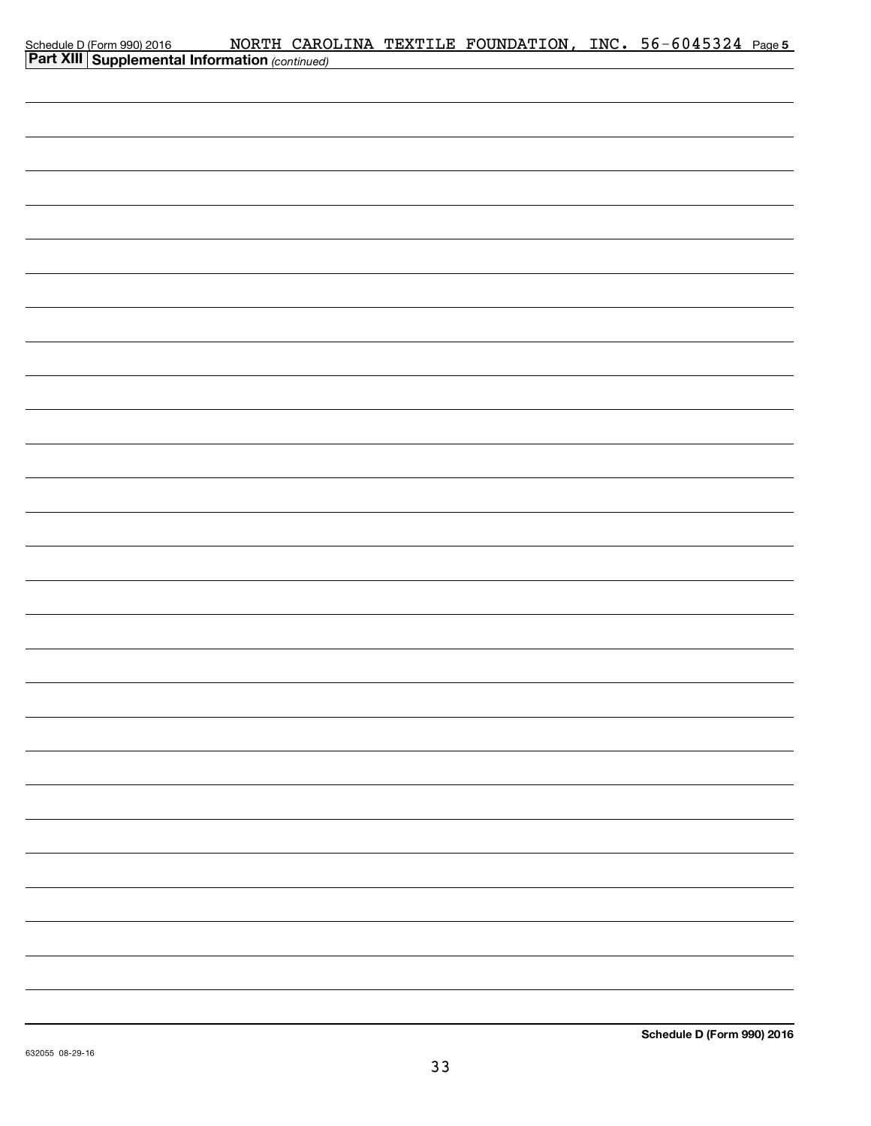| Schedule D (Form 990) 2016 MORTH CARO<br><b>Part XIII   Supplemental Information</b> (continued) |  | NORTH CAROLINA TEXTILE FOUNDATION, INC. 56-6045324 Page 5 |  |  |
|--------------------------------------------------------------------------------------------------|--|-----------------------------------------------------------|--|--|
|                                                                                                  |  |                                                           |  |  |
|                                                                                                  |  |                                                           |  |  |
|                                                                                                  |  |                                                           |  |  |
|                                                                                                  |  |                                                           |  |  |
|                                                                                                  |  |                                                           |  |  |
|                                                                                                  |  |                                                           |  |  |
|                                                                                                  |  |                                                           |  |  |
|                                                                                                  |  |                                                           |  |  |
|                                                                                                  |  |                                                           |  |  |
|                                                                                                  |  |                                                           |  |  |
|                                                                                                  |  |                                                           |  |  |
|                                                                                                  |  |                                                           |  |  |
|                                                                                                  |  |                                                           |  |  |
|                                                                                                  |  |                                                           |  |  |
|                                                                                                  |  |                                                           |  |  |
|                                                                                                  |  |                                                           |  |  |
|                                                                                                  |  |                                                           |  |  |
|                                                                                                  |  |                                                           |  |  |
|                                                                                                  |  |                                                           |  |  |
|                                                                                                  |  |                                                           |  |  |
|                                                                                                  |  |                                                           |  |  |
|                                                                                                  |  |                                                           |  |  |
|                                                                                                  |  |                                                           |  |  |
|                                                                                                  |  |                                                           |  |  |
|                                                                                                  |  |                                                           |  |  |
|                                                                                                  |  |                                                           |  |  |
|                                                                                                  |  |                                                           |  |  |
|                                                                                                  |  |                                                           |  |  |
|                                                                                                  |  |                                                           |  |  |
|                                                                                                  |  |                                                           |  |  |
|                                                                                                  |  |                                                           |  |  |
|                                                                                                  |  |                                                           |  |  |
|                                                                                                  |  |                                                           |  |  |
|                                                                                                  |  |                                                           |  |  |
|                                                                                                  |  |                                                           |  |  |
|                                                                                                  |  |                                                           |  |  |
|                                                                                                  |  |                                                           |  |  |
|                                                                                                  |  |                                                           |  |  |
|                                                                                                  |  |                                                           |  |  |
|                                                                                                  |  |                                                           |  |  |
|                                                                                                  |  |                                                           |  |  |
|                                                                                                  |  |                                                           |  |  |
|                                                                                                  |  |                                                           |  |  |
|                                                                                                  |  |                                                           |  |  |
|                                                                                                  |  |                                                           |  |  |
|                                                                                                  |  |                                                           |  |  |
|                                                                                                  |  |                                                           |  |  |
|                                                                                                  |  |                                                           |  |  |
|                                                                                                  |  |                                                           |  |  |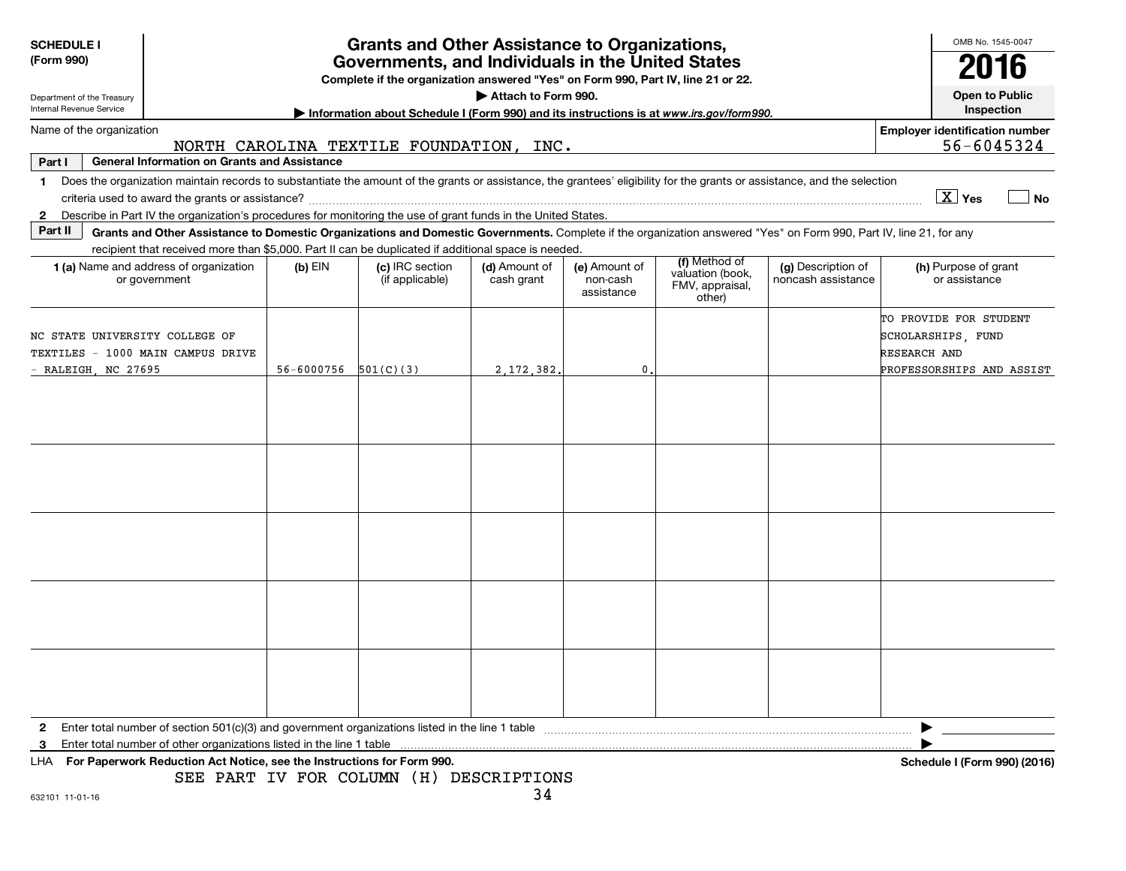| <b>SCHEDULE I</b><br>(Form 990) | Department of the Treasury |                                                                                                                                                                          |                            | <b>Grants and Other Assistance to Organizations,</b><br>Governments, and Individuals in the United States<br>Complete if the organization answered "Yes" on Form 990, Part IV, line 21 or 22. | Attach to Form 990.         |                                         |                                                                |                                          |                                                                     | OMB No. 1545-0047<br>2016<br>Open to Public |
|---------------------------------|----------------------------|--------------------------------------------------------------------------------------------------------------------------------------------------------------------------|----------------------------|-----------------------------------------------------------------------------------------------------------------------------------------------------------------------------------------------|-----------------------------|-----------------------------------------|----------------------------------------------------------------|------------------------------------------|---------------------------------------------------------------------|---------------------------------------------|
| Internal Revenue Service        |                            |                                                                                                                                                                          |                            | Information about Schedule I (Form 990) and its instructions is at www.irs.gov/form990.                                                                                                       |                             |                                         |                                                                |                                          |                                                                     | Inspection                                  |
|                                 | Name of the organization   |                                                                                                                                                                          |                            |                                                                                                                                                                                               |                             |                                         |                                                                |                                          | <b>Employer identification number</b>                               |                                             |
|                                 |                            |                                                                                                                                                                          |                            | NORTH CAROLINA TEXTILE FOUNDATION, INC.                                                                                                                                                       |                             |                                         |                                                                |                                          |                                                                     | 56-6045324                                  |
| Part I                          |                            | <b>General Information on Grants and Assistance</b>                                                                                                                      |                            |                                                                                                                                                                                               |                             |                                         |                                                                |                                          |                                                                     |                                             |
| $\mathbf 1$                     |                            | Does the organization maintain records to substantiate the amount of the grants or assistance, the grantees' eligibility for the grants or assistance, and the selection |                            |                                                                                                                                                                                               |                             |                                         |                                                                |                                          |                                                                     |                                             |
|                                 |                            |                                                                                                                                                                          |                            |                                                                                                                                                                                               |                             |                                         |                                                                |                                          | X Yes                                                               | <b>No</b>                                   |
|                                 |                            | 2 Describe in Part IV the organization's procedures for monitoring the use of grant funds in the United States.                                                          |                            |                                                                                                                                                                                               |                             |                                         |                                                                |                                          |                                                                     |                                             |
| Part II                         |                            | Grants and Other Assistance to Domestic Organizations and Domestic Governments. Complete if the organization answered "Yes" on Form 990, Part IV, line 21, for any       |                            |                                                                                                                                                                                               |                             |                                         |                                                                |                                          |                                                                     |                                             |
|                                 |                            | recipient that received more than \$5,000. Part II can be duplicated if additional space is needed.<br>1 (a) Name and address of organization<br>or government           | $(b)$ EIN                  | (c) IRC section<br>(if applicable)                                                                                                                                                            | (d) Amount of<br>cash grant | (e) Amount of<br>non-cash<br>assistance | (f) Method of<br>valuation (book,<br>FMV, appraisal,<br>other) | (g) Description of<br>noncash assistance | (h) Purpose of grant<br>or assistance                               |                                             |
|                                 |                            | NC STATE UNIVERSITY COLLEGE OF<br>TEXTILES - 1000 MAIN CAMPUS DRIVE                                                                                                      |                            |                                                                                                                                                                                               |                             |                                         |                                                                |                                          | TO PROVIDE FOR STUDENT<br>SCHOLARSHIPS, FUND<br><b>RESEARCH AND</b> |                                             |
|                                 | - RALEIGH, NC 27695        |                                                                                                                                                                          | $56 - 6000756$ $501(C)(3)$ |                                                                                                                                                                                               | 2, 172, 382.                | $\mathbf{0}$                            |                                                                |                                          | PROFESSORSHIPS AND ASSIST                                           |                                             |
|                                 |                            |                                                                                                                                                                          |                            |                                                                                                                                                                                               |                             |                                         |                                                                |                                          |                                                                     |                                             |
|                                 |                            |                                                                                                                                                                          |                            |                                                                                                                                                                                               |                             |                                         |                                                                |                                          |                                                                     |                                             |
| $\mathbf{2}$<br>3               |                            |                                                                                                                                                                          |                            |                                                                                                                                                                                               |                             |                                         |                                                                |                                          |                                                                     |                                             |
| LHA                             |                            | For Paperwork Reduction Act Notice, see the Instructions for Form 990.                                                                                                   |                            |                                                                                                                                                                                               |                             |                                         |                                                                |                                          | Schedule I (Form 990) (2016)                                        |                                             |
|                                 |                            |                                                                                                                                                                          |                            | SEE PART IV FOR COLUMN (H) DESCRIPTIONS                                                                                                                                                       |                             |                                         |                                                                |                                          |                                                                     |                                             |
| 632101 11-01-16                 |                            |                                                                                                                                                                          |                            |                                                                                                                                                                                               | 34                          |                                         |                                                                |                                          |                                                                     |                                             |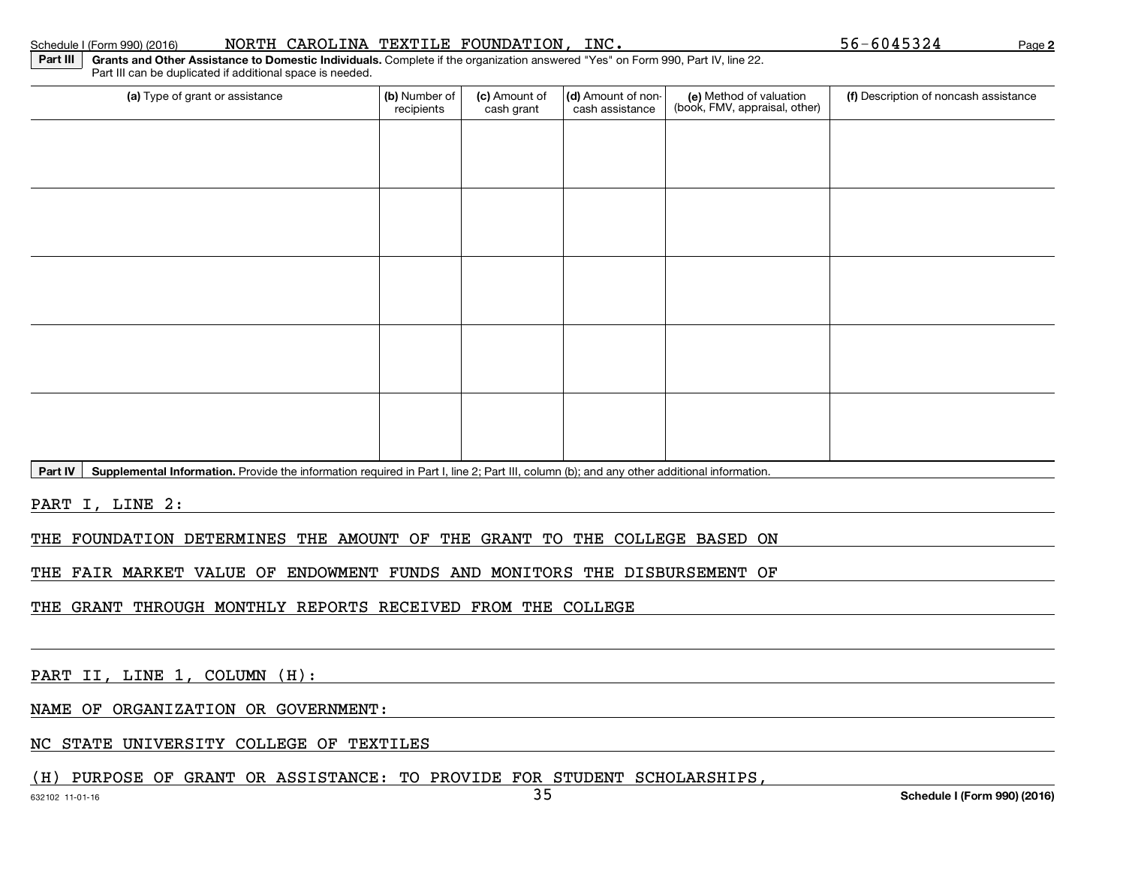**2**

**Part III Grants and Other Assistance to Domestic Individuals.** Complete if the organization answered "Yes" on Form 990, Part IV, line 22.Part III can be duplicated if additional space is needed.

| (a) Type of grant or assistance                                                                                                                                                               | (b) Number of<br>recipients | (c) Amount of<br>cash grant | (d) Amount of non-<br>cash assistance | (e) Method of valuation<br>(book, FMV, appraisal, other) | (f) Description of noncash assistance |
|-----------------------------------------------------------------------------------------------------------------------------------------------------------------------------------------------|-----------------------------|-----------------------------|---------------------------------------|----------------------------------------------------------|---------------------------------------|
|                                                                                                                                                                                               |                             |                             |                                       |                                                          |                                       |
|                                                                                                                                                                                               |                             |                             |                                       |                                                          |                                       |
|                                                                                                                                                                                               |                             |                             |                                       |                                                          |                                       |
|                                                                                                                                                                                               |                             |                             |                                       |                                                          |                                       |
|                                                                                                                                                                                               |                             |                             |                                       |                                                          |                                       |
|                                                                                                                                                                                               |                             |                             |                                       |                                                          |                                       |
|                                                                                                                                                                                               |                             |                             |                                       |                                                          |                                       |
|                                                                                                                                                                                               |                             |                             |                                       |                                                          |                                       |
|                                                                                                                                                                                               |                             |                             |                                       |                                                          |                                       |
|                                                                                                                                                                                               |                             |                             |                                       |                                                          |                                       |
| $\overline{R}_{out}$ $\overline{M}$ $\overline{R}_{i}$ and executed information. Dravide the information required in Dart Lline 0; Dart III, column (b); and any other additional information |                             |                             |                                       |                                                          |                                       |

**Part IV Supplemental Information.** Provide the information required in Part I, line 2; Part III, column (b); and any other additional information.

PART I, LINE 2:

THE FOUNDATION DETERMINES THE AMOUNT OF THE GRANT TO THE COLLEGE BASED ON

THE FAIR MARKET VALUE OF ENDOWMENT FUNDS AND MONITORS THE DISBURSEMENT OF

THE GRANT THROUGH MONTHLY REPORTS RECEIVED FROM THE COLLEGE

PART II, LINE 1, COLUMN (H):

NAME OF ORGANIZATION OR GOVERNMENT:

NC STATE UNIVERSITY COLLEGE OF TEXTILES

(H) PURPOSE OF GRANT OR ASSISTANCE: TO PROVIDE FOR STUDENT SCHOLARSHIPS,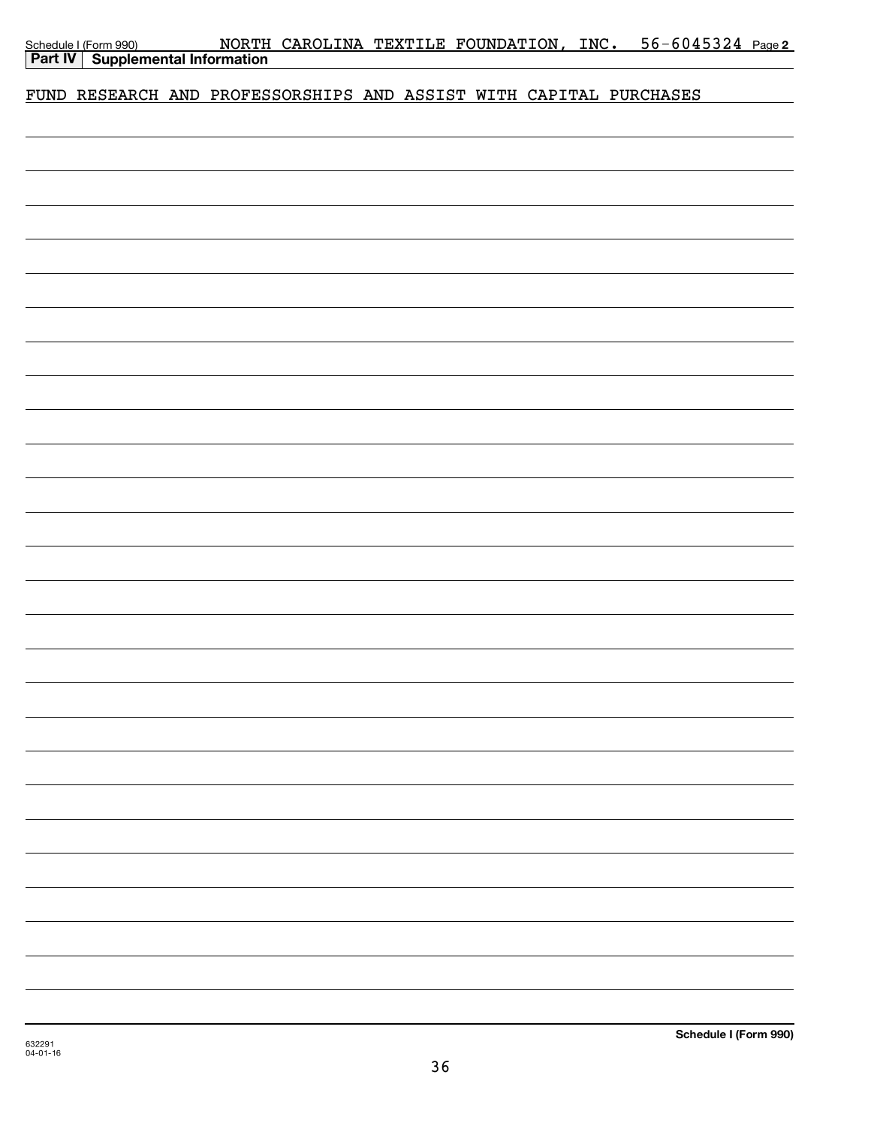| Schedule I (Form 990) |
|-----------------------|
|                       |

# FUND RESEARCH AND PROFESSORSHIPS AND ASSIST WITH CAPITAL PURCHASES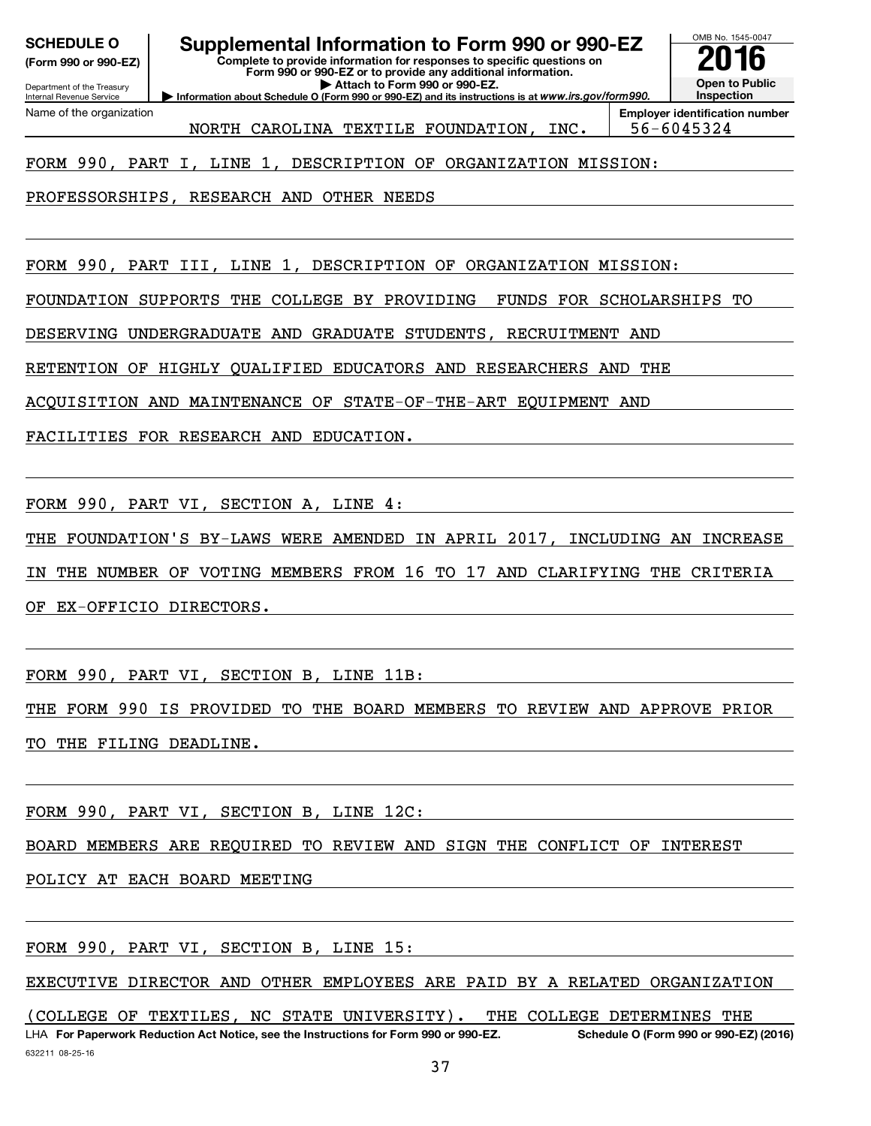OMB No. 1545-0047 Department of the Treasury Internal Revenue Service **Information about Schedule O (Form 990 or 990-EZ) and its instructions is at**  *www.irs.gov/form990.* **Complete to provide information for responses to specific questions on Form 990 or 990-EZ or to provide any additional information. | Attach to Form 990 or 990-EZ.** Information about Schedule **(Form 990 or 990-EZ) Open to Public Inspection Employer identification number** Name of the organization SCHEDULE O **Supplemental Information to Form 990 or 990-EZ** 2016 No. 1545-004<br>(Form 990 or 990-EZ) NORTH CAROLINA TEXTILE FOUNDATION, INC. 56-6045324 FORM 990, PART I, LINE 1, DESCRIPTION OF ORGANIZATION MISSION:

PROFESSORSHIPS, RESEARCH AND OTHER NEEDS

FORM 990, PART III, LINE 1, DESCRIPTION OF ORGANIZATION MISSION:

FOUNDATION SUPPORTS THE COLLEGE BY PROVIDING FUNDS FOR SCHOLARSHIPS TO

DESERVING UNDERGRADUATE AND GRADUATE STUDENTS, RECRUITMENT AND

RETENTION OF HIGHLY QUALIFIED EDUCATORS AND RESEARCHERS AND THE

ACQUISITION AND MAINTENANCE OF STATE-OF-THE-ART EQUIPMENT AND

FACILITIES FOR RESEARCH AND EDUCATION.

FORM 990, PART VI, SECTION A, LINE 4:

THE FOUNDATION'S BY-LAWS WERE AMENDED IN APRIL 2017, INCLUDING AN INCREASE

IN THE NUMBER OF VOTING MEMBERS FROM 16 TO 17 AND CLARIFYING THE CRITERIA

OF EX-OFFICIO DIRECTORS.

FORM 990, PART VI, SECTION B, LINE 11B:

THE FORM 990 IS PROVIDED TO THE BOARD MEMBERS TO REVIEW AND APPROVE PRIOR TO THE FILING DEADLINE.

FORM 990, PART VI, SECTION B, LINE 12C:

BOARD MEMBERS ARE REQUIRED TO REVIEW AND SIGN THE CONFLICT OF INTEREST

POLICY AT EACH BOARD MEETING

FORM 990, PART VI, SECTION B, LINE 15:

EXECUTIVE DIRECTOR AND OTHER EMPLOYEES ARE PAID BY A RELATED ORGANIZATION

632211 08-25-16 **For Paperwork Reduction Act Notice, see the Instructions for Form 990 or 990-EZ. Schedule O (Form 990 or 990-EZ) (2016)** LHA (COLLEGE OF TEXTILES, NC STATE UNIVERSITY). THE COLLEGE DETERMINES THE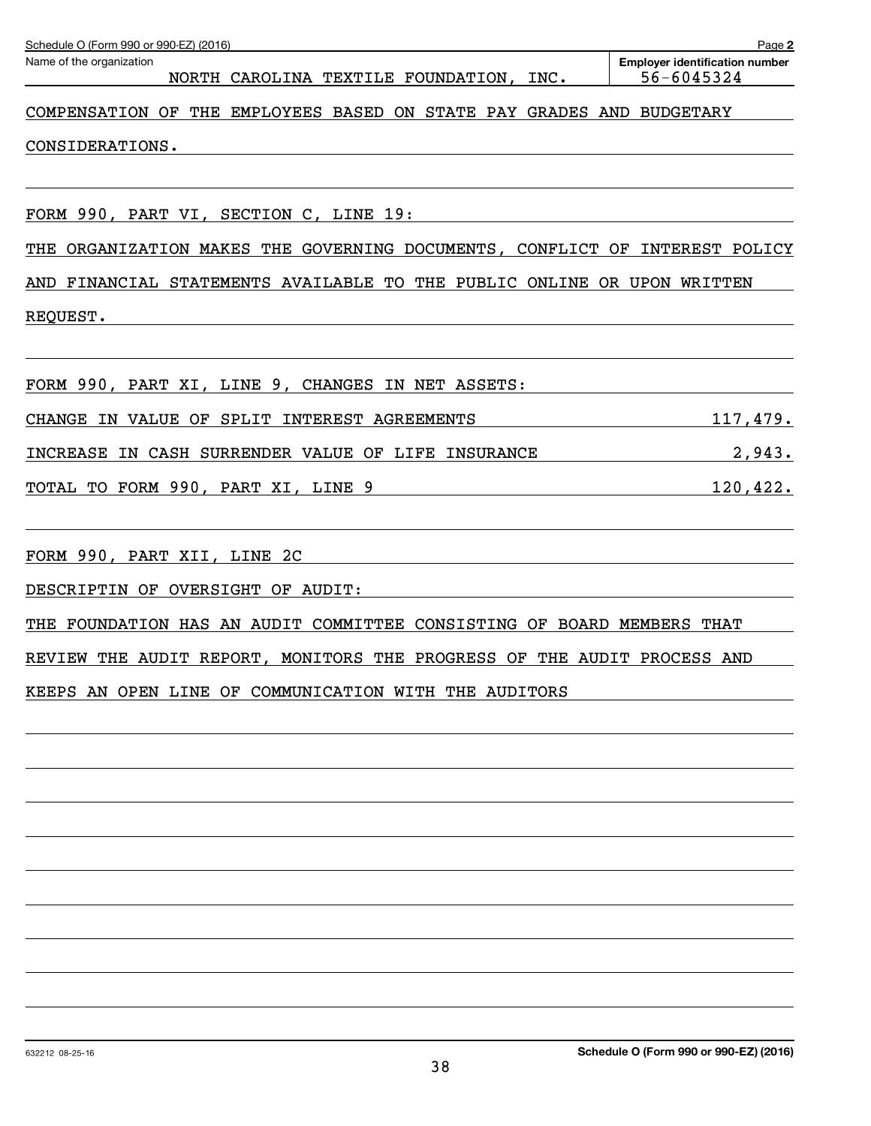| Schedule O (Form 990 or 990-EZ) (2016)                                                                                                                     | Page 2                                              |
|------------------------------------------------------------------------------------------------------------------------------------------------------------|-----------------------------------------------------|
| Name of the organization<br>NORTH CAROLINA TEXTILE FOUNDATION, INC.                                                                                        | <b>Employer identification number</b><br>56-6045324 |
| COMPENSATION OF THE EMPLOYEES BASED ON STATE PAY GRADES AND BUDGETARY                                                                                      |                                                     |
| CONSIDERATIONS.                                                                                                                                            |                                                     |
|                                                                                                                                                            |                                                     |
| FORM 990, PART VI, SECTION C, LINE 19:                                                                                                                     |                                                     |
| ORGANIZATION MAKES THE GOVERNING DOCUMENTS, CONFLICT OF INTEREST POLICY<br>THE                                                                             |                                                     |
| AND FINANCIAL STATEMENTS AVAILABLE TO THE PUBLIC ONLINE OR UPON WRITTEN                                                                                    |                                                     |
| REQUEST.                                                                                                                                                   |                                                     |
|                                                                                                                                                            |                                                     |
| FORM 990, PART XI, LINE 9, CHANGES IN NET ASSETS:                                                                                                          |                                                     |
| CHANGE IN VALUE OF SPLIT INTEREST AGREEMENTS                                                                                                               | <u> 117,479.</u>                                    |
| INCREASE IN CASH SURRENDER VALUE OF LIFE INSURANCE                                                                                                         | 2,943.                                              |
| TOTAL TO FORM 990, PART XI, LINE 9<br><u> 1980 - Johann Barn, mars ann an t-Amhain Aonaich an t-Aonaich an t-Aonaich ann an t-Aonaich ann an t-Aonaich</u> | 120, 422.                                           |
|                                                                                                                                                            |                                                     |
| FORM 990, PART XII, LINE 2C<br><u> 1989 - Johann Barnett, fransk politiker (d. 1989)</u>                                                                   |                                                     |
| DESCRIPTIN OF OVERSIGHT OF AUDIT:                                                                                                                          |                                                     |
| FOUNDATION HAS AN AUDIT COMMITTEE CONSISTING OF BOARD MEMBERS THAT<br>THE                                                                                  |                                                     |
| REVIEW THE AUDIT REPORT, MONITORS THE PROGRESS OF THE AUDIT PROCESS AND                                                                                    |                                                     |
| KEEPS AN OPEN LINE OF COMMUNICATION WITH THE AUDITORS                                                                                                      |                                                     |
|                                                                                                                                                            |                                                     |
|                                                                                                                                                            |                                                     |
|                                                                                                                                                            |                                                     |
|                                                                                                                                                            |                                                     |
|                                                                                                                                                            |                                                     |
|                                                                                                                                                            |                                                     |
|                                                                                                                                                            |                                                     |
|                                                                                                                                                            |                                                     |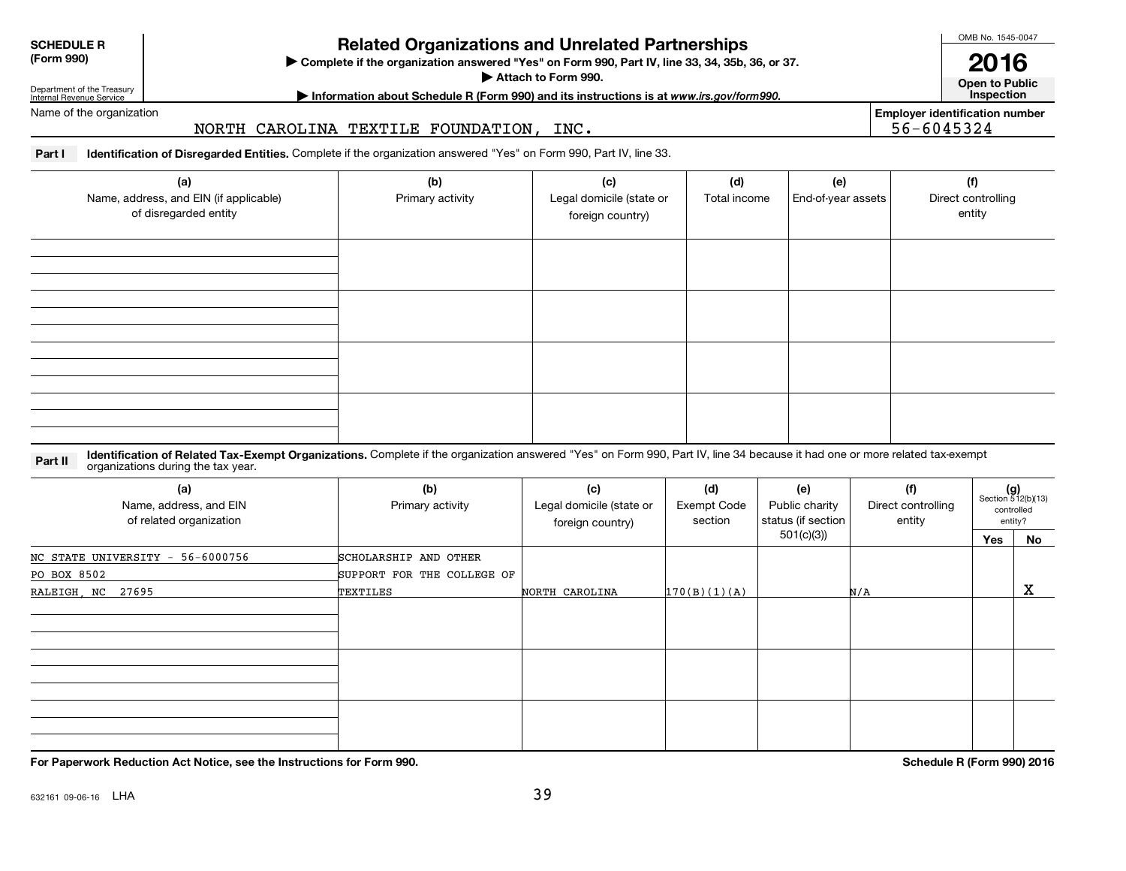**SCHEDULE R(Form 990)**

**Complete if the organizations and Unrelated Partnerships**<br> **Related Organization answered "Yes" on Form 990, Part IV, line 33, 34, 35b, 36, or 37.**<br> **Related Organization answered "Yes" on Form 990, Part IV, line 33, 34,** 

Attach to Form 990.

Department of the Treasury Internal Revenue Service

**Motomation about Schedule R (Form 990) and its instructions is at www.irs.gov/form990.** This pection



OMB No. 1545-0047

Name of the organization

# NORTH CAROLINA TEXTILE FOUNDATION, INC.  $\vert$  56-6045324

**Employer identification number**

**Part I Identification of Disregarded Entities.** Complete if the organization answered "Yes" on Form 990, Part IV, line 33.

| (a)<br>Name, address, and EIN (if applicable)<br>of disregarded entity | (b)<br>Primary activity | (c)<br>Legal domicile (state or<br>foreign country) | (d)<br>Total income | (e)<br>End-of-year assets | (f)<br>Direct controlling<br>entity |
|------------------------------------------------------------------------|-------------------------|-----------------------------------------------------|---------------------|---------------------------|-------------------------------------|
|                                                                        |                         |                                                     |                     |                           |                                     |
|                                                                        |                         |                                                     |                     |                           |                                     |
|                                                                        |                         |                                                     |                     |                           |                                     |
|                                                                        |                         |                                                     |                     |                           |                                     |

**Part II Lidentification of Related Tax-Exempt Organizations.** Complete if the organization answered "Yes" on Form 990, Part IV, line 34 because it had one or more related tax-exempt<br>Computations during the tax vear organizations during the tax year.

| (a)<br>Name, address, and EIN<br>of related organization | (b)<br>Primary activity    | (f)<br>(c)<br>(d)<br>(e)<br>Legal domicile (state or<br>Exempt Code<br>Public charity<br>Direct controlling<br>status (if section<br>section<br>entity<br>foreign country)<br>501(c)(3)) |              | $(g)$<br>Section 512(b)(13) | controlled<br>entity? |    |
|----------------------------------------------------------|----------------------------|------------------------------------------------------------------------------------------------------------------------------------------------------------------------------------------|--------------|-----------------------------|-----------------------|----|
|                                                          |                            |                                                                                                                                                                                          |              |                             | Yes                   | No |
| 56-6000756<br>NC STATE UNIVERSITY -                      | SCHOLARSHIP AND OTHER      |                                                                                                                                                                                          |              |                             |                       |    |
| PO BOX 8502                                              | SUPPORT FOR THE COLLEGE OF |                                                                                                                                                                                          |              |                             |                       |    |
| RALEIGH, NC 27695                                        | TEXTILES                   | NORTH CAROLINA                                                                                                                                                                           | 170(B)(1)(A) | N/A                         |                       | х  |
|                                                          |                            |                                                                                                                                                                                          |              |                             |                       |    |
|                                                          |                            |                                                                                                                                                                                          |              |                             |                       |    |
|                                                          |                            |                                                                                                                                                                                          |              |                             |                       |    |
|                                                          |                            |                                                                                                                                                                                          |              |                             |                       |    |
|                                                          |                            |                                                                                                                                                                                          |              |                             |                       |    |
|                                                          |                            |                                                                                                                                                                                          |              |                             |                       |    |
|                                                          |                            |                                                                                                                                                                                          |              |                             |                       |    |
|                                                          |                            |                                                                                                                                                                                          |              |                             |                       |    |
|                                                          |                            |                                                                                                                                                                                          |              |                             |                       |    |

**For Paperwork Reduction Act Notice, see the Instructions for Form 990.**

**Schedule R (Form 990) 2016**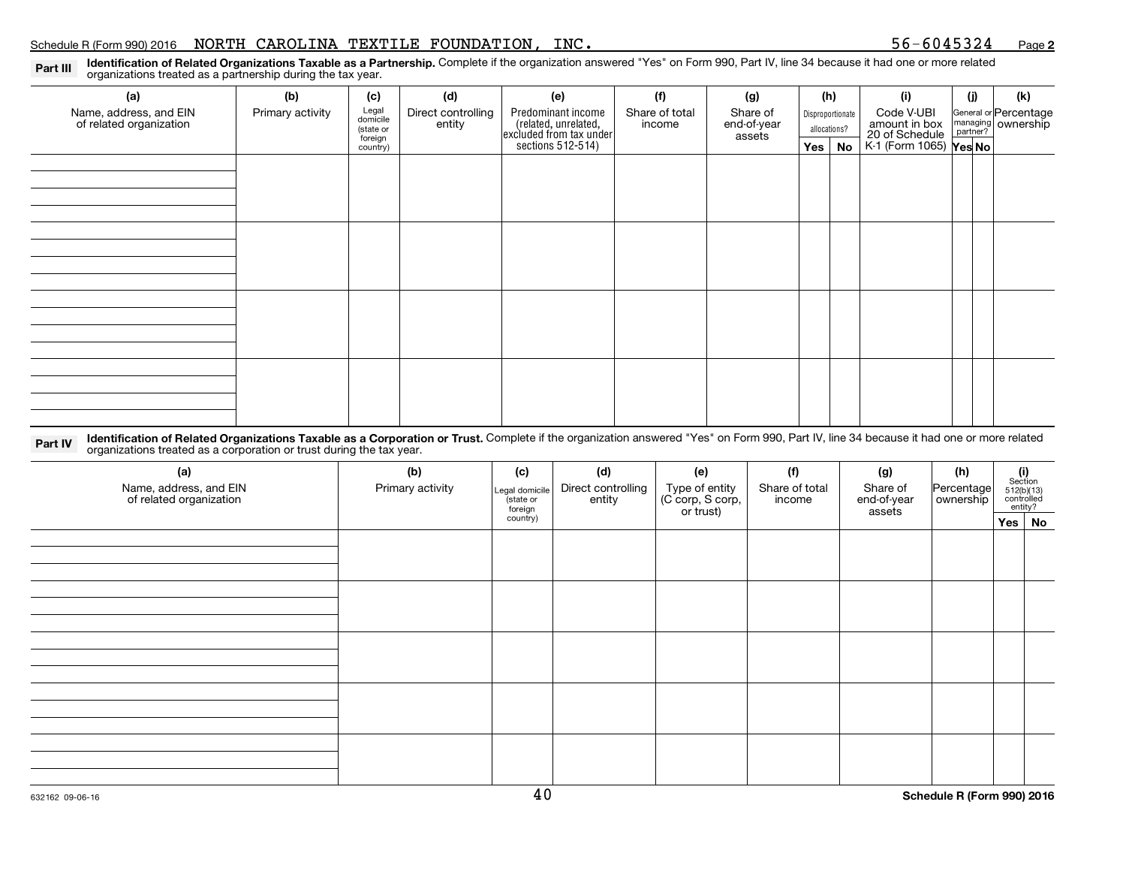Part III Polentification of Related Organizations Taxable as a Partnership. Complete if the organization answered "Yes" on Form 990, Part IV, line 34 because it had one or more related<br>Part IIIP organizations treated as a

| (a)                                               | (b)              | (c)                  | (d)                          | (e)                                                                                        | (f)                      | (g)                               |                                  | (h)    | (i)                             | (j) | (k)                                           |
|---------------------------------------------------|------------------|----------------------|------------------------------|--------------------------------------------------------------------------------------------|--------------------------|-----------------------------------|----------------------------------|--------|---------------------------------|-----|-----------------------------------------------|
| Name, address, and EIN<br>of related organization | Primary activity | Legal<br>domicile    | Direct controlling<br>entity | Predominant income<br>(related, unrelated,<br>excluded from tax under<br>sections 512-514) | Share of total<br>income | Share of<br>end-of-year<br>assets | Disproportionate<br>allocations? |        | Code V-UBI                      |     | General or Percentage<br>managing<br>partner? |
|                                                   |                  | (state or<br>foreign |                              |                                                                                            |                          |                                   |                                  |        | amount in box<br>20 of Schedule |     |                                               |
|                                                   |                  | country)             |                              |                                                                                            |                          |                                   |                                  | Yes No | K-1 (Form 1065) <b>Yes No</b>   |     |                                               |
|                                                   |                  |                      |                              |                                                                                            |                          |                                   |                                  |        |                                 |     |                                               |
|                                                   |                  |                      |                              |                                                                                            |                          |                                   |                                  |        |                                 |     |                                               |
|                                                   |                  |                      |                              |                                                                                            |                          |                                   |                                  |        |                                 |     |                                               |
|                                                   |                  |                      |                              |                                                                                            |                          |                                   |                                  |        |                                 |     |                                               |
|                                                   |                  |                      |                              |                                                                                            |                          |                                   |                                  |        |                                 |     |                                               |
|                                                   |                  |                      |                              |                                                                                            |                          |                                   |                                  |        |                                 |     |                                               |
|                                                   |                  |                      |                              |                                                                                            |                          |                                   |                                  |        |                                 |     |                                               |
|                                                   |                  |                      |                              |                                                                                            |                          |                                   |                                  |        |                                 |     |                                               |
|                                                   |                  |                      |                              |                                                                                            |                          |                                   |                                  |        |                                 |     |                                               |
|                                                   |                  |                      |                              |                                                                                            |                          |                                   |                                  |        |                                 |     |                                               |
|                                                   |                  |                      |                              |                                                                                            |                          |                                   |                                  |        |                                 |     |                                               |
|                                                   |                  |                      |                              |                                                                                            |                          |                                   |                                  |        |                                 |     |                                               |
|                                                   |                  |                      |                              |                                                                                            |                          |                                   |                                  |        |                                 |     |                                               |
|                                                   |                  |                      |                              |                                                                                            |                          |                                   |                                  |        |                                 |     |                                               |
|                                                   |                  |                      |                              |                                                                                            |                          |                                   |                                  |        |                                 |     |                                               |
|                                                   |                  |                      |                              |                                                                                            |                          |                                   |                                  |        |                                 |     |                                               |
|                                                   |                  |                      |                              |                                                                                            |                          |                                   |                                  |        |                                 |     |                                               |
|                                                   |                  |                      |                              |                                                                                            |                          |                                   |                                  |        |                                 |     |                                               |

Part IV Identification of Related Organizations Taxable as a Corporation or Trust. Complete if the organization answered "Yes" on Form 990, Part IV, line 34 because it had one or more related and a partecipal and the text organizations treated as a corporation or trust during the tax year.

| (a)<br>Name, address, and EIN<br>of related organization | (b)<br>Primary activity | (c)<br>Legal domicile<br>state or<br>foreign | (d)<br>Direct controlling<br>entity | (e)<br>Type of entity<br>(C corp, S corp,<br>or trust) | (f)<br>Share of total<br>income | (g)<br>Share of<br>end-of-year<br>assets | (h)<br>Percentage<br>ownership | $\begin{array}{c} \textbf{(i)}\\ \text{Section}\\ 512 \text{(b)} \text{(13)}\\ \text{controlled} \\ \text{entity?} \end{array}$ |
|----------------------------------------------------------|-------------------------|----------------------------------------------|-------------------------------------|--------------------------------------------------------|---------------------------------|------------------------------------------|--------------------------------|---------------------------------------------------------------------------------------------------------------------------------|
|                                                          |                         | country)                                     |                                     |                                                        |                                 |                                          |                                | Yes No                                                                                                                          |
|                                                          |                         |                                              |                                     |                                                        |                                 |                                          |                                |                                                                                                                                 |
|                                                          |                         |                                              |                                     |                                                        |                                 |                                          |                                |                                                                                                                                 |
|                                                          |                         |                                              |                                     |                                                        |                                 |                                          |                                |                                                                                                                                 |
|                                                          |                         |                                              |                                     |                                                        |                                 |                                          |                                |                                                                                                                                 |
|                                                          |                         |                                              |                                     |                                                        |                                 |                                          |                                |                                                                                                                                 |
|                                                          |                         |                                              |                                     |                                                        |                                 |                                          |                                |                                                                                                                                 |
|                                                          |                         |                                              |                                     |                                                        |                                 |                                          |                                |                                                                                                                                 |
|                                                          |                         |                                              |                                     |                                                        |                                 |                                          |                                |                                                                                                                                 |
|                                                          |                         |                                              |                                     |                                                        |                                 |                                          |                                |                                                                                                                                 |
|                                                          |                         |                                              |                                     |                                                        |                                 |                                          |                                |                                                                                                                                 |
|                                                          |                         |                                              |                                     |                                                        |                                 |                                          |                                |                                                                                                                                 |
|                                                          |                         |                                              |                                     |                                                        |                                 |                                          |                                |                                                                                                                                 |
|                                                          |                         |                                              |                                     |                                                        |                                 |                                          |                                |                                                                                                                                 |
|                                                          |                         |                                              |                                     |                                                        |                                 |                                          |                                |                                                                                                                                 |
|                                                          |                         |                                              |                                     |                                                        |                                 |                                          |                                |                                                                                                                                 |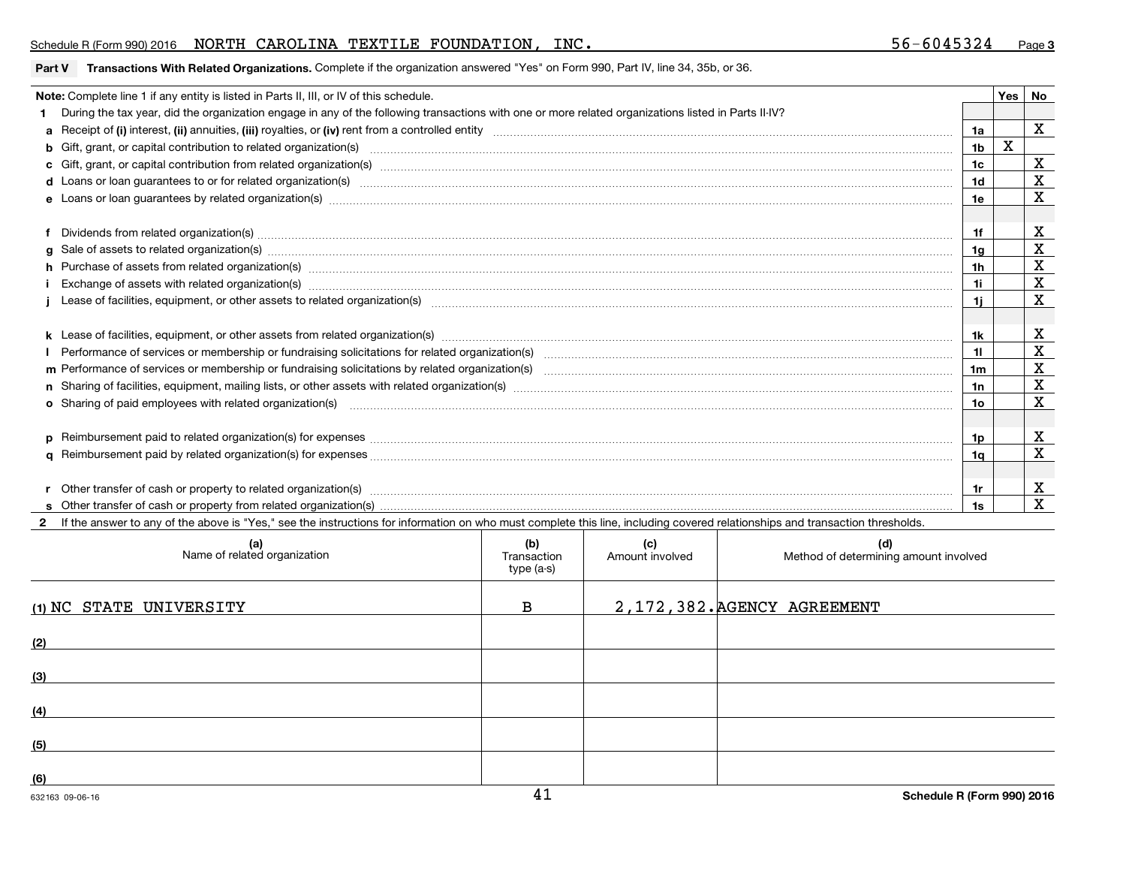### Schedule R (Form 990) 2016 Page NORTH CAROLINA TEXTILE FOUNDATION, INC. 56-6045324

#### **Part V Transactions With Related Organizations.** Complete if the organization answered "Yes" on Form 990, Part IV, line 34, 35b, or 36.

| Note: Complete line 1 if any entity is listed in Parts II, III, or IV of this schedule.                                                                                                                                        |     | Yes | <b>No</b>   |
|--------------------------------------------------------------------------------------------------------------------------------------------------------------------------------------------------------------------------------|-----|-----|-------------|
| During the tax year, did the organization engage in any of the following transactions with one or more related organizations listed in Parts II-IV?                                                                            |     |     |             |
|                                                                                                                                                                                                                                | 1a  |     | X           |
| b Gift, grant, or capital contribution to related organization(s) manufaction contribution of the contribution to related organization(s) manufaction contribution to related organization(s) manufactured contribution contri | 1b  |     |             |
|                                                                                                                                                                                                                                | 1c  |     | X           |
| d Loans or loan guarantees to or for related organization(s) manufaction contracts and contained a control of the set of the related organization(s) manufactured and contained a contact of the set of the set of the relatio | 1d  |     | $\mathbf x$ |
| e Loans or loan guarantees by related organization(s) manufaction contracts and controlled the control of the control of the control of the control of the control of the control of the control of the control of the control | 1e  |     | $\mathbf X$ |
|                                                                                                                                                                                                                                |     |     |             |
| f Dividends from related organization(s) manufactured and contract and contract and contract and contract and contract and contract and contract and contract and contract and contract and contract and contract and contract | 1f  |     | X           |
|                                                                                                                                                                                                                                | 1g  |     | X           |
| h Purchase of assets from related organization(s) manufactured and content to content the content of assets from related organization(s) manufactured and content and content and content of the content of the content of the | 1h  |     | X           |
| Exchange of assets with related organization(s) manufactured and content and content and content of assets with related organization(s) manufactured and content and content and content and content and content and content a | 1i. |     | X           |
|                                                                                                                                                                                                                                | -1i |     | $\mathbf x$ |
|                                                                                                                                                                                                                                |     |     |             |
|                                                                                                                                                                                                                                | 1k  |     | х           |
|                                                                                                                                                                                                                                | 11  |     | X           |
|                                                                                                                                                                                                                                | 1m  |     | X           |
|                                                                                                                                                                                                                                | 1n  |     | X           |
| o Sharing of paid employees with related organization(s) manufactured and content to the contract of the contract organization(s) manufactured and content and content of the content of the content of the content of the con | 10  |     | X           |
|                                                                                                                                                                                                                                |     |     |             |
|                                                                                                                                                                                                                                | 1p  |     | X           |
|                                                                                                                                                                                                                                | 1q  |     | X           |
|                                                                                                                                                                                                                                |     |     |             |
|                                                                                                                                                                                                                                | 1r  |     | X           |
|                                                                                                                                                                                                                                | 1s  |     | X           |

**2**If the answer to any of the above is "Yes," see the instructions for information on who must complete this line, including covered relationships and transaction thresholds.

| (a)<br>Name of related organization | (b)<br>Transaction<br>type (a-s) | (c)<br>Amount involved | (d)<br>Method of determining amount involved |
|-------------------------------------|----------------------------------|------------------------|----------------------------------------------|
| (1) NC STATE UNIVERSITY             | B                                |                        | 2, 172, 382. AGENCY AGREEMENT                |
| (2)                                 |                                  |                        |                                              |
| (3)                                 |                                  |                        |                                              |
| (4)                                 |                                  |                        |                                              |
| (5)                                 |                                  |                        |                                              |
| (6)                                 | $\overline{A}$                   |                        | _ _ _ _ _ _                                  |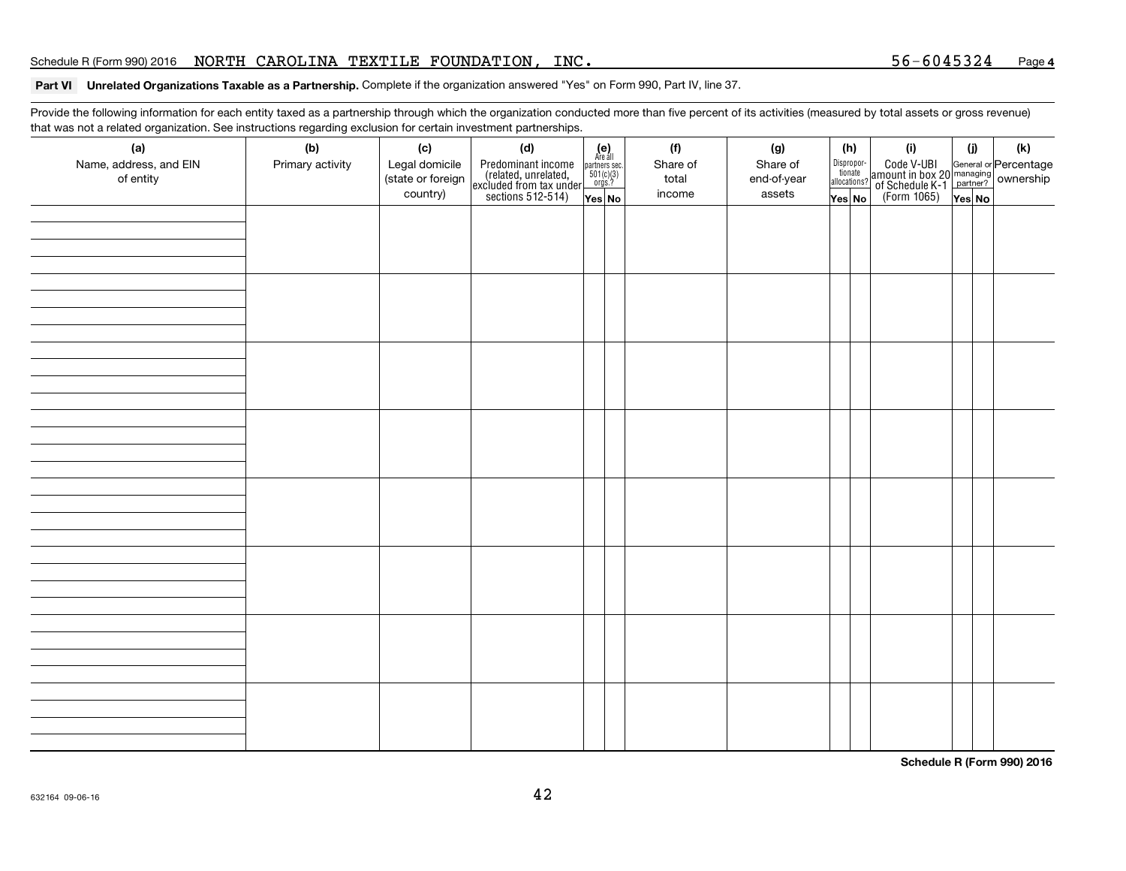#### **Part VI Unrelated Organizations Taxable as a Partnership.** Complete if the organization answered "Yes" on Form 990, Part IV, line 37.

Provide the following information for each entity taxed as a partnership through which the organization conducted more than five percent of its activities (measured by total assets or gross revenue) that was not a related organization. See instructions regarding exclusion for certain investment partnerships.

| ັ                                          | $\tilde{\phantom{a}}$<br>$\check{\phantom{a}}$ |                                                        |                                                                                                   |                                                                      |                                    |                                          |                                                 |     |                                                                                                     |               |     |
|--------------------------------------------|------------------------------------------------|--------------------------------------------------------|---------------------------------------------------------------------------------------------------|----------------------------------------------------------------------|------------------------------------|------------------------------------------|-------------------------------------------------|-----|-----------------------------------------------------------------------------------------------------|---------------|-----|
| (a)<br>Name, address, and EIN<br>of entity | (b)<br>Primary activity                        | (c)<br>Legal domicile<br>(state or foreign<br>country) | (d)<br>Predominant income<br>(related, unrelated,<br>excluded from tax under<br>sections 512-514) | $(e)$<br>Are all<br>partners sec.<br>501(c)(3)<br>r orgs.?<br>Yes No | (f)<br>Share of<br>total<br>income | (g)<br>Share of<br>end-of-year<br>assets | Dispropor-<br>tionate<br>allocations?<br>Yes No | (h) | (i)<br>Code V-UBI<br>amount in box 20 managing<br>of Schedule K-1 partner?<br>(Form 1065)<br>ves No | (i)<br>Yes No | (k) |
|                                            |                                                |                                                        |                                                                                                   |                                                                      |                                    |                                          |                                                 |     |                                                                                                     |               |     |
|                                            |                                                |                                                        |                                                                                                   |                                                                      |                                    |                                          |                                                 |     |                                                                                                     |               |     |
|                                            |                                                |                                                        |                                                                                                   |                                                                      |                                    |                                          |                                                 |     |                                                                                                     |               |     |
|                                            |                                                |                                                        |                                                                                                   |                                                                      |                                    |                                          |                                                 |     |                                                                                                     |               |     |
|                                            |                                                |                                                        |                                                                                                   |                                                                      |                                    |                                          |                                                 |     |                                                                                                     |               |     |
|                                            |                                                |                                                        |                                                                                                   |                                                                      |                                    |                                          |                                                 |     |                                                                                                     |               |     |
|                                            |                                                |                                                        |                                                                                                   |                                                                      |                                    |                                          |                                                 |     |                                                                                                     |               |     |
|                                            |                                                |                                                        |                                                                                                   |                                                                      |                                    |                                          |                                                 |     |                                                                                                     |               |     |

**Schedule R (Form 990) 2016**